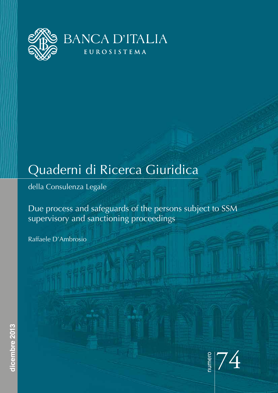

# Quaderni di Ricerca Giuridica

della Consulenza Legale

Due process and safeguards of the persons subject to SSM supervisory and sanctioning proceedings

Raffaele D'Ambrosio

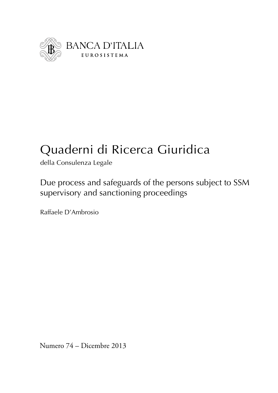

# Quaderni di Ricerca Giuridica

della Consulenza Legale

Due process and safeguards of the persons subject to SSM supervisory and sanctioning proceedings

Raffaele D'Ambrosio

Numero 74 – Dicembre 2013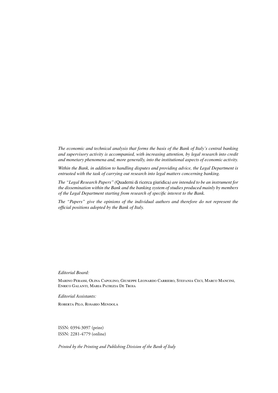*The economic and technical analysis that forms the basis of the Bank of Italy's central banking and supervisory activity is accompanied, with increasing attention, by legal research into credit and monetary phenomena and, more generally, into the institutional aspects of economic activity.* 

*Within the Bank, in addition to handling disputes and providing advice, the Legal Department is entrusted with the task of carrying out research into legal matters concerning banking.*

*The "Legal Research Papers" (*Quaderni di ricerca giuridica*) are intended to be an instrument for the dissemination within the Bank and the banking system of studies produced mainly by members of the Legal Department starting from research of specific interest to the Bank.* 

*The "Papers" give the opinions of the individual authors and therefore do not represent the official positions adopted by the Bank of Italy.*

#### *Editorial Board:*

Marino Perassi, Olina Capolino, Giuseppe Leonardo Carriero, Stefania Ceci, Marco Mancini, Enrico Galanti, Maria Patrizia De Troia

*Editorial Assistants:*

Roberta Pilo, Rosario Mendola

ISSN: 0394-3097 (print) ISSN: 2281-4779 (online)

*Printed by the Printing and Publishing Division of the Bank of Italy*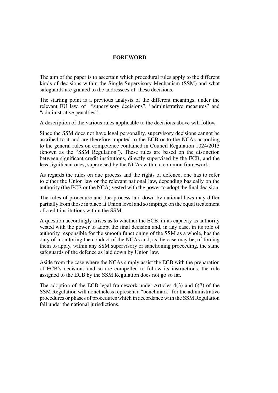## **Foreword**

The aim of the paper is to ascertain which procedural rules apply to the different kinds of decisions within the Single Supervisory Mechanism (SSM) and what safeguards are granted to the addressees of these decisions.

The starting point is a previous analysis of the different meanings, under the relevant EU law, of "supervisory decisions", "administrative measures" and "administrative penalties".

A description of the various rules applicable to the decisions above will follow.

Since the SSM does not have legal personality, supervisory decisions cannot be ascribed to it and are therefore imputed to the ECB or to the NCAs according to the general rules on competence contained in Council Regulation 1024/2013 (known as the "SSM Regulation"). These rules are based on the distinction between significant credit institutions, directly supervised by the ECB, and the less significant ones, supervised by the NCAs within a common framework.

As regards the rules on due process and the rights of defence, one has to refer to either the Union law or the relevant national law, depending basically on the authority (the ECB or the NCA) vested with the power to adopt the final decision.

The rules of procedure and due process laid down by national laws may differ partially from those in place at Union level and so impinge on the equal treatement of credit institutions within the SSM.

A question accordingly arises as to whether the ECB, in its capacity as authority vested with the power to adopt the final decision and, in any case, in its role of authority responsible for the smooth functioning of the SSM as a whole, has the duty of monitoring the conduct of the NCAs and, as the case may be, of forcing them to apply, within any SSM supervisory or sanctioning proceeding, the same safeguards of the defence as laid down by Union law.

Aside from the case where the NCAs simply assist the ECB with the preparation of ECB's decisions and so are compelled to follow its instructions, the role assigned to the ECB by the SSM Regulation does not go so far.

The adoption of the ECB legal framework under Articles 4(3) and 6(7) of the SSM Regulation will nonetheless represent a "benchmark" for the administrative procedures or phases of procedures which in accordance with the SSM Regulation fall under the national jurisdictions.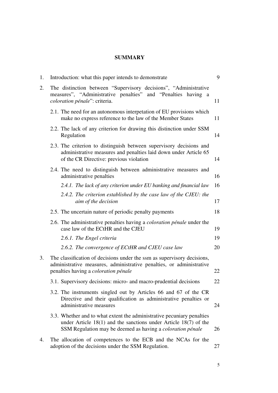# **SUMMARY**

| 1. | Introduction: what this paper intends to demonstrate                                                                                                                                                         | 9  |
|----|--------------------------------------------------------------------------------------------------------------------------------------------------------------------------------------------------------------|----|
| 2. | The distinction between "Supervisory decisions", "Administrative<br>measures", "Administrative penalties" and "Penalties having a<br>coloration pénale": criteria.                                           | 11 |
|    | 2.1. The need for an autonomous interpetation of EU provisions which<br>make no express reference to the law of the Member States                                                                            | 11 |
|    | 2.2. The lack of any criterion for drawing this distinction under SSM<br>Regulation                                                                                                                          | 14 |
|    | 2.3. The criterion to distinguish between supervisory decisions and<br>administrative measures and penalties laid down under Article 65<br>of the CR Directive: previous violation                           | 14 |
|    | 2.4. The need to distinguish between administrative measures and<br>administrative penalties                                                                                                                 | 16 |
|    | 2.4.1. The lack of any criterion under EU banking and financial law                                                                                                                                          | 16 |
|    | 2.4.2. The criterion established by the case law of the CJEU: the<br>aim of the decision                                                                                                                     | 17 |
|    | 2.5. The uncertain nature of periodic penalty payments                                                                                                                                                       | 18 |
|    | 2.6. The administrative penalties having a <i>coloration pénale</i> under the<br>case law of the ECtHR and the CJEU                                                                                          | 19 |
|    | 2.6.1. The Engel criteria                                                                                                                                                                                    | 19 |
|    | 2.6.2. The convergence of ECtHR and CJEU case law                                                                                                                                                            | 20 |
| 3. | The classification of decisions under the ssm as supervisory decisions,<br>administrative measures, administrative penalties, or administrative<br>penalties having a <i>coloration pénale</i>               | 22 |
|    | 3.1. Supervisory decisions: micro- and macro-prudential decisions                                                                                                                                            | 22 |
|    | 3.2. The instruments singled out by Articles 66 and 67 of the CR<br>Directive and their qualification as administrative penalties or<br>administrative measures                                              | 24 |
|    | 3.3. Whether and to what extent the administrative pecuniary penalties<br>under Article $18(1)$ and the sanctions under Article $18(7)$ of the<br>SSM Regulation may be deemed as having a coloration pénale | 26 |
| 4. | The allocation of competences to the ECB and the NCAs for the<br>adoption of the decisions under the SSM Regulation.                                                                                         | 27 |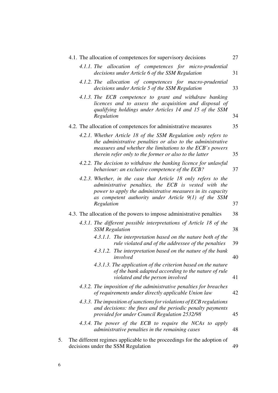|    | 4.1. The allocation of competences for supervisory decisions                                                                                                                                                                                                 | 27 |
|----|--------------------------------------------------------------------------------------------------------------------------------------------------------------------------------------------------------------------------------------------------------------|----|
|    | 4.1.1. The allocation of competences for micro-prudential<br>decisions under Article 6 of the SSM Regulation                                                                                                                                                 | 31 |
|    | 4.1.2. The allocation of competences for macro-prudential<br>decisions under Article 5 of the SSM Regulation                                                                                                                                                 | 33 |
|    | 4.1.3. The ECB competence to grant and withdraw banking<br>licences and to assess the acquisition and disposal of<br>qualifying holdings under Articles 14 and 15 of the SSM<br>Regulation                                                                   | 34 |
|    | 4.2. The allocation of competences for administrative measures                                                                                                                                                                                               | 35 |
|    | 4.2.1. Whether Article 18 of the SSM Regulation only refers to<br>the administrative penalties or also to the administrative<br>measures and whether the limitations to the ECB's powers<br>therein refer only to the former or also to the latter           | 35 |
|    | 4.2.2. The decision to withdraw the banking licence for unlawful<br>behaviour: an exclusive competence of the ECB?                                                                                                                                           | 37 |
|    | 4.2.3. Whether, in the case that Article 18 only refers to the<br>administrative penalties, the ECB is vested with the<br>power to apply the administrative measures in its capacity<br>as competent authority under Article $9(1)$ of the SSM<br>Regulation | 37 |
|    | 4.3. The allocation of the powers to impose administrative penalties                                                                                                                                                                                         | 38 |
|    | 4.3.1. The different possible interpretations of Article 18 of the<br><b>SSM</b> Regulation                                                                                                                                                                  | 38 |
|    | 4.3.1.1. The interpretation based on the nature both of the<br>rule violated and of the addressee of the penalties                                                                                                                                           | 39 |
|    | 4.3.1.2. The interpretation based on the nature of the bank<br>involved                                                                                                                                                                                      | 40 |
|    | 4.3.1.3. The application of the criterion based on the nature<br>of the bank adapted according to the nature of rule<br>violated and the person involved                                                                                                     | 41 |
|    | 4.3.2. The imposition of the administrative penalties for breaches<br>of requirements under directly applicable Union law                                                                                                                                    | 42 |
|    | 4.3.3. The imposition of sanctions for violations of ECB regulations<br>and decisions: the fines and the periodic penalty payments<br>provided for under Council Regulation 2532/98                                                                          | 45 |
|    | 4.3.4. The power of the ECB to require the NCAs to apply<br>administrative penalties in the remaining cases                                                                                                                                                  | 48 |
| 5. | The different regimes applicable to the proceedings for the adoption of<br>decisions under the SSM Regulation                                                                                                                                                | 49 |

6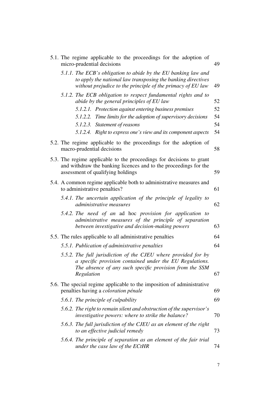|  | 5.1. The regime applicable to the proceedings for the adoption of<br>micro-prudential decisions                                                                                               | 49 |
|--|-----------------------------------------------------------------------------------------------------------------------------------------------------------------------------------------------|----|
|  | 5.1.1. The ECB's obligation to abide by the EU banking law and<br>to apply the national law transposing the banking directives<br>without prejudice to the principle of the primacy of EU law | 49 |
|  | 5.1.2. The ECB obligation to respect fundamental rights and to<br>abide by the general principles of EU law                                                                                   | 52 |
|  | 5.1.2.1. Protection against entering business premises                                                                                                                                        | 52 |
|  | 5.1.2.2. Time limits for the adoption of supervisory decisions                                                                                                                                | 54 |
|  | 5.1.2.3. Statement of reasons                                                                                                                                                                 | 54 |
|  | 5.1.2.4. Right to express one's view and its component aspects                                                                                                                                | 54 |
|  | 5.2. The regime applicable to the proceedings for the adoption of<br>macro-prudential decisions                                                                                               | 58 |
|  | 5.3. The regime applicable to the proceedings for decisions to grant<br>and withdraw the banking licences and to the proceedings for the<br>assessment of qualifying holdings                 | 59 |
|  | 5.4. A common regime applicable both to administrative measures and<br>to administrative penalties?                                                                                           | 61 |
|  | 5.4.1. The uncertain application of the principle of legality to<br><i>administrative measures</i>                                                                                            | 62 |
|  | 5.4.2. The need of an ad hoc provision for application to<br>administrative measures of the principle of separation<br>between investigative and decision-making powers                       | 63 |
|  | 5.5. The rules applicable to all administrative penalties                                                                                                                                     | 64 |
|  | 5.5.1. Publication of administrative penalties                                                                                                                                                | 64 |
|  | 5.5.2. The full jurisdiction of the CJEU where provided for by<br>a specific provision contained under the EU Regulations.<br>The absence of any such specific provision from the SSM         |    |
|  | Regulation                                                                                                                                                                                    | 67 |
|  | 5.6. The special regime applicable to the imposition of administrative<br>penalties having a <i>coloration pénale</i>                                                                         | 69 |
|  | 5.6.1. The principle of culpability                                                                                                                                                           | 69 |
|  | 5.6.2. The right to remain silent and obstruction of the supervisor's<br>investigative powers: where to strike the balance?                                                                   | 70 |
|  | 5.6.3. The full jurisdiction of the CJEU as an element of the right<br>to an effective judicial remedy                                                                                        | 73 |
|  | 5.6.4. The principle of separation as an element of the fair trial<br>under the case law of the ECtHR                                                                                         | 74 |

7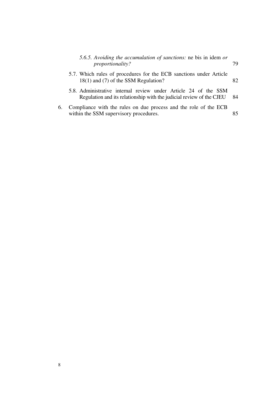|    | 5.6.5. Avoiding the accumulation of sanctions: ne bis in idem or<br><i>proportionality?</i>                                             |      |
|----|-----------------------------------------------------------------------------------------------------------------------------------------|------|
|    | 5.7. Which rules of procedures for the ECB sanctions under Article<br>18(1) and (7) of the SSM Regulation?                              | 82   |
|    | 5.8. Administrative internal review under Article 24 of the SSM<br>Regulation and its relationship with the judicial review of the CJEU | - 84 |
| 6. | Compliance with the rules on due process and the role of the ECB<br>within the SSM supervisory procedures.                              |      |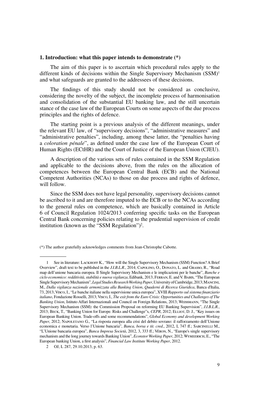#### **1. Introduction: what this paper intends to demonstrate (\*)**

The aim of this paper is to ascertain which procedural rules apply to the different kinds of decisions within the Single Supervisory Mechanism (SSM)<sup>1</sup> and what safeguards are granted to the addressees of these decisions.

The findings of this study should not be considered as conclusive, considering the novelty of the subject, the incomplete process of harmonisation and consolidation of the substantial EU banking law, and the still uncertain stance of the case law of the European Courts on some aspects of the due process principles and the rights of defence.

The starting point is a previous analysis of the different meanings, under the relevant EU law, of "supervisory decisions", "administrative measures" and "administrative penalties", including, among these latter, the "penalties having a *coloration pénale*", as defined under the case law of the European Court of Human Rights (ECtHR) and the Court of Justice of the European Union (CJEU).

A description of the various sets of rules contained in the SSM Regulation and applicable to the decisions above, from the rules on the allocation of competences between the European Central Bank (ECB) and the National Competent Authorities (NCAs) to those on due process and rights of defence, will follow.

Since the SSM does not have legal personality, supervisory decisions cannot be ascribed to it and are therefore imputed to the ECB or to the NCAs according to the general rules on competence, which are basically contained in Article 6 of Council Regulation 1024/2013 conferring specific tasks on the European Central Bank concerning policies relating to the prudential supervision of credit institution (known as the "SSM Regulation")<sup>2</sup>.

(\*) The author gratefully acknowledges comments from Jean-Christophe Cabotte.

<sup>1</sup> See in literature: LACKHOFF K., "How will the Single Supervisory Mechanism (SSM) Function? A Brief Overview", draft text to be published in the *J.I.B.L.R.*, 2014; Capolino, O., Donato, L. and Grasso, R., "Road map dell'unione bancaria europea. Il Single Supervisory Mechanism e le implicazioni per le banche", *Banche e ciclo economico: redditività, stabilità e nuova vigilanza*, Edibank, 2013; Ferran, E. and V. Babis, "The European Single Supervisory Mechanism", *Legal Studies Research Working Paper*, University of Cambridge, 2013; Mancini, M., *Dalla vigilanza nazionale armonizzata alla Banking Union*, *Quaderni di Ricerca Giuridica*, Banca d'Italia, 73, 2013; Visco, I., "Le banche italiane nella supervisione unica europea", XVIII *Rapporto sul sistema finanziario italiano*, Fondazione Rosselli, 2013; Visco, I., *The exit from the Euro Crisis: Opportunities and Challenges of The Banking Union*, Istituto Affari Internazionali and Council on Foreign Relations, 2013; Weissmann, "The Single Supervisory Mechanism (SSM): the Commission Proposal on reforming EU Banking Supervision", *J.I.B.L.R.*, 2013; Beck, T., "Banking Union for Europe. Risks and Challenge"s, *CEPR*, 2012; Elliot, D. J., "Key issues on European Banking Union. Trade-offs and some recommendations", *Global Economy and development Working Paper*, 2012; Napoletano G., "La risposta europea alla crisi del debito sovrano: il rafforzamento dell'Unione economica e monetaria. Verso l'Unione bancaria", *Banca, borsa e tit. cred.*, 2012, I, 747 ff.; SARCINELLI M., "L'Unione bancaria europea", *Banca Impresa Società*, 2012, 3, 333 ff.; Véron, N., "Europe's single supervisory mechanism and the long journey towards Banking Union", *Econstor Working Paper*, 2012; Wymeersch, E., "The European banking Union, a first analysis", *Financial Law Institute Working Paper*, 2012.

<sup>2</sup> OJ, L 287, 29.10.2013, p. 63.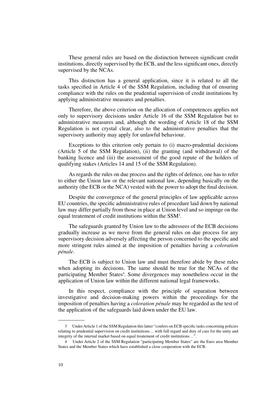These general rules are based on the distinction between significant credit institutions, directly supervised by the ECB, and the less significant ones, directly supervised by the NCAs.

This distinction has a general application, since it is related to all the tasks specified in Article 4 of the SSM Regulation, including that of ensuring compliance with the rules on the prudential supervision of credit institutions by applying administrative measures and penalties.

Therefore, the above criterion on the allocation of competences applies not only to supervisory decisions under Article 16 of the SSM Regulation but to administrative measures and, although the wording of Article 18 of the SSM Regulation is not crystal clear, also to the administrative penalties that the supervisory authority may apply for unlawful behaviour.

Exceptions to this criterion only pertain to (i) macro-prudential decisions (Article 5 of the SSM Regulation), (ii) the granting (and withdrawal) of the banking licence and (iii) the assessment of the good repute of the holders of qualifying stakes (Articles 14 and 15 of the SSM Regulation).

As regards the rules on due process and the rights of defence, one has to refer to either the Union law or the relevant national law, depending basically on the authority (the ECB or the NCA) vested with the power to adopt the final decision.

Despite the convergence of the general principles of law applicable across EU countries, the specific administrative rules of procedure laid down by national law may differ partially from those in place at Union level and so impinge on the equal treatement of credit institutions within the SSM3 .

The safeguards granted by Union law to the adressees of the ECB decisions gradually increase as we move from the general rules on due process for any supervisory decision adversely affecting the person concerned to the specific and more stringent rules aimed at the imposition of penalties having a *coloration pénale*.

The ECB is subject to Union law and must therefore abide by these rules when adopting its decisions. The same should be true for the NCAs of the participating Member States<sup>4</sup>. Some divergences may nonetheless occur in the application of Union law within the different national legal frameworks.

In this respect, compliance with the principle of separation between investigative and decision-making powers within the proceedings for the imposition of penalties having a *coloration pénale* may be regarded as the test of the application of the safeguards laid down under the EU law.

<sup>3</sup> Under Article 1 of the SSM Regulation this latter "confers on ECB specific tasks concerning policies relating to prudential supervision on credit institutions… with full regard and duty of care for the unity and integrity of the internal market based on equal treatement of credit institutions…".

<sup>4</sup> Under Article 2 of the SSM Regulation "participating Member States" are the Euro area Member States and the Member States which have established a close cooperation with the ECB.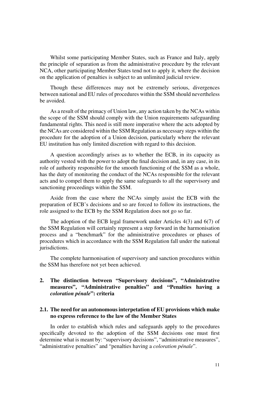Whilst some participating Member States, such as France and Italy, apply the principle of separation as from the administrative procedure by the relevant NCA, other participating Member States tend not to apply it, where the decision on the application of penalties is subject to an unlimited judicial review.

Though these differences may not be extremely serious, divergences between national and EU rules of procedures within the SSM should nevertheless be avoided.

As a result of the primacy of Union law, any action taken by the NCAs within the scope of the SSM should comply with the Union requirements safeguarding fundamental rights. This need is still more imperative where the acts adopted by the NCAs are considered within the SSM Regulation as necessary steps within the procedure for the adoption of a Union decision, particularly where the relevant EU institution has only limited discretion with regard to this decision.

A question accordingly arises as to whether the ECB, in its capacity as authority vested with the power to adopt the final decision and, in any case, in its role of authority responsible for the smooth functioning of the SSM as a whole, has the duty of monitoring the conduct of the NCAs responsible for the relevant acts and to compel them to apply the same safeguards to all the supervisory and sanctioning proceedings within the SSM.

Aside from the case where the NCAs simply assist the ECB with the preparation of ECB's decisions and so are forced to follow its instructions, the role assigned to the ECB by the SSM Regulation does not go so far.

The adoption of the ECB legal framework under Articles 4(3) and 6(7) of the SSM Regulation will certainly represent a step forward in the harmonisation process and a "benchmark" for the administrative procedures or phases of procedures which in accordance with the SSM Regulation fall under the national jurisdictions.

The complete harmonisation of supervisory and sanction procedures within the SSM has therefore not yet been achieved.

# **2. The distinction between "Supervisory decisions", "Administrative measures", "Administrative penalties" and "Penalties having a**  *coloration pénale***": criteria**

# **2.1. The need for an autonomous interpetation of EU provisions which make no express reference to the law of the Member States**

In order to establish which rules and safeguards apply to the procedures specifically devoted to the adoption of the SSM decisions one must first determine what is meant by: "supervisory decisions", "administrative measures", "administrative penalties" and "penalties having a *coloration pénale*".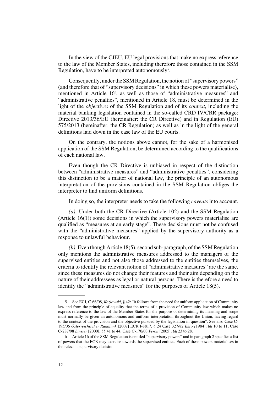In the view of the CJEU, EU legal provisions that make no express reference to the law of the Member States, including therefore those contained in the SSM Regulation, have to be interpreted autonomously<sup>5</sup>.

Consequently, under the SSM Regulation, the notion of "supervisory powers" (and therefore that of "supervisory decisions" in which these powers materialise), mentioned in Article 16<sup>6</sup>, as well as those of "administrative measures" and "administrative penalties", mentioned in Article 18, must be determined in the light of the *objectives* of the SSM Regulation and of its *context*, including the material banking legislation contained in the so-called CRD IV/CRR package: Directive 2013/36/EU (hereinafter: the CR Directive) and in Regulation (EU) 575/2013 (hereinafter: the CR Regulation) as well as in the light of the general definitions laid down in the case law of the EU courts.

On the contrary, the notions above cannot, for the sake of a harmonised application of the SSM Regulation, be determined according to the qualifications of each national law.

Even though the CR Directive is unbiased in respect of the distinction between "administrative measures" and "administrative penalties", considering this distinction to be a matter of national law, the principle of an autonomous interpretation of the provisions contained in the SSM Regulation obliges the interpreter to find uniform definitions.

In doing so, the interpreter needs to take the following *caveats* into account.

*(a).* Under both the CR Directive (Article 102) and the SSM Regulation (Article 16(1)) some decisions in which the supervisory powers materialise are qualified as "measures at an early stage". These decisions must not be confused with the "administrative measures" applied by the supervisory authority as a response to unlawful behaviour.

*(b).* Even though Article 18(5), second sub-paragraph, of the SSM Regulation only mentions the administrative measures addressed to the managers of the supervised entities and not also those addressed to the entities themselves, the criteria to identify the relevant notion of "administrative measures" are the same, since these measures do not change their features and their aim depending on the nature of their addressees as legal or natural persons. There is therefore a need to identify the "administrative measures" for the purposes of Article 18(5).

<sup>5</sup> See ECJ, C-66/08, *Kozlowski*, § 42: "it follows from the need for uniform application of Community law and from the principle of equality that the terms of a provision of Community law which makes no express reference to the law of the Member States for the purpose of determining its meaning and scope must normally be given an autonomous and uniform interpretation throughout the Union, having regard to the context of the provision and the objective pursued by the legislation in question". See also Case C-195/06 *Österreichischer Rundfunk* [2007] ECR I-8817, § 24 Case 327/82 *Ekro [*1984], §§ 10 to 11, Case C-287/98 *Linster* [2000], §§ 41 to 44, Case C-170/03 *Feron* [2005], §§ 23 to 28.

<sup>6</sup> Article 16 of the SSM Regulation is entitled "supervisory powers" and in paragraph 2 specifies a list of powers that the ECB may exercise towards the supervised entities. Each of these powers materialises in the relevant supervisory decision.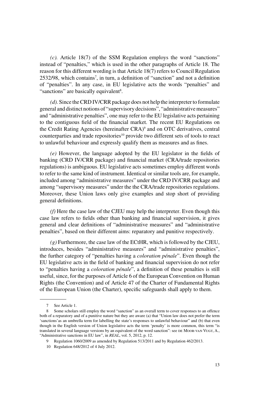*(c).* Article 18(7) of the SSM Regulation employs the word "sanctions" instead of "penalties," which is used in the other paragraphs of Article 18. The reason for this different wording is that Article 18(7) refers to Council Regulation 2532/98, which contains<sup>7</sup>, in turn, a definition of "sanction" and not a definition of "penalties". In any case, in EU legislative acts the words "penalties" and "sanctions" are basically equivalent<sup>8</sup>.

*(d).* Since the CRD IV/CRR package does not help the interpreter to formulate general and distinct notions of "supervisory decisions", "administrative measures" and "administrative penalties", one may refer to the EU legislative acts pertaining to the contiguous field of the financial market. The recent EU Regulations on the Credit Rating Agencies (hereinafter CRA)<sup>9</sup> and on OTC derivatives, central counterparties and trade repositories<sup>10</sup> provide two different sets of tools to react to unlawful behaviour and expressly qualify them as measures and as fines.

*(e)* However, the language adopted by the EU legislator in the fields of banking (CRD IV/CRR package) and financial market (CRA/trade repositories regulations) is ambiguous. EU legislative acts sometimes employ different words to refer to the same kind of instrument. Identical or similar tools are, for example, included among "administrative measures" under the CRD IV/CRR package and among "supervisory measures" under the the CRA/trade repositories regulations. Moreover, these Union laws only give examples and stop short of providing general definitions.

*(f)* Here the case law of the CJEU may help the interpreter. Even though this case law refers to fields other than banking and financial supervision, it gives general and clear definitions of "administrative measures" and "administrative penalties", based on their different aims: reparatory and punitive respectively.

*(g)* Furthermore, the case law of the ECtHR, which is followed by the CJEU, introduces, besides "administrative measures" and "administrative penalties", the further category of "penalties having a *coloration pénale*". Even though the EU legislative acts in the field of banking and financial supervision do not refer to "penalties having a *coloration pénale*", a definition of these penalties is still useful, since, for the purposes of Article 6 of the European Convention on Human Rights (the Convention) and of Article 47 of the Charter of Fundamental Rights of the European Union (the Charter), specific safeguards shall apply to them.

<sup>7</sup> See Article 1.

<sup>8</sup> Some scholars still employ the word "sanction" as an overall term to cover responses to an offence both of a reparatory and of a punitive nature but they are aware (a) that "Union law does not prefer the term 'sanctions'as an umbrella term for labelling the state's responses to unlawful behaviour" and (b) that even though in the English version of Union legislative acts the term 'penalty' is more common, this term "is translated in several language versions by an equivalent of the word sanction": see DE MOOR-VAN VUGT, A., "Administrative sanctions in EU law", in *REAL*, vol. 5, 2012, p. 12.

<sup>9</sup> Regulation 1060/2009 as amended by Regulation 513/2011 and by Regulation 462/2013.

<sup>10</sup> Regulation 648/2012 of 4 July 2012.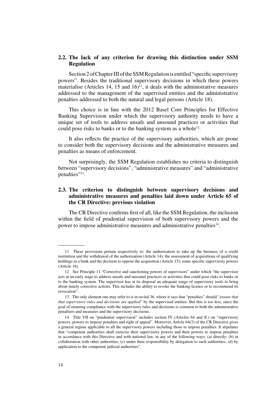## **2.2. The lack of any criterion for drawing this distinction under SSM Regulation**

Section 2 of Chapter III of the SSM Regulation is entitled "specific supervisory powers". Besides the traditional supervisory decisions in which these powers materialise (Articles 14, 15 and  $16$ )<sup>11</sup>, it deals with the administrative measures addressed to the management of the supervised entities and the administrative penalties addressed to both the natural and legal persons (Article 18).

This choice is in line with the 2012 Basel Core Principles for Effective Banking Supervision under which the supervisory authority needs to have a unique set of tools to address unsafe and unsound practices or activities that could pose risks to banks or to the banking system as a whole<sup>12</sup>.

It also reflects the practice of the supervisory authorities, which are prone to consider both the supervisory decisions and the administrative measures and penalties as means of enforcement.

Not surprisingly, the SSM Regulation establishes no criteria to distinguish between "supervisory decisions", "administrative measures" and "administrative penalties"<sup>13</sup>.

## **2.3. The criterion to distinguish between supervisory decisions and administrative measures and penalties laid down under Article 65 of the CR Directive: previous violation**

The CR Directive confirms first of all, like the SSM Regulation, the inclusion within the field of prudential supervision of both supervisory powers and the power to impose administrative measures and administrative penalties<sup>14</sup>.

<sup>11</sup> These provisions pertain respectively to: the authorisation to take up the business of a credit institution and the withdrawal of the authorisation (Article 14); the assessment of acquisitions of qualifying holdings in a bank and the decision to oppose the acquisition (Article 15); some specific supervisory powers (Article 16).

<sup>12</sup> See Principle 11 "Corrective and sanctioning powers of supervisors" under which "the supervisor acts at an early stage to address unsafe and unsound practices or activities that could pose risks to banks or to the banking system. The supervisor has at its disposal an adequate range of supervisory tools to bring about timely corrective actions. This includes the ability to revoke the banking licence or to recommend its revocation".

<sup>13</sup> The only element one may refer to is in recital 36, where it says that "penalties" should "*ensure that that supervisory rules and decisions are applied*" by the supervised entities. But this is too less, since the goal of ensuring compliance with the supervisory rules and decisions is common to both the administrative penaltiers and measures and the supervisory decisions.

<sup>14</sup> Title VII on "prudential supervision" includes section IV (Articles 64 and ff.) on "supervisory powers, powers to impose penalties and right of appeal". Moreover, Article 64(2) of the CR Directive gives a general regime applicable to all the supervisory powers including those to impose penalties. It stipulates that "competent authorities shall exercise their supervisory powers and their powers to impose penalties in accordance with this Directive and with national law, in any of the following ways: (a) directly; (b) in collaboration with other authorities; (c) under their responsibility by delegation to such authorities; (d) by application to the competent judicial authorities".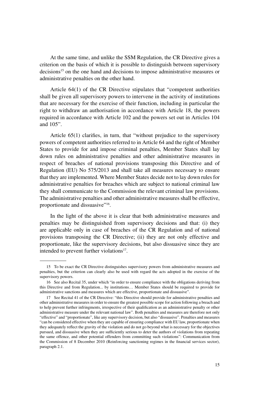At the same time, and unlike the SSM Regulation, the CR Directive gives a criterion on the basis of which it is possible to distinguish between supervisory decisions<sup>15</sup> on the one hand and decisions to impose administrative measures or administrative penalties on the other hand.

Article 64(1) of the CR Directive stipulates that "competent authorities shall be given all supervisory powers to intervene in the activity of institutions that are necessary for the exercise of their function, including in particular the right to withdraw an authorisation in accordance with Article 18, the powers required in accordance with Article 102 and the powers set out in Articles 104 and 105".

Article 65(1) clarifies, in turn, that "without prejudice to the supervisory powers of competent authorities referred to in Article 64 and the right of Member States to provide for and impose criminal penalties, Member States shall lay down rules on administrative penalties and other administrative measures in respect of breaches of national provisions transposing this Directive and of Regulation (EU) No 575/2013 and shall take all measures necessary to ensure that they are implemented. Where Member States decide not to lay down rules for administrative penalties for breaches which are subject to national criminal law they shall communicate to the Commission the relevant criminal law provisions. The administrative penalties and other administrative measures shall be effective, proportionate and dissuasive"<sup>16</sup>.

In the light of the above it is clear that both administrative measures and penalties may be distinguished from supervisory decisions and that: (i) they are applicable only in case of breaches of the CR Regulation and of national provisions transposing the CR Directive; (ii) they are not only effective and proportionate, like the supervisory decisions, but also dissuasive since they are intended to prevent further violations<sup>17</sup>.

<sup>15</sup> To be exact the CR Directive distinguishes supervisory powers from administrative measures and penalties, but the criterion can clearly also be used with regard the acts adopted in the exercise of the supervisory powers.

<sup>16</sup> See also Recital 35, under which "in order to ensure compliance with the obligations deriving from this Directive and from Regulation... by institutions… Member States should be required to provide for administrative sanctions and measures which are effective, proportionate and dissuasive".

<sup>17</sup> See Recital 41 of the CR Directive: "this Directive should provide for administrative penalties and other administrative measures in order to ensure the greatest possible scope for action following a breach and to help prevent further infringments, irrespective of their qualification as an administrative penalty or other administrative measure under the relevant national law". Both penalties and measures are therefore not only "effective" and "proportionate", like any supervisory decision, but also "dissuasive". Penalties and measures "can be considered effective when they are capable of ensuring compliance with EU law, proportionate when they adequately reflect the gravity of the violation and do not go beyond what is necessary for the objectives pursued, and dissuasive when they are sufficiently serious to deter the authors of violations from repeating the same offence, and other potential offenders from committing such violations": Communication from the Commission of 8 December 2010 (Reinforcing sanctioning regimes in the financial services sector), paragraph 2.1.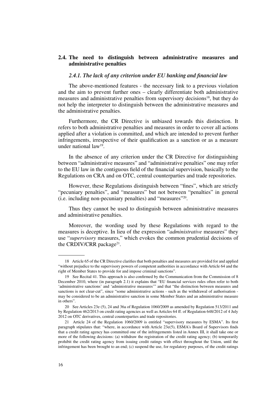## **2.4. The need to distinguish between administrative measures and administrative penalties**

#### *2.4.1. The lack of any criterion under EU banking and financial law*

The above-mentioned features - the necessary link to a previous violation and the aim to prevent further ones – clearly differentiate both administrative measures and administrative penalties from supervisory decisions<sup>18</sup>, but they do not help the interpreter to distinguish between the administrative measures and the administrative penalties.

Furthermore, the CR Directive is unbiased towards this distinction. It refers to both administrative penalties and measures in order to cover all actions applied after a violation is committed, and which are intended to prevent further infringements, irrespective of their qualification as a sanction or as a measure under national law<sup>19</sup>.

In the absence of any criterion under the CR Directive for distinguishing between "administrative measures" and "administrative penalties" one may refer to the EU law in the contiguous field of the financial supervision, basically to the Regulations on CRA and on OTC, central counterparties and trade repositories.

However, these Regulations distinguish between "fines", which are strictly "pecuniary penalties", and "measures" but not between "penalties" in general (i.e. including non-pecuniary penalties) and "measures"20.

Thus they cannot be used to distinguish between administrative measures and administrative penalties.

Moreover, the wording used by these Regulations with regard to the measures is deceptive. In lieu of the expression "*administrative* measures" they use "*supervisory* measures," which evokes the common prudential decisions of the CRDIV/CRR package<sup>21</sup>.

<sup>18</sup> Article 65 of the CR Directive clarifies that both penalties and measures are provided for and applied "without prejudice to the supervisory powers of competent authorities in accordance with Article 64 and the right of Member States to provide for and impose criminal sanctions".

<sup>19</sup> See Recital 41. This approach is also confirmed by the Communication from the Commission of 8 December 2010, where (in paragraph 2.1) it explains that "EU financial services rules often refer to both 'administrative sanctions' and 'administrative measures'" and that "the distinction between measures and sanctions is not clear-cut", since "some administrative actions - such as the withdrawal of authorisation may be considered to be an administrative sanction in some Member States and an administrative measure in others".

<sup>20</sup> See Articles 23e (5), 24 and 36a of Regulation 1060/2009 as amended by Regulation 513/2011 and by Regulation 462/2013 on credit rating agencies as well as Articles 64 ff. of Regulation 648/2012 of 4 July 2012 on OTC derivatives, central counterparties and trade repositories.

<sup>21</sup> Article 24 of the Regulation 1060/2009 is entitled "supervisory measures by ESMA". Its first paragraph stipulates that: "where, in accordance with Article 23e(5), ESMA's Board of Supervisors finds that a credit rating agency has committed one of the infringements listed in Annex III, it shall take one or more of the following decisions: (a) withdraw the registration of the credit rating agency; (b) temporarily prohibit the credit rating agency from issuing credit ratings with effect throughout the Union, until the infringement has been brought to an end; (c) suspend the use, for regulatory purposes, of the credit ratings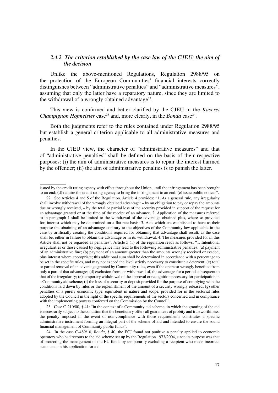## *2.4.2. The criterion established by the case law of the CJEU: the aim of the decision*

Unlike the above-mentioned Regulations, Regulation 2988/95 on the protection of the European Communities' financial interests correctly distinguishes between "administrative penalties" and "administrative measures", assuming that only the latter have a reparatory nature, since they are limited to the withdrawal of a wrongly obtained advantage<sup>22</sup>.

This view is confirmed and better clarified by the CJEU in the *Kaserei Champignon Hofmeister case*<sup>23</sup> and, more clearly, in the *Bonda* case<sup>24</sup>.

Both the judgments refer to the rules contained under Regulation 2988/95 but establish a general criterion applicable to all administrative measures and penalties.

In the CJEU view, the character of "administrative measures" and that of "administrative penalties" shall be defined on the basis of their respective purposes: (i) the aim of administrative measures is to repair the interest harmed by the offender; (ii) the aim of administrative penalties is to punish the latter.

23 Case C-210/00, § 41: "in the context of a Community aid scheme, in which the granting of the aid is necessarily subject to the condition that the beneficiary offers all guarantees of probity and trustworthiness, the penalty imposed in the event of non-compliance with those requirements constitutes a specific administrative instrument forming an integral part of the scheme of aid and intended to ensure the sound financial management of Community public funds".

issued by the credit rating agency with effect throughout the Union, until the infringement has been brought to an end; (d) require the credit rating agency to bring the infringement to an end; (e) issue public notices".

<sup>22</sup> See Articles 4 and 5 of the Regulation. Article 4 provides: "1. As a general rule, any irregularity shall involve withdrawal of the wrongly obtained advantage: – by an obligation to pay or repay the amounts due or wrongly received, – by the total or partial loss of the security provided in support of the request for an advantage granted or at the time of the receipt of an advance. 2. Application of the measures referred to in paragraph 1 shall be limited to the withdrawal of the advantage obtained plus, where so provided for, interest which may be determined on a flat-rate basis. 3. Acts which are established to have as their purpose the obtaining of an advantage contrary to the objectives of the Community law applicable in the case by artificially creating the conditions required for obtaining that advantage shall result, as the case shall be, either in failure to obtain the advantage or in its withdrawal. 4. The measures provided for in this Article shall not be regarded as penalties". Article 5 (1) of the regulation reads as follows: "1. Intentional irregularities or those caused by negligence may lead to the following administrative penalties: (a) payment of an administrative fine; (b) payment of an amount greater than the amounts wrongly received or evaded, plus interest where appropriate; this additional sum shall be determined in accordance with a percentage to be set in the specific rules, and may not exceed the level strictly necessary to constitute a deterrent; (c) total or partial removal of an advantage granted by Community rules, even if the operator wrongly benefited from only a part of that advantage; (d) exclusion from, or withdrawal of, the advantage for a period subsequent to that of the irregularity; (e) temporary withdrawal of the approval or recognition necessary for participation in a Community aid scheme; (f) the loss of a security or deposit provided for the purpose of complying with the conditions laid down by rules or the replenishment of the amount of a security wrongly released; (g) other penalties of a purely economic type, equivalent in nature and scope, provided for in the sectorial rules adopted by the Council in the light of the specific requirements of the sectors concerned and in compliance with the implementing powers conferred on the Commission by the Council".

<sup>24</sup> In the case C-489/10, *Bonda*, § 40, the ECJ found not punitive a penalty applied to economic operators who had recours to the aid scheme set up by the Regulation 1973/2004, since its purpose was that of protecting the management of the EU funds by temporarily excluding a recipient who made incorrect statements in his application for aid.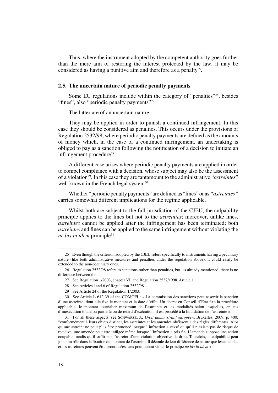Thus, where the instrument adopted by the competent authority goes further than the mere aim of restoring the interest protected by the law, it may be considered as having a punitive aim and therefore as a penalty<sup>25</sup>.

#### **2.5. The uncertain nature of periodic penalty payments**

Some EU regulations include within the category of "penalties"<sup>26</sup>, besides "fines", also "periodic penalty payments"<sup>27</sup>.

The latter are of an uncertain nature.

They may be applied in order to punish a continued infringement. In this case they should be considered as penalties. This occurs under the provisions of Regulation 2532/98, where periodic penalty payments are defined as the amounts of money which, in the case of a continued infringement, an undertaking is obliged to pay as a sanction following the notification of a decision to initiate an infringement procedure<sup>28</sup>.

A different case arises where periodic penalty payments are applied in order to compel compliance with a decision, whose subject may also be the assessment of a violation29. In this case they are tantamount to the administrative "*astreintes*" well known in the French legal system<sup>30</sup>.

Whether "periodic penalty payments" are defined as "fines" or as *"astreintes"* carries somewhat different implications for the regime applicable.

Whilst both are subject to the full jurisdiction of the CJEU, the culpability principle applies to the fines but not to the *astreintes*; moreover, unlike fines, *astreintes* cannot be applied after the infringement has been terminated; both *astreintes* and fines can be applied to the same infringement without violating the *ne bis in idem* principle31.

<sup>25</sup> Even though the criterion adopted by the CJEU refers specifically to instruments having a pecuniary nature (like both administrative measures and penalties under the regulation above), it could easily be extended to the non-pecuniary ones.

<sup>26</sup> Regulation 2532/98 refers to sanctions rather than penalties, but, as already mentioned, there is no difference between them.

<sup>27</sup> See Regulation 1/2003, chapter VI, and Regulation 2532/1998, Article 1.

<sup>28</sup> See Articles 1and 6 of Regulation 2532/98.

<sup>29</sup> See Article 24 of the Regulation 1/2003.

<sup>30</sup> See Article L 612-39 of the COMOFI : « La commission des sanctions peut assortir la sanction d'une astreinte, dont elle fixe le montant et la date d'effet. Un décret en Conseil d'Etat fixe la procédure applicable, le montant journalier maximum de l'astreinte et les modalités selon lesquelles, en cas d'inexécution totale ou partielle ou de retard d'exécution, il est procédé à la liquidation de l'astreinte ».

<sup>31</sup> For all these aspects, see Schwarze, J., *Droit administratif européen*, Bruxelles, 2009, p. 400: "conformément à leurs objets distinct, les astreintes et les amendes obéissent à des règles différentes. Alor qu'une astreint ne peut plus être prononcé lorsque l'infraction a cessé ou qu'il n'existe pas de risque de récidive, une amende peut être infligée même lorsque l'infraction a pris fin. L'amende suppose une action coupable, tandis qu'il suffit pur l'astreint d'une violation objective de droit. Toutefois, la culpabilité peut jouer un rôle dans la fixation du montant de l'astreint. Il découle de leur différence de nature que les amendes et les astreintes peuvent être prononcées sans pour autant violer le principe *ne bis in idem* ».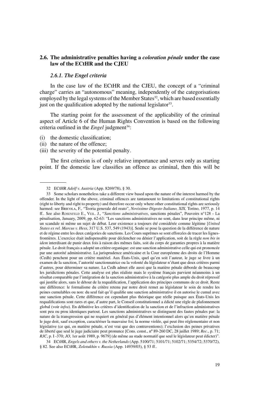## **2.6. The administrative penalties having a** *coloration pénale* **under the case law of the ECtHR and the CJEU**

#### *2.6.1. The Engel criteria*

In the case law of the ECtHR and the CJEU, the concept of a "criminal charge" carries an "autonomous" meaning, independently of the categorisations employed by the legal systems of the Member States<sup>32</sup>, which are based essentially just on the qualification adopted by the national legislator<sup>33</sup>.

The starting point for the assessment of the applicability of the criminal aspect of Article 6 of the Human Rights Convention is based on the following criteria outlined in the *Engel* judgment<sup>34</sup>:

- (i) the domestic classification;
- (ii) the nature of the offence;
- (iii) the severity of the potential penalty.

The first criterion is of only relative importance and serves only as starting point. If the domestic law classifies an offence as criminal, then this will be

<sup>32</sup> ECtHR *Adolf v. Austria* (App. 8269/78), § 30.

<sup>33</sup> Some scholars nonetheless take a different view based upon the nature of the interest harmed by the offender. In the light of the above, criminal offences are tantamount to limitations of constitutional rights (right to liberty and right to property) and therefore occur only where other constitutional rights are seriously harmed: see Bricola, F., "Teoria generale del reato", *Novissimo Digesto Italiano, XIX,* Torino, 1977, p. 14 ff.. See also Rosenfeld E., Veil. J., "*Sanctions administratives*, sanctions pénales", Pouvoirs n°128 - La pénalisation, January, 2009, pp. 62-63: "Les sanctions administratives ne sont, dans leur principe même, ni un scandale ni même un sujet de débat. Leur existence a toujours été considérée comme légitime [*United States ex rel. Marcus v. Hess*, 317 U.S. 537, 549 (1943)]. Seule se pose la question de la différence de nature et de régime entre les deux catégories de sanctions. Les Cours suprêmes se sont efforcées de tracer les lignesfrontières. L'exercice était indispensable pour déclencher ou dénier l'application, soit de la règle *non bis in idem* interdisant de punir deux fois à raison des mêmes faits, soit du corps de garanties propres à la matière pénale. Le droit français a adopté un critère organique: est une sanction administrative celle qui est prononcée par une autorité administrative. La jurisprudence américaine et la Cour européenne des droits de l'Homme (Cedh) penchent pour un critère matériel. Aux États-Unis, quel qu'en soit l'auteur, le juge se livre à un examen de la sanction, l'autorité sanctionnatrice ou la volonté du législateur n'étant que deux critères parmi d'autres, pour déterminer sa nature. La Cedh admet elle aussi que la matière pénale déborde de beaucoup les juridictions pénales. Cette analyse est plus réaliste mais le système français parvient néanmoins à un résultat comparable par l'intégration de la sanction administrative à la catégorie plus ample du droit répressif qui justifie alors, sans le détour de la requalification, l'application des principes communs de ce droit. Reste une différence: le formalisme du critère retenu par notre droit remet au législateur le soin de rendre les peines cumulables ou non: du seul fait qu'il qualifie une sanction administrative il en autorise le cumul avec une sanction pénale. Cette différence est cependant plus théorique que réelle puisque aux États-Unis les requalifications sont rares et que, d'autre part, le Conseil constitutionnel a édicté une règle de plafonnement global (voir *infra*). En définitive les critères d'identification de la sanction et de l'infraction administratives sont peu ou prou identiques partout. Les sanctions administratives se distinguent des fautes pénales par: la nature de la transgression qui ne requiert en général pas d'élément intentionnel alors qu'en matière pénale le juge doit, sauf exception, caractériser la mauvaise foi; la norme violée, qui peut être réglementaire et non législative (ce qui, en matière pénale, n'est vrai que des contraventions); l'exclusion des peines privatives de liberté que seul le juge judiciaire peut pronunce [Cons. const., nº 89-260 DC, 28 juillet 1989; *Rec*., p. 71; *RJC*, p. I -370; *JO*, 1er août 1989, p. 9679] (de même au stade normatif que seul le législateur peut édicter)".

<sup>34</sup> ECtHR, *Engels and others v. the Netherlands* (App. 5100/71; 5101/71; 5102/71; 5354/72; 5370/72), § 82. See also ECtHR, *Zolotukhin v. Russia* (App. 14939/03), § 53 ff..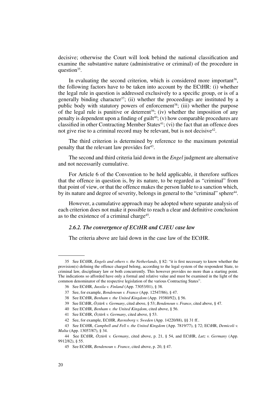decisive; otherwise the Court will look behind the national classification and examine the substantive nature (administrative or criminal) of the procedure in question $35$ .

In evaluating the second criterion, which is considered more important<sup>36</sup>, the following factors have to be taken into account by the ECtHR: (i) whether the legal rule in question is addressed exclusively to a specific group, or is of a generally binding character<sup>37</sup>; (ii) whether the proceedings are instituted by a public body with statutory powers of enforcement<sup>38</sup>; (iii) whether the purpose of the legal rule is punitive or deterrent<sup>39</sup>; (iv) whether the imposition of any penalty is dependent upon a finding of guilt<sup>40</sup>; (v) how comparable procedures are classified in other Contracting Member States $4$ ; (vi) the fact that an offence does not give rise to a criminal record may be relevant, but is not decisive<sup>42</sup>.

The third criterion is determined by reference to the maximum potential penalty that the relevant law provides for<sup>43</sup>.

The second and third criteria laid down in the *Engel* judgment are alternative and not necessarily cumulative.

For Article 6 of the Convention to be held applicable, it therefore suffices that the offence in question is, by its nature, to be regarded as "criminal" from that point of view, or that the offence makes the person liable to a sanction which, by its nature and degree of severity, belongs in general to the "criminal" sphere<sup>44</sup>.

However, a cumulative approach may be adopted where separate analysis of each criterion does not make it possible to reach a clear and definitive conclusion as to the existence of a criminal charge<sup>45</sup>.

## *2.6.2. The convergence of ECtHR and CJEU case law*

The criteria above are laid down in the case law of the ECtHR.

<sup>35</sup> See ECtHR, *Engels and others v. the Netherlands*, § 82: "it is first necessary to know whether the provision(s) defining the offence charged belong, according to the legal system of the respondent State, to criminal law, disciplinary law or both concurrently. This however provides no more than a starting point. The indications so afforded have only a formal and relative value and must be examined in the light of the common denominator of the respective legislation of the various Contracting States".

<sup>36</sup> See ECtHR, *Jussila v. Finland* (App. 73053/01), § 38.

<sup>37</sup> See, for example, *Bendenoun v. France* (App. 12547/86), § 47.

<sup>38</sup> See ECtHR, *Benham v. the United Kingdom* (App. 19380/92), § 56.

<sup>39</sup> See ECtHR, *Öztürk v. Germany*, cited above, § 53; *Bendenoun v. France*, cited above, § 47.

<sup>40</sup> See ECtHR, *Benham v. the United Kingdom*, cited above, § 56.

<sup>41</sup> See ECtHR, *Öztürk v. Germany*, cited above, § 53.

<sup>42</sup> See, for example, ECtHR, *Ravnsborg v. Sweden* (App. 14220/88), §§ 31 ff..

<sup>43</sup> See ECtHR, *Campbell and Fell v. the United Kingdom* (App. 7819/77), § 72; ECtHR, *Demicoli v. Malta* (App. 13057/87), § 34.

<sup>44</sup> See ECtHR, *Öztürk v. Germany*, cited above, p. 21, § 54, and ECtHR, *Lutz v. Germany* (App. 9912/82), § 55.

<sup>45</sup> See ECtHR, *Bendenoun v. France*, cited above, p. 20, § 47.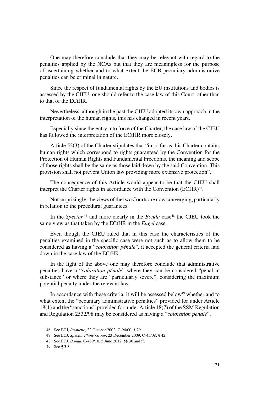One may therefore conclude that they may be relevant with regard to the penalties applied by the NCAs but that they are meaningless for the purpose of ascertaining whether and to what extent the ECB pecuniary administrative penalties can be criminal in nature.

Since the respect of fundamental rights by the EU institutions and bodies is assessed by the CJEU, one should refer to the case law of this Court rather than to that of the ECtHR.

Nevertheless, although in the past the CJEU adopted its own approach in the interpretation of the human rights, this has changed in recent years.

Especially since the entry into force of the Charter, the case law of the CJEU has followed the interpretation of the ECtHR more closely.

Article 52(3) of the Charter stipulates that "in so far as this Charter contains human rights which correspond to rights guaranteed by the Convention for the Protection of Human Rights and Fundamental Freedoms, the meaning and scope of those rights shall be the same as those laid down by the said Convention. This provision shall not prevent Union law providing more extensive protection".

The consequence of this Article would appear to be that the CJEU shall interpret the Charter rights in accordance with the Convention (ECHR)<sup>46</sup>.

Not surprisingly, the views of the two Courts are now converging, particularly in relation to the procedural guarantees.

In the *Spector*<sup>47</sup> and more clearly in the *Bonda* case<sup>48</sup> the CJEU took the same view as that taken by the ECtHR in the *Engel* case.

Even though the CJEU ruled that in this case the characteristics of the penalties examined in the specific case were not such as to allow them to be considered as having a "*coloration pénale*", it accepted the general criteria laid down in the case law of the ECtHR.

In the light of the above one may therefore conclude that administrative penalties have a "*coloration pénale*" where they can be considered "penal in substance" or where they are "particularly severe", considering the maximum potential penalty under the relevant law.

In accordance with these criteria, it will be assessed below<sup>49</sup> whether and to what extent the "pecuniary administrative penalties" provided for under Article 18(1) and the "sanctions" provided for under Article 18(7) of the SSM Regulation and Regulation 2532/98 may be considered as having a "*coloration pénale*".

<sup>46</sup> See ECJ, *Roquette*, 22 October 2002, C-94/00, § 29.

<sup>47</sup> See ECJ, *Spector Photo Group*, 23 December 2009, C-45/08, § 42.

<sup>48</sup> See ECJ, *Bonda*, C-489/10, 5 June 2012, §§ 36 and ff.

<sup>49</sup> See § 3.3.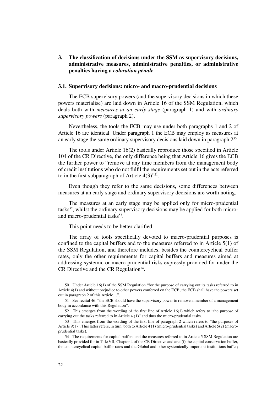**3. The classification of decisions under the SSM as supervisory decisions, administrative measures, administrative penalties, or administrative penalties having a** *coloration pénale*

## **3.1. Supervisory decisions: micro- and macro-prudential decisions**

The ECB supervisory powers (and the supervisory decisions in which these powers materialise) are laid down in Article 16 of the SSM Regulation, which deals both with *measures at an early stage* (paragraph 1) and with *ordinary supervisory powers* (paragraph 2).

Nevertheless, the tools the ECB may use under both paragraphs 1 and 2 of Article 16 are identical. Under paragraph 1 the ECB may employ as measures at an early stage the same ordinary supervisory decisions laid down in paragraph 250.

The tools under Article 16(2) basically reproduce those specified in Article 104 of the CR Directive, the only difference being that Article 16 gives the ECB the further power to "remove at any time members from the management body of credit institutions who do not fulfil the requirements set out in the acts referred to in the first subparagraph of Article  $4(3)$ <sup>"51</sup>.

Even though they refer to the same decisions, some differences between measures at an early stage and ordinary supervisory decisions are worth noting.

The measures at an early stage may be applied only for micro-prudential  $t$ asks<sup>52</sup>, whilst the ordinary supervisory decisions may be applied for both microand macro-prudential tasks<sup>53</sup>.

This point needs to be better clarified.

The array of tools specifically devoted to macro-prudential purposes is confined to the capital buffers and to the measures referred to in Article 5(1) of the SSM Regulation, and therefore includes, besides the countercyclical buffer rates, only the other requirements for capital buffers and measures aimed at addressing systemic or macro-prudential risks expressly provided for under the CR Directive and the CR Regulation<sup>54</sup>.

<sup>50</sup> Under Article 16(1) of the SSM Regulation "for the purpose of carrying out its tasks referred to in Article 4(1) and without prejudice to other powers conferred on the ECB, the ECB shall have the powers set out in paragraph 2 of this Article…".

<sup>51</sup> See recital 46: "the ECB should have the supervisory power to remove a member of a management body in accordance with this Regulation".

<sup>52</sup> This emerges from the wording of the first line of Article 16(1) which refers to "the purpose of carrying out the tasks referred to in Article 4 (1)" and thus the micro-prudential tasks.

<sup>53</sup> This emerges from the wording of the first line of paragraph 2 which refers to "the purposes of Article 9(1)". This latter refers, in turn, both to Article 4 (1) (micro-prudential tasks) and Article 5(2) (macroprudential tasks).

<sup>54</sup> The requirements for capital buffers and the measures referred to in Article 5 SSM Regulation are basically provided for in Title VII, Chapter 4 of the CR Directive and are: (i) the capital conservation buffer, the countercyclical capital buffer rates and the Global and other systemically important institutions buffer;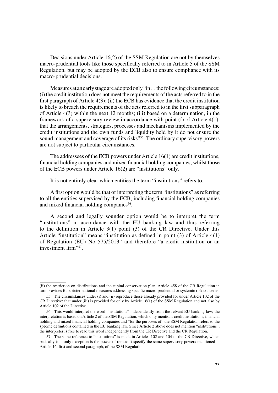Decisions under Article 16(2) of the SSM Regulation are not by themselves macro-prudential tools like those specifically referred to in Article 5 of the SSM Regulation, but may be adopted by the ECB also to ensure compliance with its macro-prudential decisions.

Measures at an early stage are adopted only "in… the following circumstances: (i) the credit institution does not meet the requirements of the acts referred to in the first paragraph of Article 4(3); (ii) the ECB has evidence that the credit institution is likely to breach the requirements of the acts referred to in the first subparagraph of Article 4(3) within the next 12 months; (iii) based on a determination, in the framework of a supervisory review in accordance with point (f) of Article 4(1), that the arrangements, strategies, processes and mechanisms implemented by the credit institutions and the own funds and liquidity held by it do not ensure the sound management and coverage of its risks<sup>355</sup>. The ordinary supervisory powers are not subject to particular circumstances.

The addressees of the ECB powers under Article 16(1) are credit institutions, financial holding companies and mixed financial holding companies, whilst those of the ECB powers under Article 16(2) are "institutions" only.

It is not entirely clear which entities the term "institutions" refers to.

A first option would be that of interpreting the term "institutions" as referring to all the entities supervised by the ECB, including financial holding companies and mixed financial holding companies<sup>56</sup>.

A second and legally sounder option would be to interpret the term "institutions" in accordance with the EU banking law and thus referring to the definition in Article 3(1) point (3) of the CR Directive. Under this Article "institution" means "institution as defined in point (3) of Article 4(1) of Regulation (EU) No 575/2013" and therefore "a credit institution or an investment firm"57.

<sup>(</sup>ii) the restriction on distributions and the capital conservation plan. Article 458 of the CR Regulation in turn provides for stricter national measures addressing specific macro-prudential or systemic risk concerns.

<sup>55</sup> The circumstances under (i) and (ii) reproduce those already provided for under Article 102 of the CR Directive; that under (iii) is provided for only by Article 16(1) of the SSM Regulation and not also by Article 102 of the Directive.

<sup>56</sup> This would interpret the word "institutions" independently from the relvant EU banking law; the interpretation is based on Article 2 of the SSM Regulation, which only mentions credit institutions, financial holding and mixed financial holding companies and "for the purposes of" the SSM Regulation refers to the specific definitions contained in the EU banking law. Since Article 2 above does not mention "institutions", the interpreter is free to read this word independently from the CR Directive and the CR Regulation.

<sup>57</sup> The same reference to "institutions" is made in Articles 102 and 104 of the CR Directive, which basically (the only exception is the power of removal) specify the same supervisory powers mentioned in Article 16, first and second paragraph, of the SSM Regulation.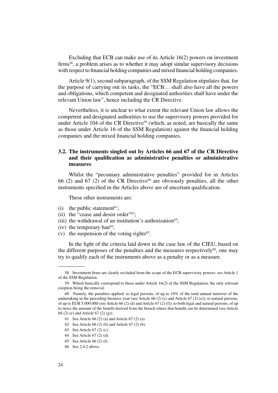Excluding that ECB can make use of its Article 16(2) powers on investment firms58, a problem arises as to whether it may adopt similar supervisory decisions with respect to financial holding companies and mixed financial holding companies.

Article 9(1), second subparagraph, of the SSM Regulation stipulates that, for the purpose of carrying out its tasks, the "ECB… shall also have all the powers and obligations, which competent and designated authorities shall have under the relevant Union law", hence including the CR Directive.

Nevertheless, it is unclear to what extent the relevant Union law allows the competent and designated authorities to use the supervisory powers provided for under Article 104 of the CR Directive<sup>59</sup> (which, as noted, are basically the same as those under Article 16 of the SSM Regulation) against the financial holding companies and the mixed financial holding companies.

# **3.2. The instruments singled out by Articles 66 and 67 of the CR Directive and their qualification as administrative penalties or administrative measures**

Whilst the "pecuniary administrative penalties" provided for in Articles 66 (2) and 67 (2) of the CR Directive<sup>60</sup> are obviously penalties, all the other instruments specified in the Articles above are of uncertain qualification.

These other instruments are:

- (i) the public statement<sup>61</sup>;
- (ii) the "cease and desist order" $62$ ;
- (iii) the withdrawal of an institution's authorisation $63$ ;
- (iv) the temporary ban $64$ ;
- (v) the suspension of the voting rights<sup>65</sup>.

In the light of the criteria laid down in the case law of the CJEU, based on the different purposes of the penalties and the measures respectively<sup>66</sup>, one may try to qualify each of the instruments above as a penalty or as a measure.

<sup>58</sup> Investment firms are clearly excluded from the scope of the ECB supervisory powers: see Article 1 of the SSM Regulation.

<sup>59</sup> Which basically correspond to those under Article 16(2) of the SSM Regulation, the only relevant exeption being the removal.

<sup>60</sup> Namely, the penalties applied: to legal persons, of up to 10% of the total annual turnover of the undertaking in the preceding business year (see Article 66 (2) (c) and Article 67 (2) (e)); to natural persons, of up to EUR 5.000.000 (see Article 66 (2) (d) and Article 67 (2) (f)); to both legal and natural persons, of up to twice the amount of the benefit derived from the breach where that benefit can be determined (see Article 66 (2) (e) and Article 67 (2) (g)).

<sup>61</sup> See Article 66 (2) (a) and Article 67 (2) (a).

<sup>62</sup> See Article 66 (2) (b) and Article 67 (2) (b).

<sup>63</sup> See Article 67 (2) (c).

<sup>64</sup> See Article 67 (2) (d).

<sup>65</sup> See Article 66 (2) (f).

<sup>66</sup> See 2.4.2 above.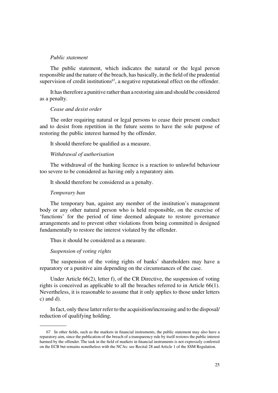#### *Public statement*

The public statement, which indicates the natural or the legal person responsible and the nature of the breach, has basically, in the field of the prudential supervision of credit institutions<sup>67</sup>, a negative reputational effect on the offender.

It has therefore a punitive rather than a restoring aim and should be considered as a penalty.

#### *Cease and desist order*

The order requiring natural or legal persons to cease their present conduct and to desist from repetition in the future seems to have the sole purpose of restoring the public interest harmed by the offender.

It should therefore be qualified as a measure.

#### *Withdrawal of authorisation*

The withdrawal of the banking licence is a reaction to unlawful behaviour too severe to be considered as having only a reparatory aim.

It should therefore be considered as a penalty.

#### *Temporary ban*

The temporary ban, against any member of the institution's management body or any other natural person who is held responsible, on the exercise of 'functions' for the period of time deemed adequate to restore governance arrangements and to prevent other violations from being committed is designed fundamentally to restore the interest violated by the offender.

Thus it should be considered as a measure.

#### *Suspension of voting rights*

The suspension of the voting rights of banks' shareholders may have a reparatory or a punitive aim depending on the circumstances of the case.

Under Article 66(2), letter f), of the CR Directive, the suspension of voting rights is conceived as applicable to all the breaches referred to in Article 66(1). Nevertheless, it is reasonable to assume that it only applies to those under letters c) and d).

In fact, only these latter refer to the acquisition/increasing and to the disposal/ reduction of qualifying holding.

<sup>67</sup> In other fields, such as the markets in financial instruments, the public statement may also have a reparatory aim, since the publication of the breach of a transparency rule by itself restores the public interest harmed by the offender. The task in the field of markets in financial instruments is not expressely conferred on the ECB but remains nonetheless with the NCAs: see Recital 28 and Article 1 of the SSM Regulation.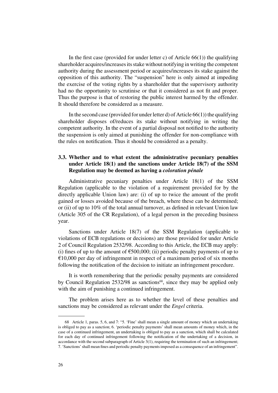In the first case (provided for under letter c) of Article  $66(1)$ ) the qualifying shareholder acquires/increases its stake without notifying in writing the competent authority during the assessment period or acquires/increases its stake against the opposition of this authority. The "suspension" here is only aimed at impeding the exercise of the voting rights by a shareholder that the supervisory authority had no the opportunity to scrutinise or that it considered as not fit and proper. Thus the purpose is that of restoring the public interest harmed by the offender. It should therefore be considered as a measure.

In the second case (provided for under letter d) of Article  $66(1)$ ) the qualifying shareholder disposes of/reduces its stake without notifying in writing the competent authority. In the event of a partial disposal not notified to the authority the suspension is only aimed at punishing the offender for non-compliance with the rules on notification. Thus it should be considered as a penalty.

# **3.3. Whether and to what extent the administrative pecuniary penalties under Article 18(1) and the sanctions under Article 18(7) of the SSM Regulation may be deemed as having a** *coloration pénale*

Administrative pecuniary penalties under Article 18(1) of the SSM Regulation (applicable to the violation of a requirement provided for by the directly applicable Union law) are: (i) of up to twice the amount of the profit gained or losses avoided because of the breach, where these can be determined; or (ii) of up to  $10\%$  of the total annual turnover, as defined in relevant Union law (Article 305 of the CR Regulation), of a legal person in the preceding business year.

Sanctions under Article 18(7) of the SSM Regulation (applicable to violations of ECB regulations or decisions) are those provided for under Article 2 of Council Regulation 2532/98. According to this Article, the ECB may apply: (i) fines of up to the amount of  $\epsilon$ 500,000; (ii) periodic penalty payments of up to  $€10,000$  per day of infringement in respect of a maximum period of six months following the notification of the decision to initiate an infringement procedure.

It is worth remembering that the periodic penalty payments are considered by Council Regulation  $2532/98$  as sanctions<sup>68</sup>, since they may be applied only with the aim of punishing a continued infringement.

The problem arises here as to whether the level of these penalties and sanctions may be considered as relevant under the *Engel* criteria.

<sup>68</sup> Article 1, paras. 5, 6, and 7: "5. 'Fine' shall mean a single amount of money which an undertaking is obliged to pay as a sanction; 6. 'periodic penalty payments' shall mean amounts of money which, in the case of a continued infringement, an undertaking is obliged to pay as a sanction, which shall be calculated for each day of continued infringement following the notification of the undertaking of a decision, in accordance with the second subparagraph of Article 3(1), requiring the termination of such an infringement; 7. 'Sanctions' shall mean fines and periodic penalty payments imposed as a consequence of an infringement".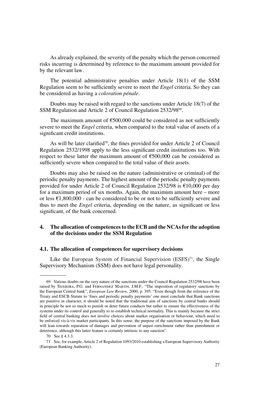As already explained, the severity of the penalty which the person concerned risks incurring is determined by reference to the maximum amount provided for by the relevant law.

The potential administrative penalties under Article 18(1) of the SSM Regulation seem to be sufficiently severe to meet the *Engel* criteria. So they can be considered as having a *coloration pénale*.

Doubts may be raised with regard to the sanctions under Article 18(7) of the SSM Regulation and Article 2 of Council Regulation 2532/98<sup>69</sup>.

The maximum amount of  $\epsilon$ 500,000 could be considered as not sufficiently severe to meet the *Engel* criteria, when compared to the total value of assets of a significant credit institutions.

As will be later clarified<sup>70</sup>, the fines provided for under Article 2 of Council Regulation 2532/1998 apply to the less significant credit institutions too. With respect to these latter the maximum amount of  $\epsilon$ 500,000 can be considered as sufficiently severe when compared to the total value of their assets.

Doubts may also be raised on the nature (administrative or criminal) of the periodic penalty payments. The highest amount of the periodic penalty payments provided for under Article 2 of Council Regulation 2532/98 is €10,000 per day for a maximum period of six months. Again, the maximum amount here – more or less  $\epsilon$ 1,800,000 - can be considered to be or not to be sufficiently severe and thus to meet the *Engel* criteria, depending on the nature, as significant or less significant, of the bank concerned.

# **4. The allocation of competences to the ECB and the NCAs for the adoption of the decisions under the SSM Regulation**

#### **4.1. The allocation of competences for supervisory decisions**

Like the European System of Financial Supervision  $(ESFS)^{71}$ , the Single Supervisory Mechanism (SSM) does not have legal personality.

<sup>69</sup> Various doubts on the very nature of the sanctions under the Council Regulation 2532/98 have been raised by Teixieira, P.G. and Fernandez Martin, J.M.F., "The imposition of regulatory sanctions by the European Central bank", *European Law Review*, 2000, p. 395: "Even though from the reference of the Treaty and ESCB Statute to 'fines and periodic penalty payments' one must conclude that Bank sanctions are punitive in character, it should be noted that the traditional aim of sanctions by central banks should in principle be not so much to punish or deter future conducts but rather to ensure the effectiveness of the systems under its control and generally to re-establish technical normality. This is mainly because the strict field of central banking does not involve choices about market organisation or behaviour, which need to be enforced vis-à-vis market participants. In this sense, the purpose of the sanctions imposed by the Bank will lean towards reparation of damages and prevention of unjust enrichment rather than punishment or deterrence, although this latter feature is certainly intrinsic to any sanction".

<sup>70</sup> See § 4.3.3.

<sup>71</sup> See, for example, Article 2 of Regulation 1093/2010 establishing a European Supervisory Authority (European Banking Authority).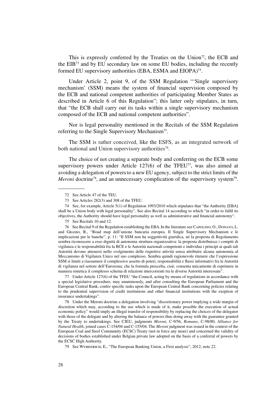This is expressly conferred by the Treaties on the Union<sup>72</sup>, the ECB and the EIB73 and by EU secondary law on some EU bodies, including the recently formed EU supervisory authorities (EBA, ESMA and EIOPA)<sup>74</sup>.

Under Article 2, point 9, of the SSM Regulation "'Single supervisory mechanism' (SSM) means the system of financial supervision composed by the ECB and national competent authorities of participating Member States as described in Article 6 of this Regulation"; this latter only stipulates, in turn, that "the ECB shall carry out its tasks within a single supervisory mechanism composed of the ECB and national competent authorities".

Nor is legal personality mentioned in the Recitals of the SSM Regulation referring to the Single Supervisory Mechanism<sup>75</sup>.

The SSM is rather conceived, like the ESFS, as an integrated network of both national and Union supervisory authorities<sup>76</sup>.

The choice of not creating a separate body and conferring on the ECB some supervisory powers under Article  $127(6)$  of the TFEU<sup>77</sup>, was also aimed at avoiding a delegation of powers to a new EU agency, subject to the strict limits of the *Meroni* doctrine<sup>78</sup>, and an unnecessary complication of the supervisory system<sup>79</sup>.

76 See Recital 9 of the Regulation establishing the EBA.In the literature see Capolino, O., Donato, L. and Grasso, R., "Road map dell'unione bancaria europea. Il Single Supervisory Mechanism e le implicazioni per le banche", p. 11: "Il SSM non ha soggettività giuridica, né la proposta di Regolamento sembra riconoscere a esso dignità di autonoma struttura organizzativa: la proposta distribuisce i compiti di vigilanza e le responsabilità fra la BCE e le Autorità nazionali competenti e individua i principi ai quali tali Autorità devono attenersi nello svolgimento delle rispettive attività senza attribuire alcuna autonomia al Meccanismo di Vigilanza Unico nel suo complesso. Sembra quindi ragionevole ritenere che l'espressione SSM si limiti a riassumere il complessivo assetto di poteri, responsabilità e flussi informativi fra le Autorità di vigilanza nel settore dell'Eurozona; che la formula prescelta, cioè, consenta unicamente di esprimere in maniera sintetica il complesso schema di relazioni intercorrenti tra le diverse Autorità interessate".

77 Under Article 127(6) of the TFEU "the Council, acting by means of regulations in accordance with a special legislative procedure, may unanimously, and after consulting the European Parliament and the European Central Bank, confer specific tasks upon the European Central Bank concerning policies relating to the prudential supervision of credit institutions and other financial institutions with the exeption of insurance undertakings".

78 Under the Meroni doctrine a delegation involving "discretionary power implying a wide margin of discretion which may, according to the use which is made of it, make possible the execution of actual economic policy" would imply an illegal transfer of responsibility by replacing the choices of the delegator with those of the delegate and by altering the balance of powers thus doing away with the guarantee granted by the Treaty to undertakings. See CJEU, judgments *Meroni*, C-9/56, *Romano*, C-98/80, *Alliance for Natural Health*, joined cases C-154/04 and C-155/04. The *Meroni* judgment was issued in the context of the European Coal and Steel Community (ECSC) Treaty (not in force any more) and concerned the validity of decisions of bodies established under Belgian private law adopted on the basis of a conferral of powers by the ECSC High Authority.

79 See Wymeersch, E., "The European Banking Union, a First analysis", 2012, note 22.

<sup>72</sup> See Article 47 of the TEU.

<sup>73</sup> See Articles 282(3) and 308 of the TFEU.

<sup>74</sup> See, for example, Article 5(1) of Regulation 1093/2010 which stipulates that "the Authority [EBA] shall be a Union body with legal personality". See also Recital 14 according to which "in order to fulfil its objectives, the Authority should have legal personality as well as administrative and financial autonomy".

<sup>75</sup> See Recitals 10 and 12.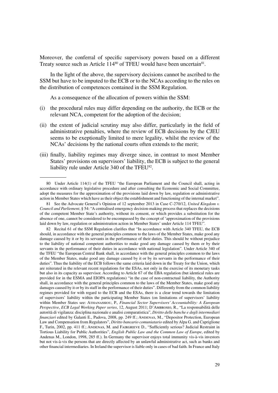Moreover, the conferral of specific supervisory powers based on a different Treaty source such as Article 114<sup>80</sup> of TFEU would have been uncertain<sup>81</sup>.

In the light of the above, the supervisory decisions cannot be ascribed to the SSM but have to be imputed to the ECB or to the NCAs according to the rules on the distribution of competences contained in the SSM Regulation.

As a consequence of the allocation of powers within the SSM:

- (i) the procedural rules may differ depending on the authority, the ECB or the relevant NCA, competent for the adoption of the decision;
- (ii) the extent of judicial scrutiny may also differ, particularly in the field of administrative penalties, where the review of ECB decisions by the CJEU seems to be exeptionally limited to mere legality, whilst the review of the NCAs' decisions by the national courts often extends to the merit;
- (iii) finally, liability regimes may diverge since, in contrast to most Member States' provisions on supervisors' liability, the ECB is subject to the general liability rule under Article 340 of the TFEU82.

<sup>80</sup> Under Article 114(1) of the TFEU "the European Parliament and the Council shall, acting in accordance with ordinary legislative procedure and after consulting the Economic and Social Committee, adopt the measures for the approximation of the provisions laid down by law, regulation or administrative action in Member States which have as their object the establishment and functioning of the internal market".

<sup>81</sup> See the Advocate General's Opinion of 12 september 2013 in Case C-270/12, *United Kingdom v. Council and Parliement*, § 54: "A centralised emergency decision-making process that replaces the decisions of the competent Member State's authority, without its consent, or which provides a substitution for the absence of one, cannot be considered to be encompassed by the concept of 'approximation of the provisions laid down by law, regulation or administration action in Member States' under Article 114 TFEU".

<sup>82</sup> Recital 61 of the SSM Regulation clarifies that "In accordance with Article 340 TFEU, the ECB should, in accordance with the general principles common to the laws of the Member States, make good any damage caused by it or by its servants in the performance of their duties. This should be without prejudice to the liability of national competent authorities to make good any damage caused by them or by their servants in the performance of their duties in accordance with national legislation". Under Article 340 of the TFEU "the European Central Bank shall, in accordance with the general principles common to the laws of the Member States, make good any damage caused by it or by its servants in the performance of their duties". Thus the liability of the ECB follows the same criteria laid down in the Treaty for the Union, which are reiterated in the relevant recent regulations for the ESAs, not only in the exercise of its monetary tasks but also in its capacity as supervisor. According to Article 67 of the EBA regulation (but identical rules are provided for in the ESMA and EIOPA regulations) "in the case of non-contractual liability, the Authority shall, in accordance with the general principles common to the laws of the Member States, make good any damages caused by it or by its staff in the performance of their duties". Differently from the common liability regimes provided for with regard to the ECB and the ESAs, there is a clear trend towards the limitation of supervisors' liability within the participating Member States (on limitations of supervisors' liability within Member States see: Athanassiou, P., *Financial Sector Supervisors' Accountability: A European Perspective*, *ECB Legal Working Paper series*, 12, August 2011; D'Ambrosio, R., "La responsabilità delle autorità di vigilanza: disciplina nazionale e analisi comparatistica", *Diritto delle banche e degli intermediari finanziari* edited by Galanti E., Padova, 2008, pp. 249 ff.; ANDENAS, M., "Depositor Protection, European Law and Compensation from Regulators", *Diritto bancario comuniatario* edited by Alpa G. and Capriglione F., Turin, 2002, pp. 411 ff.; Andenas, M. and Fairgrieve D., "Sufficiently serious? Judicial Restraint in Tortious Liability for Public Authorities", *English Public Law and the Common Law of Europe*, edited by Andenas M., London, 1998, 285 ff.). In Germany the supervisor enjoys total immunity vis-à-vis investors but not vis-à-vis the persons that are directly affected by an unlawful administrative act, such as banks and other financial intermediaries. In Ireland the supervisor is liable only in cases of bad faith. In France and Italy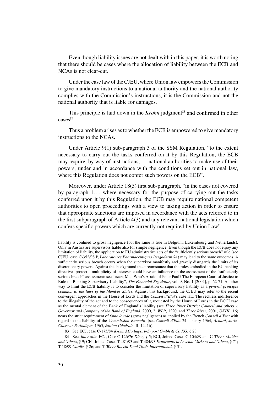Even though liability issues are not dealt with in this paper, it is worth noting that there should be cases where the allocation of liability between the ECB and NCAs is not clear-cut.

Under the case law of the CJEU, where Union law empowers the Commission to give mandatory instructions to a national authority and the national authority complies with the Commission's instructions, it is the Commission and not the national authority that is liable for damages.

This principle is laid down in the *Krohn* judgment<sup>83</sup> and confirmed in other  $cases<sup>84</sup>$ .

Thus a problem arises as to whether the ECB is empowered to give mandatory instructions to the NCAs.

Under Article 9(1) sub-paragraph 3 of the SSM Regulation, "to the extent necessary to carry out the tasks conferred on it by this Regulation, the ECB may require, by way of instructions, … national authorities to make use of their powers, under and in accordance with the conditions set out in national law, where this Regulation does not confer such powers on the ECB".

Moreover, under Article 18(5) first sub-paragraph, "in the cases not covered by paragraph 1…, where necessary for the purpose of carrying out the tasks conferred upon it by this Regulation, the ECB may require national competent authorities to open proceedings with a view to taking action in order to ensure that appropriate sanctions are imposed in accordance with the acts referred to in the first subparagraph of Article 4(3) and any relevant national legislation which confers specific powers which are currently not required by Union Law".

liability is confined to gross negligence (but the same is true in Belgium, Luxembourg and Netherlands). Only in Austria are supervisors liable also for simple negligence. Even though the ECB does not enjoy any limitation of liability, the application to EU administrative acts of the "sufficiently serious breach" rule (see CJEU, case C-352/98 P, *Laboratoires Pharmaceutiques Bergaderm SA*) may lead to the same outcomes. A sufficiently serious breach occurs when the supervisor manifestly and gravely disregards the limits of its discretionary powers. Against this background the circumstance that the rules embodied in the EU banking directives protect a multiplicity of interests could have an influence on the assessment of the "sufficiently serious breach" assessment: see Tison, M., "Who's Afraid of Peter Paul? The European Court of Justice to Rule on Banking Supervisory Liability", *The Financial Regulator*, vol. 9, No. 1 [2004], p. 62-71. Another way to limit the ECB liability is to consider the limitation of supervisory liability as a *general principle common to the laws of the Member States*. Against this background, the CJEU may refer to the recent convergent approaches in the House of Lords and the *Conseil d'Etat*'s case law. The reckless indifference to the illegality of the act and to the consequences of it, requested by the House of Lords in the BCCI case as the mental element of the Bank of England's liability (see *Three River District Council and others v. Governor and Company of the Bank of England*, 2000, 2, *WLR*, 1220, and *Three River*, 2001, *UKHL*, 16) nears the strict requirement of *faute lourde* (gross negligence) as applied by the French *Conseil d'Etat* with regard to the liability of the *Commission Bancaire* (see *Conseil d'Etat* 24 January 1964, *Achard*, *Juris-Classeur Périodique*, 1965, *édition Générale*, II, 14416).

<sup>83</sup> See ECJ, case C-175/84 *Krohn&Co Import–Export Gmbh & Co KG*, § 23.

<sup>84</sup> See, *inter alia*, ECJ, Case C-126/76 *Dietz*, § 5; ECJ, Joined Cases C-104/89 and C-37/90, *Mulder and Others*, § 9; CFI, Joined Cases T-481/93 and T-484/93 *Exporteurs in Levende Varkens and Others*, § 71; T-18/99 *Cordis*, § 26; and.T-30/99 *Bocchi Food Trade International*, § 31.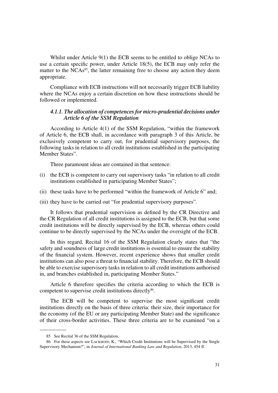Whilst under Article 9(1) the ECB seems to be entitled to oblige NCAs to use a certain specific power, under Article 18(5), the ECB may only refer the matter to the  $NCAs<sup>85</sup>$ , the latter remaining free to choose any action they deem appropriate.

Compliance with ECB instructions will not necessarily trigger ECB liability where the NCAs enjoy a certain discretion on how these instructions should be followed or implemented.

# *4.1.1. The allocation of competences for micro-prudential decisions under Article 6 of the SSM Regulation*

According to Article 4(1) of the SSM Regulation, "within the framework of Article 6, the ECB shall, in accordance with paragraph 3 of this Article, be exclusively competent to carry out, for prudential supervisory purposes, the following tasks in relation to all credit institutions established in the participating Member States".

Three paramount ideas are contained in that sentence:

- (i) the ECB is competent to carry out supervisory tasks "in relation to all credit institutions established in participating Member States";
- (ii) these tasks have to be performed "within the framework of Article 6" and;
- (iii) they have to be carried out "for prudential supervisory purposes".

It follows that prudential supervision as defined by the CR Directive and the CR Regulation of all credit institutions is assigned to the ECB, but that some credit institutions will be directly supervised by the ECB, whereas others could continue to be directly supervised by the NCAs under the oversight of the ECB.

In this regard, Recital 16 of the SSM Regulation clearly states that "the safety and soundness of large credit institutions is essential to ensure the stability of the financial system. However, recent experience shows that smaller credit institutions can also pose a threat to financial stability. Therefore, the ECB should be able to exercise supervisory tasks in relation to all credit institutions authorised in, and branches established in, participating Member States."

Article 6 therefore specifies the criteria according to which the ECB is competent to supervise credit institutions directly<sup>86</sup>.

The ECB will be competent to supervise the most significant credit institutions directly on the basis of three criteria: their size, their importance for the economy (of the EU or any participating Member State) and the significance of their cross-border activities. These three criteria are to be examined "on a

<sup>85</sup> See Recital 36 of the SSM Regulation.

<sup>86</sup> For these aspects see LACKHOFF, K., "Which Credit Institutions will be Supervised by the Single Supervisory Mechanism?", in *Journal of International Banking Law and Regulation*, 2013, 454 ff.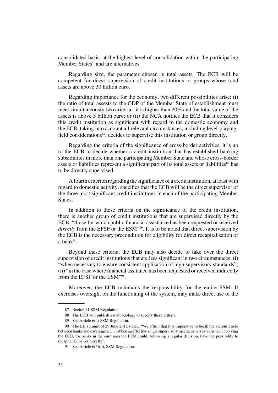consolidated basis, at the highest level of consolidation within the participating Member States" and are alternatives.

Regarding size, the parameter chosen is total assets. The ECB will be competent for direct supervision of credit institutions or groups whose total assets are above 30 billion euro.

Regarding importance for the economy, two different possibilities arise: (i) the ratio of total assests to the GDP of the Member State of establishment must meet simultaneously two criteria - it is higher than 20% and the total value of the assets is above 5 billion euro; or (ii) the NCA notifies the ECB that it considers this credit institution as significant with regard to the domestic economy and the ECB, taking into account all relevant circumstances, including level-playingfield considerations<sup>87</sup>, decides to supervise this institution or group directly.

Regarding the criteria of the significance of cross-border activities, it is up to the ECB to decide whether a credit institution that has established banking subsidiaries in more than one participating Member State and whose cross-border assets or liabilities represent a significant part of its total assets or liabilities<sup>88</sup> has to be directly supervised.

A fourth criterion regarding the significance of a credit institution, at least with regard to domestic activity, specifies that the ECB will be the direct supervisor of the three most significant credit institutions in each of the participating Member States.

In addition to these criteria on the significance of the credit institution, there is another group of credit institutions that are supervised directly by the ECB: "those for which public financial assistance has been requested or received *directly* from the EFSF or the ESM<sup>"89</sup>. It is to be noted that direct supervision by the ECB is the necessary precondition for eligibility for direct recapitalisation of a bank<sup>90</sup>.

Beyond these criteria, the ECB may also decide to take over the direct supervision of credit institutions that are less significant in two circumstances: (i) "when necessary to ensure consistent application of high supervisory standards"; (ii) "in the case where financial assitance has been requested or received indirectly from the EFSF or the ESM"91.

Moreover, the ECB maintains the responsibility for the entire SSM. It exercises oversight on the functioning of the system, may make direct use of the

<sup>87</sup> Recital 41 SSM Regulation.

<sup>88</sup> The ECB will publish a methodology to specify these criteria.

<sup>89</sup> See Article 6(4) SSM Regulation.

<sup>90</sup> The EU summit of 29 June 2012 stated: "We affirm that it is imperative to break the vicious circle between banks and sovereigns. (…) When an effective single supervisory mechanism is established, involving the ECB, for banks in the euro area the ESM could, following a regular decision, have the possibility to recapitalize banks directly".

<sup>91</sup> See Article 6(5)(b), SSM Regulation.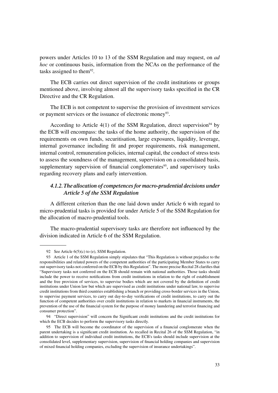powers under Articles 10 to 13 of the SSM Regulation and may request, on *ad hoc* or continuous basis, information from the NCAs on the performance of the tasks assigned to them $92$ .

The ECB carries out direct supervision of the credit institutions or groups mentioned above, involving almost all the supervisory tasks specified in the CR Directive and the CR Regulation.

The ECB is not competent to supervise the provision of investment services or payment services or the issuance of electronic money<sup>93</sup>.

According to Article  $4(1)$  of the SSM Regulation, direct supervision<sup>94</sup> by the ECB will encompass: the tasks of the home authority, the supervision of the requirements on own funds, securitisation, large exposures, liquidity, leverage, internal governance including fit and proper requirements, risk management, internal control, remuneration policies, internal capital, the conduct of stress tests to assess the soundness of the management, supervision on a consolidated basis, supplementary supervision of financial conglomerates<sup>95</sup>, and supervisory tasks regarding recovery plans and early intervention.

# *4.1.2.The allocation of competences for macro-prudential decisions under Article 5 of the SSM Regulation*

A different criterion than the one laid down under Article 6 with regard to micro-prudential tasks is provided for under Article 5 of the SSM Regulation for the allocation of macro-prudential tools.

The macro-prudential supervisory tasks are therefore not influenced by the division indicated in Article 6 of the SSM Regulation.

<sup>92</sup> See Article 6(5)(c) to (e), SSM Regulation.

<sup>93</sup> Article 1 of the SSM Regulation simply stipulates that "This Regulation is without prejudice to the responsibilities and related powers of the competent authorities of the participating Member States to carry out supervisory tasks not conferred on the ECB by this Regulation". The more precise Recital 28 clarifies that "Supervisory tasks not conferred on the ECB should remain with national authorities. Those tasks should include the power to receive notifications from credit institutions in relation to the right of establishment and the free provision of services, to supervise bodies which are not covered by the definition of credit institutions under Union law but which are supervised as credit institutions under national law, to supervise credit institutions from third countries establishing a branch or providing cross-border services in the Union, to supervise payment services, to carry out day-to-day verifications of credit institutions, to carry out the function of competent authorities over credit institutions in relation to markets in financial instruments, the prevention of the use of the financial system for the purpose of money laundering and terrorist financing and consumer protection".

<sup>94 &</sup>quot;Direct supervision" will concern the Significant credit institutions and the credit institutions for which the ECB decides to perform the supervisory tasks directly.

<sup>95</sup> The ECB will become the coordinator of the supervision of a financial conglomerate when the parent undertaking is a significant credit institution. As recalled in Recital 26 of the SSM Regulation, "in addition to supervision of individual credit institutions, the ECB's tasks should include supervision at the consolidated level, supplementary supervision, supervision of financial holding companies and supervision of mixed financial holding companies, excluding the supervision of insurance undertakings".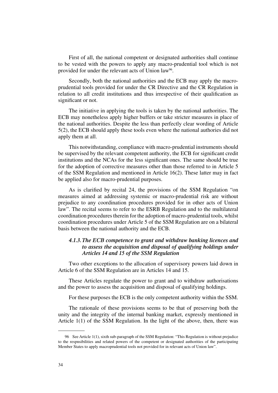First of all, the national competent or designated authorities shall continue to be vested with the powers to apply any macro-prudential tool which is not provided for under the relevant acts of Union law<sup>96</sup>.

Secondly, both the national authorities and the ECB may apply the macroprudential tools provided for under the CR Directive and the CR Regulation in relation to all credit institutions and thus irrespective of their qualification as significant or not.

The initiative in applying the tools is taken by the national authorities. The ECB may nonetheless apply higher buffers or take stricter measures in place of the national authorities. Despite the less than perfectly clear wording of Article 5(2), the ECB should apply these tools even where the national authories did not apply them at all.

This notwithstanding, compliance with macro-prudential instruments should be supervised by the relevant competent authority, the ECB for significant credit institutions and the NCAs for the less significant ones. The same should be true for the adoption of corrective measures other than those referred to in Article 5 of the SSM Regulation and mentioned in Article 16(2). These latter may in fact be applied also for macro-prudential purposes.

As is clarified by recital 24, the provisions of the SSM Regulation "on measures aimed at addressing systemic or macro-prudential risk are without prejudice to any coordination procedures provided for in other acts of Union law". The recital seems to refer to the ESRB Regulation and to the multilateral coordination procedures therein for the adoption of macro-prudential tools, whilst coordination procedures under Article 5 of the SSM Regulation are on a bilateral basis between the national authority and the ECB.

# *4.1.3.The ECB competence to grant and withdraw banking licences and to assess the acquisition and disposal of qualifying holdings under Articles 14 and 15 of the SSM Regulation*

Two other exceptions to the allocation of supervisory powers laid down in Article 6 of the SSM Regulation are in Articles 14 and 15.

These Articles regulate the power to grant and to withdraw authorisations and the power to assess the acquisition and disposal of qualifying holdings.

For these purposes the ECB is the only competent authority within the SSM.

The rationale of these provisions seems to be that of preserving both the unity and the integrity of the internal banking market, expressly mentioned in Article 1(1) of the SSM Regulation. In the light of the above, then, there was

<sup>96</sup> See Article 1(1), sixth sub-paragraph of the SSM Regulation: "This Regulation is without prejudice to the respnsibilities and related powers of the competent or designated authorities of the participating Member States to apply macroprudential tools not provided for in relevant acts of Union law".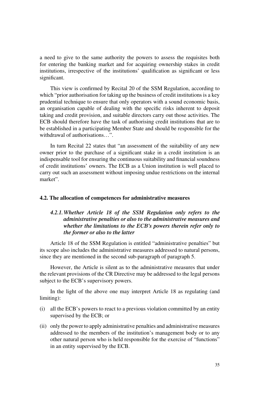a need to give to the same authority the powers to assess the requisites both for entering the banking market and for acquiring ownership stakes in credit institutions, irrespective of the institutions' qualification as significant or less significant.

This view is confirmed by Recital 20 of the SSM Regulation, according to which "prior authorisation for taking up the business of credit institutions is a key prudential technique to ensure that only operators with a sound economic basis, an organisation capable of dealing with the specific risks inherent to deposit taking and credit provision, and suitable directors carry out those activities. The ECB should therefore have the task of authorising credit institutions that are to be established in a participating Member State and should be responsible for the withdrawal of authorisations…".

In turn Recital 22 states that "an assessment of the suitability of any new owner prior to the purchase of a significant stake in a credit institution is an indispensable tool for ensuring the continuous suitability and financial soundness of credit institutions' owners. The ECB as a Union institution is well placed to carry out such an assessment without imposing undue restrictions on the internal market".

## **4.2. The allocation of competences for administrative measures**

# *4.2.1.Whether Article 18 of the SSM Regulation only refers to the administrative penalties or also to the administrative measures and whether the limitations to the ECB's powers therein refer only to the former or also to the latter*

Article 18 of the SSM Regulation is entitled "administrative penalties" but its scope also includes the administrative measures addressed to natural persons, since they are mentioned in the second sub-paragraph of paragraph 5.

However, the Article is silent as to the administrative measures that under the relevant provisions of the CR Directive may be addressed to the legal persons subject to the ECB's supervisory powers.

In the light of the above one may interpret Article 18 as regulating (and limiting):

- (i) all the ECB's powers to react to a previous violation committed by an entity supervised by the ECB; or
- (ii) only the power to apply administrative penalties and administrative measures addressed to the members of the institution's management body or to any other natural person who is held responsible for the exercise of "functions" in an entity supervised by the ECB.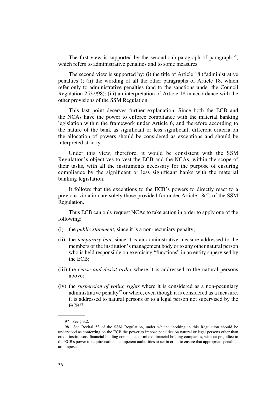The first view is supported by the second sub-paragraph of paragraph 5, which refers to administrative penalties and to some measures.

The second view is supported by: (i) the title of Article 18 ("administrative penalties"); (ii) the wording of all the other paragraphs of Article 18, which refer only to administrative penalties (and to the sanctions under the Council Regulation 2532/98); (iii) an interpretation of Article 18 in accordance with the other provisions of the SSM Regulation.

This last point deserves further explanation. Since both the ECB and the NCAs have the power to enforce compliance with the material banking legislation within the framework under Article 6, and therefore according to the nature of the bank as significant or less significant, different criteria on the allocation of powers should be considered as exceptions and should be interpreted strictly.

Under this view, therefore, it would be consistent with the SSM Regulation's objectives to vest the ECB and the NCAs, within the scope of their tasks, with all the instruments necessary for the purpose of ensuring compliance by the significant or less significant banks with the material banking legislation.

It follows that the exceptions to the ECB's powers to directly react to a previous violation are solely those provided for under Article 18(5) of the SSM Regulation.

Thus ECB can only request NCAs to take action in order to apply one of the following:

- (i) the *public statement*, since it is a non-pecuniary penalty;
- (ii) the *temporary ban*, since it is an administrative measure addressed to the members of the institution's management body or to any other natural person who is held responsible on exercising "functions" in an entity supervised by the ECB;
- (iii) the *cease and desist order* where it is addressed to the natural persons above;
- (iv) the *suspension of voting rights* where it is considered as a non-pecuniary administrative penalty<sup>97</sup> or where, even though it is considered as a measure, it is addressed to natural persons or to a legal person not supervised by the  $ECB<sup>98</sup>$ :

<sup>97</sup> See § 3.2.

<sup>98</sup> See Recital 53 of the SSM Regulation, under which: "nothing in this Regulation should be understood as conferring on the ECB the power to impose penalties on natural or legal persons other than credit institutions, financial holding companies or mixed financial holding companies, without prejudice to the ECB's power to require national competent authorities to act in order to ensure that appropriate penalties are imposed".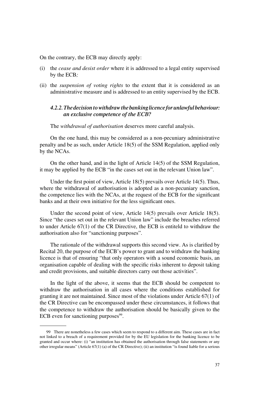On the contrary, the ECB may directly apply:

- (i) the *cease and desist order* where it is addressed to a legal entity supervised by the ECB*;*
- (ii) the *suspension of voting rights* to the extent that it is considered as an administrative measure and is addressed to an entity supervised by the ECB.

## *4.2.2.The decision to withdraw the banking licence for unlawful behaviour: an exclusive competence of the ECB?*

The *withdrawal of authorisation* deserves more careful analysis.

On the one hand, this may be considered as a non-pecuniary administrative penalty and be as such, under Article 18(5) of the SSM Regulation, applied only by the NCAs.

On the other hand, and in the light of Article 14(5) of the SSM Regulation, it may be applied by the ECB "in the cases set out in the relevant Union law".

Under the first point of view, Article 18(5) prevails over Article 14(5). Thus, where the withdrawal of authorisation is adopted as a non-pecuniary sanction, the competence lies with the NCAs, at the request of the ECB for the significant banks and at their own initiative for the less significant ones.

Under the second point of view, Article 14(5) prevails over Article 18(5). Since "the cases set out in the relevant Union law" include the breaches referred to under Article 67(1) of the CR Directive, the ECB is entiteld to withdraw the authorisation also for "sanctioning purposes".

The rationale of the withdrawal supports this second view. As is clarified by Recital 20, the purpose of the ECB's power to grant and to withdraw the banking licence is that of ensuring "that only operators with a sound economic basis, an organisation capable of dealing with the specific risks inherent to deposit taking and credit provisions, and suitable directors carry out those activities".

In the light of the above, it seems that the ECB should be competent to withdraw the authorisation in all cases where the conditions established for granting it are not maintained. Since most of the violations under Article 67(1) of the CR Directive can be encompassed under these circumstances, it follows that the competence to withdraw the authorisation should be basically given to the ECB even for sanctioning purposes $99$ .

<sup>99</sup> There are nonetheless a few cases which seem to respond to a different aim. These cases are in fact not linked to a breach of a requirement provided for by the EU legislation for the banking licence to be granted and occur where: (i) "an institution has obtained the authorisation through false statements or any other irregular means" (Article 67(1) (a) of the CR Directive); (ii) an institution "is found liable for a serious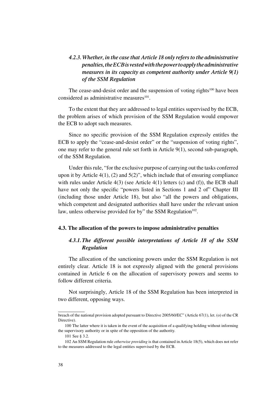# *4.2.3.Whether, in the case that Article 18 only refers to the administrative penalties, the ECB is vested with the power to apply the administrative measures in its capacity as competent authority under Article 9(1) of the SSM Regulation*

The cease-and-desist order and the suspension of voting rights<sup>100</sup> have been considered as administrative measures<sup>101</sup>.

To the extent that they are addressed to legal entities supervised by the ECB, the problem arises of which provision of the SSM Regulation would empower the ECB to adopt such measures.

Since no specific provision of the SSM Regulation expressly entitles the ECB to apply the "cease-and-desist order" or the "suspension of voting rights", one may refer to the general rule set forth in Article 9(1), second sub-paragraph, of the SSM Regulation.

Under this rule, "for the exclusive purpose of carrying out the tasks conferred upon it by Article  $4(1)$ ,  $(2)$  and  $5(2)$ ", which include that of ensuring compliance with rules under Article 4(3) (see Article 4(1) letters (c) and (f)), the ECB shall have not only the specific "powers listed in Sections 1 and 2 of" Chapter III (including those under Article 18), but also "all the powers and obligations, which competent and designated authorities shall have under the relevant union law, unless otherwise provided for by" the SSM Regulation<sup>102</sup>.

### **4.3. The allocation of the powers to impose administrative penalties**

# *4.3.1.The different possible interpretations of Article 18 of the SSM Regulation*

The allocation of the sanctioning powers under the SSM Regulation is not entirely clear. Article 18 is not expressly aligned with the general provisions contained in Article 6 on the allocation of supervisory powers and seems to follow different criteria.

Not surprisingly, Article 18 of the SSM Regulation has been interpreted in two different, opposing ways.

breach of the national provision adopted pursuant to Directive 2005/60/EC" (Article 67(1), let. (o) of the CR Directive).

<sup>100</sup> The latter where it is taken in the event of the acquisition of a qualifying holding without informing the supervisory authority or in spite of the opposition of the authority.

<sup>101</sup> See § 3.2.

<sup>102</sup> An SSM Regulation rule *otherwise providing* is that contained in Article 18(5), which does not refer to the measures addressed to the legal entities supervised by the ECB.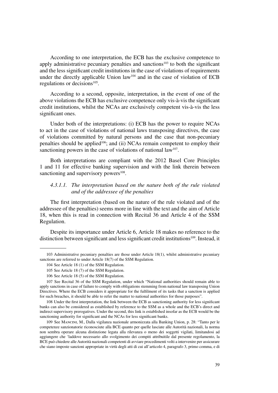According to one interpretation, the ECB has the exclusive competence to apply administrative pecuniary penalties and sanctions<sup>103</sup> to both the significant and the less significant credit institutions in the case of violations of requirements under the directly applicable Union  $law<sup>104</sup>$  and in the case of violation of ECB regulations or decisions<sup>105</sup>.

According to a second, opposite, interpretation, in the event of one of the above violations the ECB has exclusive competence only vis-à-vis the significant credit institutions, whilst the NCAs are exclusively competent vis-à-vis the less significant ones.

Under both of the interpretations: (i) ECB has the power to require NCAs to act in the case of violations of national laws transposing directives, the case of violations committed by natural persons and the case that non-pecuniary penalties should be applied<sup>106</sup>; and (ii) NCAs remain competent to employ their sanctioning powers in the case of violations of national law<sup>107</sup>.

Both interpretations are compliant with the 2012 Basel Core Principles 1 and 11 for effective banking supervision and with the link therein between sanctioning and supervisory powers<sup>108</sup>.

## *4.3.1.1. The interpretation based on the nature both of the rule violated and of the addressee of the penalties*

The first interpretation (based on the nature of the rule violated and of the addressee of the penalties) seems more in line with the text and the aim of Article 18, when this is read in connection with Recital 36 and Article 4 of the SSM Regulation.

Despite its importance under Article 6, Article 18 makes no reference to the distinction between significant and less significant credit institutions<sup>109</sup>. Instead, it

<sup>103</sup> Administrative pecuniary penalties are those under Article 18(1), whilst administrative pecuniary sanctions are referred to under Article 18(7) of the SSM Regulation.

<sup>104</sup> See Article 18 (1) of the SSM Regulation.

<sup>105</sup> See Article 18 (7) of the SSM Regulation.

<sup>106</sup> See Article 18 (5) of the SSM Regulation.

<sup>107</sup> See Recital 36 of the SSM Regulation, under which "National authorities should remain able to apply sanctions in case of failure to comply with obligations stemming from national law transposing Union Directives. Where the ECB considers it appropriate for the fulfilment of its tasks that a sanction is applied for such breaches, it should be able to refer the matter to national authorities for those purposes".

<sup>108</sup> Under the first interpretation, the link between the ECB as sanctioning authority for less significant banks can also be considered as established by reference to the SSM as a whole and the ECB's direct and indirect supervisory prerogatives. Under the second, this link is established insofar as the ECB would be the sanctioning authority for significant and the NCAs for less significant banks.

<sup>109</sup> See Mancini, M., Dalla vigilanza nazionale armonizzata alla Banking Union, p. 28: "Tanto per le competenze sanzionatorie riconosciute alla BCE quanto per quelle lasciate alle Autorità nazionali, la norma non sembra operare alcuna distinzione legata alla rilevanza o meno dei soggetti vigilati, limitandosi ad aggiungere che 'laddove necessario allo svolgimento dei compiti attribuitile dal presente regolamento, la BCE può chiedere alle Autorità nazionali competenti di avviare procedimenti volti a intervenire per assicurare che siano imposte sanzioni appropriate in virtù degli atti di cui all'articolo 4, paragrafo 3, primo comma, e di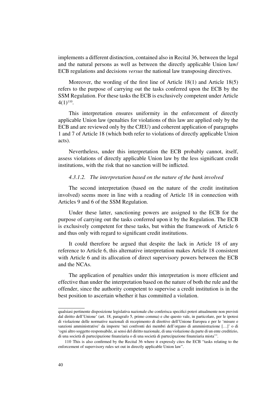implements a different distinction, contained also in Recital 36, between the legal and the natural persons as well as between the directly applicable Union law/ ECB regulations and decisions *versus* the national law transposing directives.

Moreover, the wording of the first line of Article 18(1) and Article 18(5) refers to the purpose of carrying out the tasks conferred upon the ECB by the SSM Regulation. For these tasks the ECB is exclusively competent under Article  $4(1)^{110}$ .

This interpretation ensures uniformity in the enforcement of directly applicable Union law (penalties for violations of this law are applied only by the ECB and are reviewed only by the CJEU) and coherent application of paragraphs 1 and 7 of Article 18 (which both refer to violations of directly applicable Union acts).

Nevertheless, under this interpretation the ECB probably cannot, itself, assess violations of directly applicable Union law by the less significant credit institutions, with the risk that no sanction will be inflicted.

#### *4.3.1.2. The interpretation based on the nature of the bank involved*

The second interpretation (based on the nature of the credit institution involved) seems more in line with a reading of Article 18 in connection with Articles 9 and 6 of the SSM Regulation.

Under these latter, sanctioning powers are assigned to the ECB for the purpose of carrying out the tasks conferred upon it by the Regulation. The ECB is exclusively competent for these tasks, but within the framework of Article 6 and thus only with regard to significant credit institutions.

It could therefore be argued that despite the lack in Article 18 of any reference to Article 6, this alternative interpretation makes Article 18 consistent with Article 6 and its allocation of direct supervisory powers between the ECB and the NCAs.

The application of penalties under this interpretation is more efficient and effective than under the interpretation based on the nature of both the rule and the offender, since the authority competent to supervise a credit institution is in the best position to ascertain whether it has committed a violation.

qualsiasi pertinente disposizione legislativa nazionale che conferisca specifici poteri attualmente non previsti dal diritto dell'Unione' (art. 18, paragrafo 5, primo comma) e che questo vale, in particolare, per le ipotesi di violazione delle normative nazionali di recepimento di direttive dell'Unione Europea e per le 'misure e sanzioni amministrative' da imporre 'nei confronti dei membri dell'organo di amministrazione […]' o di 'ogni altro soggetto responsabile, ai sensi del diritto nazionale, di una violazione da parte di un ente creditizio, di una società di partecipazione finanziaria o di una società di partecipazione finanziaria mista'".

<sup>110</sup> This is also confirmed by the Recital 36 where it expressly cites the ECB "tasks relating to the enforcement of supervisory rules set out in directly applicable Union law".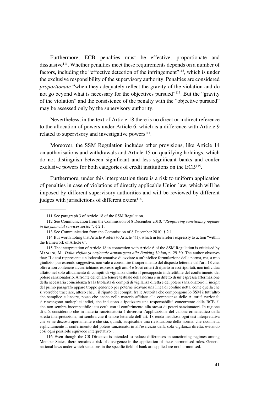Furthermore, ECB penalties must be effective, proportionate and  $disquasiive<sup>111</sup>$ . Whether penalties meet these requirements depends on a number of factors, including the "effective detection of the infringement"112, which is under the exclusive responsibility of the supervisory authority. Penalties are considered *proportionate* "when they adequately reflect the gravity of the violation and do not go beyond what is necessary for the objectives pursued"113. But the "gravity of the violation" and the consistence of the penalty with the "objective pursued" may be assessed only by the supervisory authority.

Nevertheless, in the text of Article 18 there is no direct or indirect reference to the allocation of powers under Article 6, which is a difference with Article 9 related to supervisory and investigative powers<sup>114</sup>.

Moreover, the SSM Regulation includes other provisions, like Article 14 on authorisations and withdrawals and Article 15 on qualifying holdings, which do not distinguish between significant and less significant banks and confer exclusive powers for both categories of credit institutions on the ECB<sup>115</sup>.

Furthermore, under this interpretation there is a risk to uniform application of penalties in case of violations of directly applicable Union law, which will be imposed by different supervisory authorities and will be reviewed by different judges with jurisdictions of different extent $116$ .

116 Even though the CR Directive is intended to reduce differences in sanctioning regimes among Member States, there remains a risk of divergence in the application of these harmonised rules. General national laws under which sanctions in the specific field of bank are applied are not harmonised.

<sup>111</sup> See paragraph 3 of Article 18 of the SSM Regulation.

<sup>112</sup> See Communication from the Commission of 8 December 2010, *"Reinforcing sanctioning regimes in the financial services sector"*, § 2.1.

<sup>113</sup> See Communication from the Commission of 8 December 2010, § 2.1.

<sup>114</sup> It is worth noting that Article 9 refers to Article 4(1), which in turn refers expressly to action "within the framework of Article 6".

<sup>115</sup> The interpretation of Article 18 in connection with Article 6 of the SSM Regulation is criticised by Mancini, M., *Dalla vigilanza nazionale armonizzata alla Banking Union***,** p. 29-30. The author observes that: "La tesi rappresenta un lodevole tentativo di ovviare a un'infelice formulazione della norma, ma, a mio giudizio, pur essendo suggestiva, non vale a consentire il superamento del disposto letterale dell'art. 18 che, oltre a non contenere alcun richiamo espresso agli artt. 4 e 6 o ai criteri di riparto in essi riportati, non individua affatto nel solo affidamento di compiti di vigilanza diretta il presupposto indefettibile del conferimento del potere sanzionatorio. A fronte del chiaro tenore testuale della norma e in difetto di un'espressa affermazione della necessaria coincidenza fra la titolarità di compiti di vigilanza diretta e del potere sanzionatorio, l'incipit del primo paragrafo appare troppo generico per poterne ricavare una linea di confine netta, come quella che si vorrebbe tracciare, atteso che… il riparto dei compiti fra le Autorità che compongono lo SSM è tutt'altro che semplice e lineare, posto che anche nelle materie affidate alla competenza delle Autorità nazionali si rinvengono molteplici indici, che inducono a ipotizzare una responsabilità concorrente della BCE, il che non sembra incompatibile ictu oculi con il conferimento alla stessa di poteri sanzionatori. In ragione di ciò, considerato che in materia sanzionatoria è doverosa l'applicazione del canone ermeneutico della stretta interpretazione, mi sembra che il tenore letterale dell'art. 18 renda insidiosa ogni tesi interpretativa che se ne discosti apertamente e che sia, quindi, auspicabile una rivisitazione della norma, che riconnetta esplicitamente il conferimento del potere sanzionatorio all'esercizio della sola vigilanza diretta, evitando così ogni possibile equivoco interpretativo".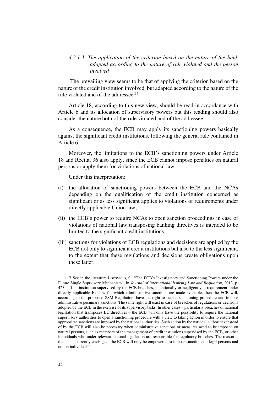### *4.3.1.3. The application of the criterion based on the nature of the bank adapted according to the nature of rule violated and the person involved*

The prevailing view seems to be that of applying the criterion based on the nature of the credit institution involved, but adapted according to the nature of the rule violated and of the addressee $117$ .

Article 18, according to this new view, should be read in accordance with Article 6 and its allocation of supervisory powers but this reading should also consider the nature both of the rule violated and of the addressee.

As a consequence, the ECB may apply its sanctioning powers basically against the significant credit institutions, following the general rule contained in Article 6.

Moreover, the limitations to the ECB's sanctioning powers under Article 18 and Recital 36 also apply, since the ECB cannot impose penalties on natural persons or apply them for violations of national law.

Under this interpretation:

- (i) the allocation of sanctioning powers between the ECB and the NCAs depending on the qualification of the credit institution concerned as significant or as less significant applies to violations of requirements under directly applicable Union law;
- (ii) the ECB's power to require NCAs to open sanction proceedings in case of violations of national law transposing banking directives is intended to be limited to the significant credit institutions;
- (iii) sanctions for violations of ECB regulations and decisions are applied by the ECB not only to significant credit institutions but also to the less significant, to the extent that these regulations and decisions create obligations upon these latter.

<sup>117</sup> See in the literature LOOSVELD, S., "The ECB's Investigatory and Sanctioning Powers under the Future Single Suprvisory Mechanism", in *Journal of International banking Law and Regulation*, 2013, p. 423: *"*If an institution supervised by the ECB breaches, intentionally or negligently, a requirement under directly applicable EU law for which administrative sanctions are made available, then the ECB will, according to the proposed SSM Regulation, have the right to start a sanctioning procedure and impose administrative pecuniary sanctions. The same right will exist in case of breaches of regulations or decisions adopted by the ECB in the exercise of its supervisory tasks. In other cases – particularly breaches of national legislation that transposes EU directives – the ECB will only have the possibility to require the national supervisory authorities to open a sanctioning procedure with a view to taking action in order to ensure that appropriate sanctions are imposed by the national authorities. Such action by the national authorities instead of by the ECB will also be necessary when administrative sanctions or measures need to be imposed on natural persons, such as members of the management of credit institutions supervised by the ECB, or other individuals who under relevant national legislation are responsible for regulatory breaches. The reason is that, as is currently envisaged, the ECB will only be empowered to impose sanctions on legal persons and not on individuals".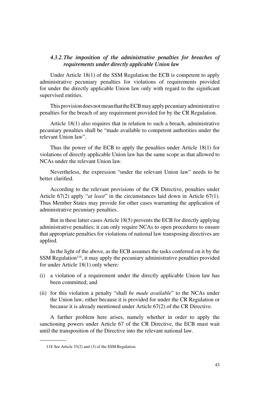## *4.3.2.The imposition of the administrative penalties for breaches of requirements under directly applicable Union law*

Under Article 18(1) of the SSM Regulation the ECB is competent to apply administrative pecuniary penalties for violations of requirements provided for under the directly applicable Union law only with regard to the significant supervised entities.

This provision does not mean that the ECB may apply pecuniary administrative penalties for the breach of any requirement provided for by the CR Regulation.

Article 18(1) also requires that in relation to such a breach, administrative pecuniary penalties shall be "made available to competent authorities under the relevant Union law".

Thus the power of the ECB to apply the penalties under Article 18(1) for violations of directly applicable Union law has the same scope as that allowed to NCAs under the relevant Union law.

Nevertheless, the expression "under the relevant Union law" needs to be better clarified.

According to the relevant provisions of the CR Directive, penalties under Article 67(2) apply "*at least*" in the circumstances laid down in Article 67(1). Thus Member States may provide for other cases warranting the application of administrative pecuniary penalties.

But in these latter cases Article 18(5) prevents the ECB for directly applying administrative penalties; it can only require NCAs to open procedures to ensure that appropriate penalties for violations of national law transposing directives are applied.

In the light of the above, as the ECB assumes the tasks conferred on it by the SSM Regulation<sup>118</sup>, it may apply the pecuniary administrative penalties provided for under Article 18(1) only where:

- (i) a violation of a requirement under the directly applicable Union law has been committed; and
- (ii) for this violation a penalty "shall *be made available*" to the NCAs under the Union law, either because it is provided for under the CR Regulation or because it is already mentioned under Article 67(2) of the CR Directive.

A further problem here arises, namely whether in order to apply the sanctioning powers under Article 67 of the CR Directive, the ECB must wait until the transposition of the Directive into the relevant national law.

<sup>118</sup> See Article 33(2) and (3) of the SSM Regulation.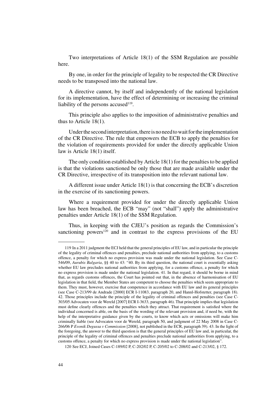Two interpretations of Article 18(1) of the SSM Regulation are possible here.

By one, in order for the principle of legality to be respected the CR Directive needs to be transposed into the national law.

A directive cannot, by itself and independently of the national legislation for its implementation, have the effect of determining or increasing the criminal liability of the persons accused<sup>119</sup>.

This principle also applies to the imposition of administrative penalties and thus to Article 18(1).

Under the second interpretation, there is no need to wait for the implementation of the CR Directive. The rule that empowers the ECB to apply the penalties for the violation of requirements provided for under the directly applicable Union law is Article 18(1) itself.

The only condition established by Article 18(1) for the penalties to be applied is that the violations sanctioned be only those that are made available under the CR Directive, irrespective of its transposition into the relevant national law.

A different issue under Article 18(1) is that concerning the ECB's discretion in the exercise of its sanctioning powers.

Where a requirement provided for under the directly applicable Union law has been breached, the ECB "may" (not "shall") apply the administrative penalties under Article 18(1) of the SSM Regulation.

Thus, in keeping with the CJEU's position as regards the Commission's sanctioning powers<sup>120</sup> and in contrast to the express provisions of the EU

<sup>119</sup> In a 2011 judgment the ECJ held that the general principles of EU law, and in particular the principle of the legality of criminal offences and penalties, preclude national authorities from applying, to a customs offence, a penalty for which no express provision was made under the national legislation. See Case C-546/09, *Aurubis Balgaria*, §§ 40 to 43: "40. By its third question, the national court is essentially asking whether EU law precludes national authorities from applying, for a customs offence, a penalty for which no express provision is made under the national legislation. 41. In that regard, it should be borne in mind that, as regards customs offences, the Court has pointed out that, in the absence of harmonisation of EU legislation in that field, the Member States are competent to choose the penalties which seem appropriate to them. They must, however, exercise that competence in accordance with EU law and its general principles (see Case C-213/99 de Andrade [2000] ECR I-11083, paragraph 20, and Hannl-Hofstetter, paragraph 18). 42. Those principles include the principle of the legality of criminal offences and penalties (see Case C-303/05 Advocaten voor de Wereld [2007] ECR I-3633, paragraph 46). That principle implies that legislation must define clearly offences and the penalties which they attract. That requirement is satisfied where the individual concerned is able, on the basis of the wording of the relevant provision and, if need be, with the help of the interpretative guidance given by the courts, to know which acts or omissions will make him criminally liable (see Advocaten voor de Wereld, paragraph 50, and judgment of 22 May 2008 in Case C-266/06 P *Evonik Degussa v Commission* [2008], not published in the ECR, paragraph 39). 43. In the light of the foregoing, the answer to the third question is that the general principles of EU law and, in particular, the principle of the legality of criminal offences and penalties preclude national authorities from applying, to a customs offence, a penalty for which no express provision is made under the national legislation".

<sup>120</sup> See ECJ, Joined Cases C-189/02 P, C-202/02 P, C-205/02 to C-208/02 and C-213/02, § 172.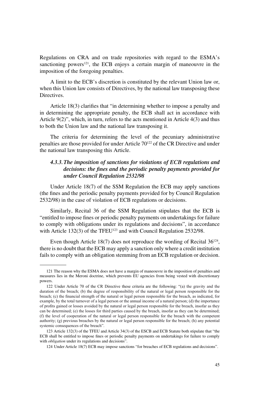Regulations on CRA and on trade repositories with regard to the ESMA's sanctioning powers<sup>121</sup>, the ECB enjoys a certain margin of maneouvre in the imposition of the foregoing penalties.

A limit to the ECB's discretion is constituted by the relevant Union law or, when this Union law consists of Directives, by the national law transposing these Directives.

Article 18(3) clarifies that "in determining whether to impose a penalty and in determining the appropriate penalty, the ECB shall act in accordance with Article 9(2)", which, in turn, refers to the acts mentioned in Article 4(3) and thus to both the Union law and the national law transposing it.

The criteria for determining the level of the pecuniary administrative penalties are those provided for under Article 70122 of the CR Directive and under the national law transposing this Article.

# *4.3.3.The imposition of sanctions for violations of ECB regulations and decisions: the fines and the periodic penalty payments provided for under Council Regulation 2532/98*

Under Article 18(7) of the SSM Regulation the ECB may apply sanctions (the fines and the periodic penalty payments provided for by Council Regulation 2532/98) in the case of violation of ECB regulations or decisions.

Similarly, Recital 36 of the SSM Regulation stipulates that the ECB is "entitled to impose fines or periodic penalty payments on undertakings for failure to comply with obligations under its regulations and decisions", in accordance with Article 132(3) of the TFEU<sup>123</sup> and with Council Regulation 2532/98.

Even though Article 18(7) does not reproduce the wording of Recital  $36^{124}$ , there is no doubt that the ECB may apply a sanction only where a credit institution fails to comply with an obligation stemming from an ECB regulation or decision.

<sup>121</sup> The reason why the ESMA does not have a margin of maneouvre in the imposition of penalties and measures lies in the Meroni doctrine, which prevents EU agencies from being vested with discretionary powers.

<sup>122</sup> Under Article 70 of the CR Directive these criteria are the following: "(a) the gravity and the duration of the breach; (b) the degree of responsibility of the natural or legal person responsible for the breach; (c) the financial strength of the natural or legal person responsible for the breach, as indicated, for example, by the total turnover of a legal person or the annual income of a natural person; (d) the importance of profits gained or losses avoided by the natural or legal person responsible for the breach, insofar as they can be determined; (e) the losses for third parties caused by the breach, insofar as they can be determined; (f) the level of cooperation of the natural or legal person responsible for the breach with the competent authority; (g) previous breaches by the natural or legal person responsible for the breach; (h) any potential systemic consequences of the breach".

<sup>123</sup> Article 132(3) of the TFEU and Article 34(3) of the ESCB and ECB Statute both stipulate that "the ECB shall be entitled to impose fines or periodic penalty payments on undertakings for failure to comply with *obligation* under its regulations and decisions".

<sup>124</sup> Under Article 18(7) ECB may impose sanctions "for breaches of ECB regulations and decisions".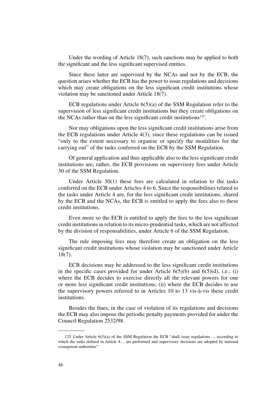Under the wording of Article 18(7), such sanctions may be applied to both the significant and the less significant supervised entities.

Since these latter are supervised by the NCAs and not by the ECB, the question arises whether the ECB has the power to issue regulations and decisions which may create obligations on the less significant credit institutions whose violation may be sanctioned under Article 18(7).

ECB regulations under Article  $6(5)(a)$  of the SSM Regulation refer to the supervision of less significant credit institutions but they create obligations on the NCAs rather than on the less significant credit institutions<sup>125</sup>.

Nor may obligations upon the less significant credit institutions arise from the ECB regulations under Article 4(3), since these regulations can be issued "only to the extent necessary to organise or specify the modalities for the carrying out" of the tasks conferred on the ECB by the SSM Regulation.

Of general application and thus applicable also to the less significant credit institutions are, rather, the ECB provisions on supervisory fees under Article 30 of the SSM Regulation.

Under Article 30(1) these fees are calculated in relation to the tasks conferred on the ECB under Articles 4 to 6. Since the responsibilities related to the tasks under Article 4 are, for the less significant credit institutions, shared by the ECB and the NCAs, the ECB is entitled to apply the fees also to these credit institutions.

Even more so the ECB is entitled to apply the fees to the less significant credit institutions in relation to its micro-prudential tasks, which are not affected by the division of responsabilities, under Article 6 of the SSM Regulation.

The rule imposing fees may therefore create an obligation on the less significant credit institutions whose violation may be sanctioned under Article 18(7).

ECB decisions may be addressed to the less significant credit institutions in the specific cases provided for under Article  $6(5)(b)$  and  $6(5)(d)$ , i.e.: (i) where the ECB decides to exercise directly all the relevant powers for one or more less significant credit institutions; (ii) where the ECB decides to use the supervisory powers referred to in Articles 10 to 13 vis-à-vis these credit institutions.

Besides the fines, in the case of violation of its regulations and decisions the ECB may also impose the periodic penalty payments provided for under the Council Regulation 2532/98.

<sup>125</sup> Under Article 6(5)(a) of the SSM Regulation the ECB "shall issue regulations…, according to which the tasks defined in Article 4… are performed and supervisory decisions are adopted by national comepetent authorities".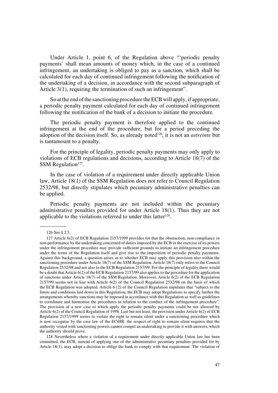Under Article 1, point 6, of the Regulation above "'periodic penalty payments' shall mean amounts of money which, in the case of a continued infringement, an undertaking is obliged to pay as a sanction, which shall be calculated for each day of continued infringement following the notification of the undertaking of a decision, in accordance with the second subparagraph of Article 3(1), requiring the termination of such an infringement".

So at the end of the sanctioning procedure the ECB will apply, if appropriate, a periodic penalty payment calculated for each day of continued infringement following the notification of the bank of a decision to initiate the procedure.

The periodic penalty payment is therefore applied to the continued infringement at the end of the procedure, but for a period preceding the adoption of the decision itself. So, as already noted<sup>126</sup>, it is not an *astreinte* but is tantamount to a penalty.

For the principle of legality, periodic penalty payments may only apply to violations of ECB regulations and decisions, according to Article 18(7) of the SSM Regulation $127$ .

In the case of violation of a requirement under directly applicable Union law, Article 18(1) of the SSM Regulation does not refer to Council Regulation 2532/98, but directly stipulates which pecuniary administrative penalties can be applied.

Periodic penalty payments are not included within the pecuniary administrative penalties provided for under Article 18(1). Thus they are not applicable to the violations referred to under this latter $128$ .

128 Nevertheless where a violation of a requirement under directly applicable Union law has been committed, the ECB, instead of applying one of the administrative pecuniary penalties provided for by Article 18(1), may adopt a decision to oblige the bank to comply with that requirement. The violation of

<sup>126</sup> See § 2.5.

<sup>127</sup> Article 6(2) of ECB Regulation 2157/1999 provides for that the obstruction, non-compliance or non-performance by the undertaking concerned of duties imposed by the ECB in the exercise of its powers under the infringement procedure may provide sufficient grounds to initiate an infringement procedure under the terms of the Regulation itself and give rise to the imposition of periodic penalty payments. Against this background, a question arises as to whether ECB may apply this provision also within the sanctioning procedure under Article 18(7) of the SSM Regulation. Article 18(7) only refers to the Council Regulation 2532/98 and not also to the ECB Regulation 2157/99. For the principle of legality there would be a doubt that Article 6(2) of the ECB Regulation 2157/99 also applies to the procedure for the application of sanctions under Article 18(7) of the SSM Regulation. Moreover, Article 6(2) of the ECB Regulation 2157/99 seems not in line with Article 6(2) of the Council Regulation 2532/98 on the basis of which the ECB Regulation was adopted. Article 6 (2) of the Council Regulation stipulates that "subject to the limits and conditions laid down in this Regulation, the ECB may adopt Regulations to specify further the arrangements whereby sanctions may be imposed in accordance with this Regulation as well as guidelines to coordinate and harmonise the procedures in relation to the conduct of the infringement procedure". The provision of a new case to which apply the periodic penalty payments could be not allowed by Article 6(2) of the Council Regulation of 1998. Last but not least, the provision under Article 6(2) of ECB Regulation 2157/1999 seems to violate the right to remain silent under a sanctioning procedure which is now recognise by the case law of the ECtHR; the respect of right to remain silent requires that the authority vested with sanctioning powers cannot compel an undertaking to provide it with answers, which the authority should prove.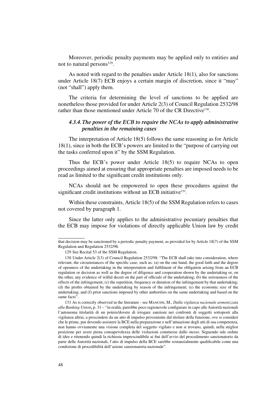Moreover, periodic penalty payments may be applied only to entities and not to natural persons $129$ .

As noted with regard to the penalties under Article 18(1), also for sanctions under Article 18(7) ECB enjoys a certain margin of discretion, since it "may" (not "shall") apply them.

The criteria for determining the level of sanctions to be applied are nonetheless those provided for under Article 2(3) of Council Regulation 2532/98 rather than those mentioned under Article 70 of the CR Directive<sup>130</sup>.

### *4.3.4.The power of the ECB to require the NCAs to apply administrative penalties in the remaining cases*

The interpretation of Article 18(5) follows the same reasoning as for Article 18(1), since in both the ECB's powers are limited to the "purpose of carrying out the tasks conferred upon it" by the SSM Regulation.

Thus the ECB's power under Article 18(5) to require NCAs to open proceedings aimed at ensuring that appropriate penalties are imposed needs to be read as limited to the significant credit institutions only.

NCAs should not be empowered to open these procedures against the significant credit institutions without an ECB initiative<sup>131</sup>.

Within these constraints, Article 18(5) of the SSM Regulation refers to cases not covered by paragraph 1.

Since the latter only applies to the administrative pecuniary penalties that the ECB may impose for violations of directly applicable Union law by credit

that decision may be sanctioned by a periodic penalty payment, as provided for by Article 18(7) of the SSM Regulation and Regulation 2532/98.

<sup>129</sup> See Recital 53 of the SSM Regulation.

<sup>130</sup> Under Article 2(3) of Council Regulation 2532/98: "The ECB shall take into consideration, where relevant, the circumstances of the specific case, such as: (a) on the one hand, the good faith and the degree of openness of the undertaking in the interpretation and fulfilment of the obligation arising from an ECB regulation or decision as well as the degree of diligence and cooperation shown by the undertaking or, on the other, any evidence of wilful deceit on the part of officials of the undertaking; (b) the seriousness of the effects of the infringement; (c) the repetition, frequency or duration of the infringement by that undertaking; (d) the profits obtained by the undertaking by reason of the infringement; (e) the economic size of the undertaking; and (f) prior sanctions imposed by other authorities on the same undertaking and based on the same facts".

<sup>131</sup> As is correctly observed in the literature - see Mancini, M., *Dalla vigilanza nazionale armonizzata alla Banking Union***,** p. 31 – "in realtà, parrebbe poco ragionevole configurare in capo alle Autorità nazionali l'autonoma titolarità di un potere/dovere di irrogare sanzioni nei confronti di soggetti sottoposti alla vigilanza altrui, a prescindere da un atto di impulso proveniente dal titolare della funzione, ove si consideri che le prime, pur dovendo assistere la BCE nella preparazione e nell'attuazione degli atti di sua competenza, non hanno ovviamente una visione completa del soggetto vigilato e non si trovano, quindi, nella miglior posizione per avere piena consapevolezza delle violazioni commesse dallo stesso. Seguendo tale ordine di idee e ritenendo quindi la richiesta imprescindibile ai fini dell'avvio del procedimento sanzionatorio da parte delle Autorità nazionali, l'atto di impulso della BCE sarebbe sostanzialmente qualificabile come una condizione di procedibilità dell'azione sanzionatoria nazionale".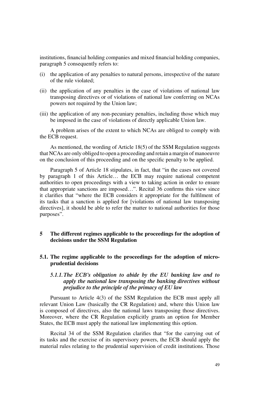institutions, financial holding companies and mixed financial holding companies, paragraph 5 consequently refers to:

- (i) the application of any penalties to natural persons, irrespective of the nature of the rule violated;
- (ii) the application of any penalties in the case of violations of national law transposing directives or of violations of national law conferring on NCAs powers not required by the Union law;
- (iii) the application of any non-pecuniary penalties, including those which may be imposed in the case of violations of directly applicable Union law.

A problem arises of the extent to which NCAs are obliged to comply with the ECB request.

As mentioned, the wording of Article 18(5) of the SSM Regulation suggests that NCAs are only obliged to open a proceeding and retain a margin of manoeuvre on the conclusion of this proceeding and on the specific penalty to be applied.

Paragraph 5 of Article 18 stipulates, in fact, that "in the cases not covered by paragraph 1 of this Article… the ECB may require national competent authorities to open proceedings with a view to taking action in order to ensure that appropriate sanctions are imposed…". Recital 36 confirms this view since it clarifies that "where the ECB considers it appropriate for the fulfilment of its tasks that a sanction is applied for [violations of national law transposing directives], it should be able to refer the matter to national authorities for those purposes".

# **5 The different regimes applicable to the proceedings for the adoption of decisions under the SSM Regulation**

### **5.1. The regime applicable to the proceedings for the adoption of microprudential decisions**

## *5.1.1.The ECB's obligation to abide by the EU banking law and to apply the national law transposing the banking directives without prejudice to the principle of the primacy of EU law*

Pursuant to Article 4(3) of the SSM Regulation the ECB must apply all relevant Union Law (basically the CR Regulation) and, where this Union law is composed of directives, also the national laws transposing those directives. Moreover, where the CR Regulation explicitly grants an option for Member States, the ECB must apply the national law implementing this option.

Recital 34 of the SSM Regulation clarifies that "for the carrying out of its tasks and the exercise of its supervisory powers, the ECB should apply the material rules relating to the prudential supervision of credit institutions. Those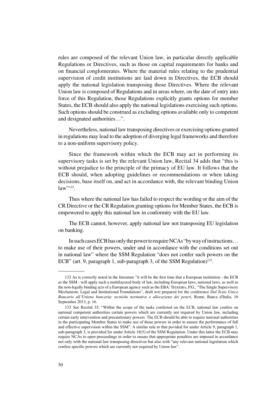rules are composed of the relevant Union law, in particular directly applicable Regulations or Directives, such as those on capital requirements for banks and on financial conglomerates. Where the material rules relating to the prudential supervision of credit institutions are laid down in Directives, the ECB should apply the national legislation transposing those Directives. Where the relevant Union law is composed of Regulations and in areas where, on the date of entry into force of this Regulation, those Regulations explicitly grants options for member States, the ECB should also apply the national legislations exercising such options. Such options should be construed as excluding options available only to competent and designated authorities…".

Nevertheless, national law transposing directives or exercising options granted in regulations may lead to the adoption of diverging legal frameworks and therefore to a non-uniform supervisory policy.

Since the framework within which the ECB may act in performing its supervisory tasks is set by the relevant Union law, Recital 34 adds that "this is without prejudice to the principle of the primacy of EU law. It follows that the ECB should, when adopting guidelines or recommendations or when taking decisions, base itself on, and act in accordance with, the relevant binding Union  $law"^{132}.$ 

Thus where the national law has failed to respect the wording or the aim of the CR Directive or the CR Regulation granting options for Member States, the ECB is empowered to apply this national law in conformity with the EU law.

The ECB cannot, however, apply national law not transposing EU legislation on banking.

In such cases ECB has only the power to require NCAs "by way of instructions… to make use of their powers, under and in accordance with the conditions set out in national law" where the SSM Regulation "does not confer such powers on the ECB" (art. 9, paragraph 1, sub-paragraph 3, of the SSM Regulation)<sup>133</sup>.

<sup>132</sup> As is correctly noted in the literature "it will be the first time that a European institution - the ECB as the SSM - will apply such a multilayered body of law, including European laws, national laws, as well as the non-legally binding acts of a European agency such as the EBA: Teixeira, P.G., "The Single Supervisory Mechanism: Legal and Institutional Foundations", draft text prepared for the conference *Dal Testo Unico Bancario all'Unione bancaria: tecniche normative e allocazione dei poteri*, Rome, Banca d'Italia, 16 September 2013, p. 16.

<sup>133</sup> See Recital 35: "Within the scope of the tasks conferred on the ECB, national law confers on national competent authorities certain powers which are currently not required by Union law, including certain early intervention and precautionary powers. The ECB should be able to require national authorities in the participating Member States to make use of those powers in order to ensure the performance of full and effective supervision within the SSM". A similar rule to that povided for under Article 9, paragraph 1, sub-paragraph 3, is provided for under Article 18(5) of the SSM Regulation. Under this latter the ECB may require NCAs to open proceedings in order to ensure that appropriate penalties are imposed in accordance not only with the national law transposing directives but also with "any relevant national legislation which confers specific powers which are currently not required by Union law".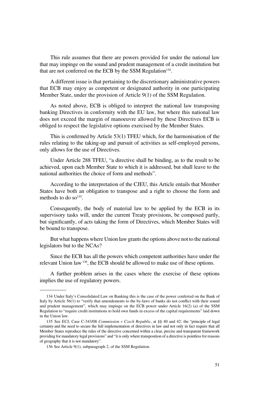This rule assumes that there are powers provided for under the national law that may impinge on the sound and prudent management of a credit institution but that are not conferred on the ECB by the SSM Regulation<sup>134</sup>.

A different issue is that pertaining to the discretionary administrative powers that ECB may enjoy as competent or designated authority in one participating Member State, under the provision of Article 9(1) of the SSM Regulation.

As noted above, ECB is obliged to interpret the national law transposing banking Directives in conformity with the EU law, but where this national law does not exceed the margin of manoeuvre allowed by these Directives ECB is obliged to respect the legislative options exercised by the Member States.

This is confirmed by Article 53(1) TFEU which, for the harmonisation of the rules relating to the taking-up and pursuit of activities as self-employed persons, only allows for the use of Directives.

Under Article 288 TFEU, "a directive shall be binding, as to the result to be achieved, upon each Member State to which it is addressed, but shall leave to the national authorities the choice of form and methods".

According to the interpretation of the CJEU, this Article entails that Member States have both an obligation to transpose and a right to choose the form and methods to do  $\text{so}^{135}$ .

Consequently, the body of material law to be applied by the ECB in its supervisory tasks will, under the current Treaty provisions, be composed partly, but significantly, of acts taking the form of Directives, which Member States will be bound to transpose.

But what happens where Union law grants the options above not to the national legislators but to the NCAs?

Since the ECB has all the powers which competent authorities have under the relevant Union law 136, the ECB should be allowed to make use of these options.

A further problem arises in the cases where the exercise of these options implies the use of regulatory powers.

<sup>134</sup> Under Italy's Consolidated Law on Banking this is the case of the power conferred on the Bank of Italy by Article 56(1) to "verify that amendements to the by-laws of banks do not conflict with their sound and prudent management", which may impinge on the ECB power under Article 16(2) (a) of the SSM Regulation to "require credit institutions to hold own funds in excess of the capital requirements" laid down in the Union law.

<sup>135</sup> See ECJ, Case C-343/08 *Commission v Czech Republic*, at §§ 40 and 42: the "principle of legal certainty and the need to secure the full implementation of directives in law and not only in fact require that all Member States reproduce the rules of the directive concerned within a clear, precise and transparent framework providing for mandatory legal provisions" and "it is only where transposition of a directive is pointless for reasons of geography that it is not mandatory".

<sup>136</sup> See Article 9(1), subparagraph 2, of the SSM Regulation.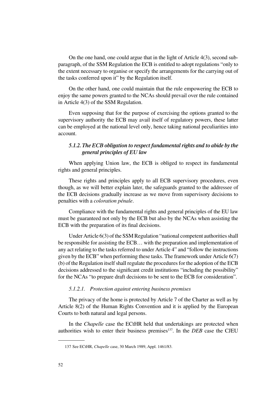On the one hand, one could argue that in the light of Article 4(3), second subparagraph, of the SSM Regulation the ECB is entitled to adopt regulations "only to the extent necessary to organise or specify the arrangements for the carrying out of the tasks conferred upon it" by the Regulation itself.

On the other hand, one could maintain that the rule empowering the ECB to enjoy the same powers granted to the NCAs should prevail over the rule contained in Article 4(3) of the SSM Regulation.

Even supposing that for the purpose of exercising the options granted to the supervisory authority the ECB may avail itself of regulatory powers, these latter can be employed at the national level only, hence taking national peculiarities into account.

# *5.1.2. The ECB obligation to respect fundamental rights and to abide by the general principles of EU law*

When applying Union law, the ECB is obliged to respect its fundamental rights and general principles.

These rights and principles apply to all ECB supervisory procedures, even though, as we will better explain later, the safeguards granted to the addressee of the ECB decisions gradually increase as we move from supervisory decisions to penalties with a *coloration pénale*.

Compliance with the fundamental rights and general principles of the EU law must be guaranteed not only by the ECB but also by the NCAs when assisting the ECB with the preparation of its final decisions.

Under Article 6(3) of the SSM Regulation "national competent authorities shall be responsible for assisting the ECB… with the preparation and implementation of any act relating to the tasks referred to under Article 4" and "follow the instructions given by the ECB" when performing these tasks. The framework under Article 6(7) (b) of the Regulation itself shall regulate the procedures for the adoption of the ECB decisions addressed to the significant credit institutions "including the possibility" for the NCAs "to prepare draft decisions to be sent to the ECB for consideration".

#### *5.1.2.1. Protection against entering business premises*

The privacy of the home is protected by Article 7 of the Charter as well as by Article 8(2) of the Human Rights Convention and it is applied by the European Courts to both natural and legal persons.

In the *Chapelle* case the ECtHR held that undertakings are protected when authorities wish to enter their business premises<sup>137</sup>. In the *DEB* case the CJEU

<sup>137</sup> See ECtHR, *Chapelle* case, 30 March 1989, Appl. 1461/83.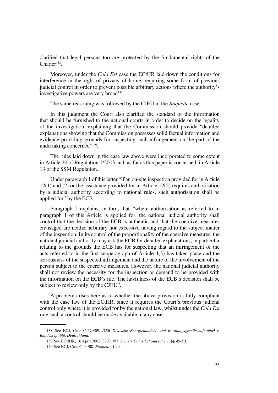clarified that legal persons too are protected by the fundamental rights of the  $Charter<sup>138</sup>$ .

Moreover, under the *Cola Est* case the ECtHR laid down the conditions for interference in the right of privacy of home, requiring some form of previous judicial control in order to prevent possible arbitrary actions where the authority's investigative powers are very broad<sup>139</sup>.

The same reasoning was followed by the CJEU in the *Roquette* case.

In this judgment the Court also clarified the standard of the information that should be furnished to the national courts in order to decide on the legality of the investigation, explaining that the Commission should provide "detailed explanations showing that the Commission possesses solid factual information and evidence providing grounds for suspecting such infringement on the part of the undertaking concerned"140.

The rules laid down in the case law above were incorporated to some extent in Article 20 of Regulation 1/2003 and, as far as this paper is concerned, in Article 13 of the SSM Regulation.

Under paragraph 1 of this latter "if an on-site inspection provided for in Article 12(1) and (2) or the assistance provided for in Article 12(5) requires authorisation by a judicial authority according to national rules, such authorisation shall be applied for" by the ECB.

Paragraph 2 explains, in turn, that *"*where authorisation as referred to in paragraph 1 of this Article is applied for, the national judicial authority shall control that the decision of the ECB is authentic and that the coercive measures envisaged are neither arbitrary nor excessive having regard to the subject matter of the inspection. In its control of the proportionality of the coercive measures, the national judicial authority may ask the ECB for detailed explanations, in particular relating to the grounds the ECB has for suspecting that an infringement of the acts referred to in the first subparagraph of Article 4(3) has taken place and the seriousness of the suspected infringement and the nature of the involvement of the person subject to the coercive measures. However, the national judicial authority shall not review the necessity for the inspection or demand to be provided with the information on the ECB's file. The lawfulness of the ECB's decision shall be subject to review only by the CJEU".

A problem arises here as to whether the above provision is fully compliant with the case law of the ECtHR, since it requires the Court's previous judicial control only where it is provided for by the national law, whilst under the *Cola Est* rule such a control should be made available in any case.

<sup>138</sup> See ECJ, Case C-279/09, *DEB Deutsche Energiehandels- und Beratungsgesellschaft mbH v. Bundesrepublik Deutschland*.

<sup>139</sup> See ECrtHR, 16 April 2002, 37971/97, *Société Colas Est and others*, §§ 45-50. 140 See ECJ, Case C-94/00, *Roquette*, § 99.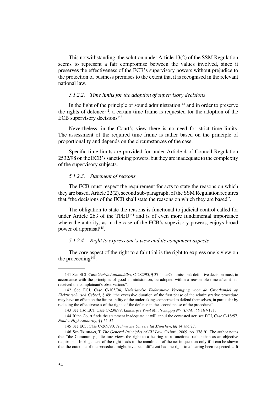This notwithstanding, the solution under Article 13(2) of the SSM Regulation seems to represent a fair compromise between the values involved, since it preserves the effectiveness of the ECB's supervisory powers without prejudice to the protection of business premises to the extent that it is recognised in the relevant national law.

### *5.1.2.2. Time limits for the adoption of supervisory decisions*

In the light of the principle of sound administration $141$  and in order to preserve the rights of defence<sup> $142$ </sup>, a certain time frame is requested for the adoption of the ECB supervisory decisions $143$ .

Nevertheless, in the Court's view there is no need for strict time limits. The assessment of the required time frame is rather based on the principle of proportionality and depends on the circumstances of the case.

Specific time limits are provided for under Article 4 of Council Regulation 2532/98 on the ECB's sanctioning powers, but they are inadequate to the complexity of the supervisory subjects.

#### *5.1.2.3. Statement of reasons*

The ECB must respect the requirement for acts to state the reasons on which they are based. Article 22(2), second sub-paragraph, of the SSM Regulation requires that "the decisions of the ECB shall state the reasons on which they are based".

The obligation to state the reasons is functional to judicial control called for under Article 263 of the TFEU<sup>144</sup> and is of even more fundamental importance where the autority, as in the case of the ECB's supevisory powers, enjoys broad power of appraisal $145$ .

#### *5.1.2.4. Right to express one's view and its component aspects*

The core aspect of the right to a fair trial is the right to express one's view on the proceeding<sup>146</sup>.

<sup>141</sup> See ECJ, Case *Guérin Automobiles,* C-282/95, § 37: "the Commission's definitive decision must, in accordance with the principles of good administration, be adopted within a reasonable time after it has received the complainant's observations".

<sup>142</sup> See ECJ, Case C-105/04, *Nederlandse Federatieve Vereniging voor de Groothandel op Elektrotechnisch Gebied*, § 49: "the excessive duration of the first phase of the administrative procedure may have an effect on the future ability of the undertakings concerned to defend themselves, in particular by reducing the effectiveness of the rights of the defence in the second phase of the procedure".

<sup>143</sup> See also ECJ, Case C-238/99, *Limburgse Vinyl Maatschappij NV (LVM)*, §§ 167-171.

<sup>144</sup> If the Court finds the statement inadequate, it will annul the contested act: see ECJ, Case C-18/57, *Nold v. High Authority*, §§ 51-52.

<sup>145</sup> See ECJ, Case C-269/90, *Technische Universität München*, §§ 14 and 27.

<sup>146</sup> See Tridimas, T, *The General Principles of EU Law*, Oxford, 2009, pp. 378 ff.. The author notes that "the Community judicature views the right to a hearing as a functional rather than as an objective requirment. Infringement of the right leads to the annulment of the act in question only if it can be shown that the outcome of the procedure might have been different had the right to a hearing been respected… It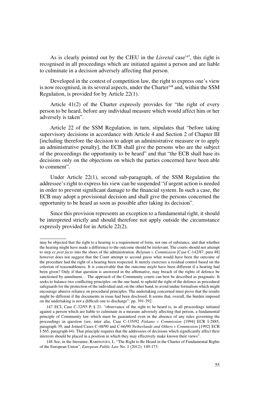As is clearly pointed out by the CJEU in the *Lisretal* case<sup>147</sup>, this right is recognised in all proceedings which are initiated against a person and are liable to culminate in a decision adversely affecting that person.

Developed in the contest of competition law, the right to express one's view is now recognised, in its several aspects, under the Charter<sup>148</sup> and, within the SSM Regulation, is provided for by Article 22(1).

Article 41(2) of the Charter expressly provides for "the right of every person to be heard, before any individual measure which would affect him or her adversely is taken".

Article 22 of the SSM Regulation, in turn, stipulates that "before taking supervisory decisions in accordance with Article 4 and Section 2 of Chapter III [including therefore the decision to adopt an administrative measure or to apply an administrative penalty], the ECB shall give the persons who are the subject of the proceedings the opportunity to be heard" and that "the ECB shall base its decisions only on the objections on which the parties concerned have been able to comment".

Under Article 22(1), second sub-paragraph, of the SSM Regulation the addressee's right to express his view can be suspended "if urgent action is needed in order to prevent significant damage to the financial system. In such a case, the ECB may adopt a provisional decision and shall give the persons concerned the opportunity to be heard as soon as possible after taking its decision".

Since this provision represents an exception to a fundamental right, it should be interpreted strictly and should therefore not apply outside the circumstance expressly provided for in Article 22(2).

may be objected that the right to a hearing is a requirement of form, not one of substance, and that whether the hearing might have made a difference to the outcome should be irrelevant. The courts should not attempt to step *ex post facto* into the shoes of the administration. *Belgium v. Commission* [Case C-142/87, para 48] however does not suggest that the Court attempt to second guess what would have been the outcome of the procedure had the right of a hearing been respected. It merely exercises a residual control based on the criterion of reasonableness. It is conceivable that the outcome *might* have been different if a hearing had been given? Only if that question is answered in the affirmative, may breach of the rights of defence be sanctioned by annulment... The approach of the Community courts can best be described as pragmatic. It seeks to balance two conflicting principles: on the one hand, to uphold the right of the defence as procedural safeguards for the protection of the individual and, on the other hand, to avoid undue formalism which might encourage abusive reliance on procedural principles. The undertaking concerned must prove that the results might be different if the documents in issue had been disclosed. It seems that, overall, the burden imposed on the undertaking is not a difficult one to discharge": pp. 391-392.

<sup>147</sup> ECJ, Case C-32/95 P, § 21: "observance of the right to be heard is, in all proceedings initiated against a person which are liable to culminate in a measure adversely affecting that person, a fundamental principle of Community law which must be guaranteed even in the absence of any rules governing the proceedings in question (see, inter alia, Case C-135/92 *Fiskano v Commission* [1994] ECR I-2885, paragraph 39, and Joined Cases C-48/90 and C-66/90 *Netherlands and Others v Commission* [1992] ECR I-565, paragraph 44). That principle requires that the addressees of decisions which significantly affect their interests should be placed in a position in which they may effectively make known their views".

<sup>148</sup> See, in the literature, Rabinovici, I., "The Right to Be Heard in the Charter of Fundamental Rights of the European Union", *European Public Law* No. 1 (2012): 149-173.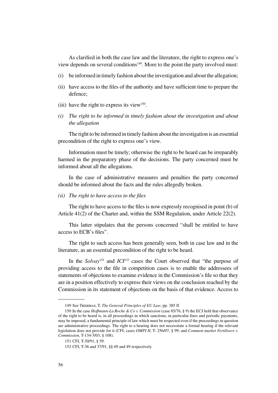As clarified in both the case law and the literature, the right to express one's view depends on several conditions<sup>149</sup>. More to the point the party involved must:

- (i) be informed in timely fashion about the investigation and about the allegation;
- (ii) have access to the files of the authority and have sufficient time to prepare the defence;
- (iii) have the right to express its view<sup>150</sup>.
- *(i) The right to be informed in timely fashion about the investigation and about the allegation*

The right to be informed in timely fashion about the investigation is an essential precondition of the right to express one's view.

Information must be timely; otherwise the right to be heard can be irreparably harmed in the preparatory phase of the decisions. The party concerned must be informed about all the allegations.

In the case of administrative measures and penalties the party concerned should be informed about the facts and the rules allegedly broken.

*(ii) The right to have access to the files*

The right to have access to the files is now expressly recognised in point (b) of Article 41(2) of the Charter and, within the SSM Regulation, under Article 22(2).

This latter stipulates that the persons concerned "shall be entitled to have access to ECB's files".

The right to such access has been generally seen, both in case law and in the literature, as an essential precondition of the right to be heard.

In the *Solvay*<sup>151</sup> and *ICI*<sup>152</sup> cases the Court observed that "the purpose of providing access to the file in competition cases is to enable the addressees of statements of objections to examine evidence in the Commission's file so that they are in a position effectively to express their views on the conclusion reached by the Commission in its statement of objections on the basis of that evidence. Access to

<sup>149</sup> See Tridimas, T, *The General Principles of EU Law*, pp. 385 ff.

<sup>150</sup> In the case *Hoffmann-La Roche & Co v. Commission* (case 85/76, § 9) the ECJ held that observance of the right to be heard is, in all proceedings in which sanctions, in particular fines and periodic payments, may be imposed, a fundamental principle of law which must be respected even if the proceedings in question are administrative proceedings. The right to a hearing does not necessitate a formal hearing if the relevant legislation does not provide for it (CFI, cases *OMPI II*, T- 256/07, § 99, and *Common market Fertilisers v. Commission*, T-134-5/03, § 108).

<sup>151</sup> CFI, T-30/91, § 59.

<sup>152</sup> CFI, T-36 and 37/91, §§ 69 and 49 respectively.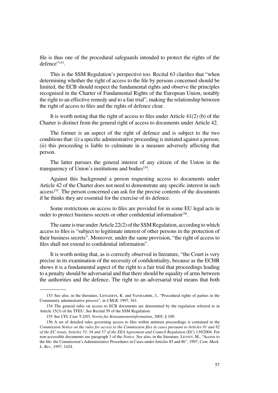file is thus one of the procedural safeguards intended to protect the rights of the defence"<sup>153</sup>.

This is the SSM Regulation's perspective too. Recital 63 clarifies that "when determining whether the right of access to the file by persons concerned should be limited, the ECB should respect the fundamental rights and observe the principles recognised in the Charter of Fundamental Rights of the European Union, notably the right to an effective remedy and to a fair trial", making the relationship between the right of access to files and the rights of defence clear.

It is worth noting that the right of access to files under Article 41(2) (b) of the Charter is distinct from the general right of access to documents under Article 42.

The former is an aspect of the right of defence and is subject to the two conditions that: (i) a specific administrative proceeding is initiated against a person; (ii) this proceeding is liable to culminate in a measure adversely affecting that person.

The latter pursues the general interest of any citizen of the Union in the transparency of Union's institutions and bodies<sup>154</sup>.

Against this background a person requesting access to documents under Article 42 of the Charter does not need to demonstrate any specific interest in such access<sup>155</sup>. The person concerned can ask for the precise contents of the documents if he thinks they are essential for the exercise of its defence.

Some restrictions on access to files are provided for in some EU legal acts in order to protect business secrets or other confidential information<sup>156</sup>.

The same is true under Article 22(2) of the SSM Regulation, according to which access to files is "subject to legitimate interest of other persons in the protection of their business secrets". Moreover, under the same provision, "the right of access to files shall not extend to confidential information".

It is worth noting that, as is correctly observed in literature, "the Court is very precise in its examination of the necessity of confidentiality, because as the ECHR shows it is a fundamental aspect of the right to a fair trial that proceedings leading to a penalty should be adversarial and that there should be equality of arms between the authorities and the defence. The right to an adversarial trial means that both

<sup>153</sup> See also, in the literature, Lenaerts, K. and Vanhamme, J., "Procedural rights of parties in the Community administrative process", in *CMLR*, 1997, 541.

<sup>154</sup> The general rules on access to ECB documents are determined by the regulation referred to in Article 15(3) of the TFEU. See Recital 59 of the SSM Regulation.

<sup>155</sup> See CFI, Case T-2/03, *Verein fur Konsumenteninformation*, 2005, § 109.

<sup>156</sup> A set of detailed rules governing access to files within antitrust proceedings is contained in the *Commission Notice on the rules for access to the Commission files in cases pursuant to Articles 81 and 82 of the EC treaty, Articles 53, 54 and 57 of the EEA Agreement and Council Regulation* (EC) 139/2004. For non-accessible documents see paragraph 3 of the *Notice*. See also, in the literature, LEVITT, M., "Access to the file: the Commission's Administrative Procedures in Cases under Articles 85 and 86", 1997, *Com. Mark. L. Rev.*, 1997, 1424.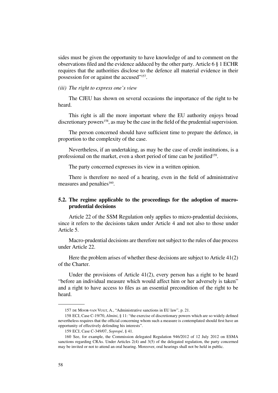sides must be given the opportunity to have knowledge of and to comment on the observations filed and the evidence adduced by the other party. Article 6 § 1 ECHR requires that the authorities disclose to the defence all material evidence in their possession for or against the accused"157.

*(iii) The right to express one's view*

The CJEU has shown on several occasions the importance of the right to be heard.

This right is all the more important where the EU authority enjoys broad discretionary powers<sup>158</sup>, as may be the case in the field of the prudential supervision.

The person concerned should have sufficient time to prepare the defence, in proportion to the complexity of the case.

Nevertheless, if an undertaking, as may be the case of credit institutions, is a professional on the market, even a short period of time can be justified<sup>159</sup>.

The party concerned expresses its view in a written opinion.

There is therefore no need of a hearing, even in the field of administrative measures and penalties<sup>160</sup>.

## **5.2. The regime applicable to the proceedings for the adoption of macroprudential decisions**

Article 22 of the SSM Regulation only applies to micro-prudential decisions, since it refers to the decisions taken under Article 4 and not also to those under Article 5.

Macro-prudential decisions are therefore not subject to the rules of due process under Article 22.

Here the problem arises of whether these decisions are subject to Article 41(2) of the Charter.

Under the provisions of Article 41(2), every person has a right to be heard "before an individual measure which would affect him or her adversely is taken" and a right to have access to files as an essential precondition of the right to be heard.

<sup>157</sup> de Moor-van Vugt, A., "Administrative sanctions in EU law", p. 21.

<sup>158</sup> ECJ, Case C-19/70, *Almini*, § 11: "the exercise of discretionary powers which are so widely defined nevertheless requires that the official concerning whom such a measure is contemplated should first have an opportunity of effectively defending his interests".

<sup>159</sup> ECJ, Case C-349/07, *Sopropé*, § 41.

<sup>160</sup> See, for example, the Commission delegated Regulation 946/2012 of 12 July 2012 on ESMA sanctions regarding CRAs. Under Articles 2(4) and 3(5) of the delegated regulation, the party concerned may be invited or not to attend an oral hearing. Moreover, oral hearings shall not be held in public.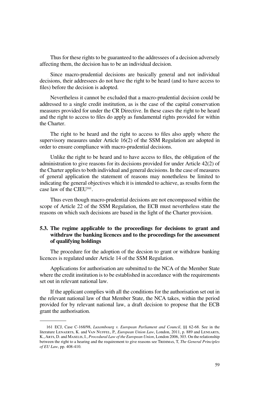Thus for these rights to be guaranteed to the addressees of a decision adversely affecting them, the decision has to be an individual decision.

Since macro-prudential decisions are basically general and not individual decisions, their addressees do not have the right to be heard (and to have access to files) before the decision is adopted.

Nevertheless it cannot be excluded that a macro-prudential decision could be addressed to a single credit institution, as is the case of the capital conservation measures provided for under the CR Directive. In these cases the right to be heard and the right to access to files do apply as fundamental rights provided for within the Charter.

The right to be heard and the right to access to files also apply where the supervisory measures under Article 16(2) of the SSM Regulation are adopted in order to ensure compliance with macro-prudential decisions.

Unlike the right to be heard and to have access to files, the obligation of the administration to give reasons for its decisions provided for under Article 42(2) of the Charter applies to both individual and general decisions. In the case of measures of general application the statement of reasons may nonetheless be limited to indicating the general objectives which it is intended to achieve, as results form the case law of the CJEU<sup>161</sup>.

Thus even though macro-prudential decisions are not encompassed within the scope of Article 22 of the SSM Regulation, the ECB must nevertheless state the reasons on which such decisions are based in the light of the Charter provision.

# **5.3. The regime applicable to the proceedings for decisions to grant and withdraw the banking licences and to the proceedings for the assessment of qualifying holdings**

The procedure for the adoption of the decsion to grant or withdraw banking licences is regulated under Article 14 of the SSM Regulation.

Applications for authorisation are submitted to the NCA of the Member State where the credit institution is to be established in accordance with the requirements set out in relevant national law.

If the applicant complies with all the conditions for the authorisation set out in the relevant national law of that Member State, the NCA takes, within the period provided for by relevant national law, a draft decision to propose that the ECB grant the authorisation.

<sup>161</sup> ECJ, Case C-168/98, *Luxembourg v. European Parliament and Council*, §§ 62-68. See in the literature Lenaerts, K. and Van Nuffel, P., *European Union Law*, London, 2011, p. 889 and Lenearts, K., Arts, D. and Maselis, I., *Procedural Law of the European Union*, London 2006, 303. On the relationship between the right to a hearing and the requirement to give reasons see TRIDIMAS, T, *The General Principles of EU Law*, pp. 408-410.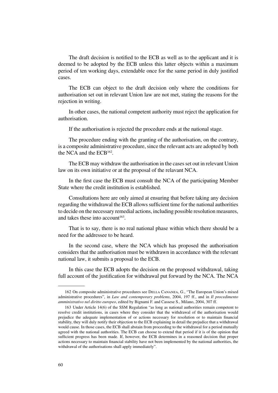The draft decision is notified to the ECB as well as to the applicant and it is deemed to be adopted by the ECB unless this latter objects within a maximum period of ten working days, extendable once for the same period in duly justified cases.

The ECB can object to the draft decision only where the conditions for authorisation set out in relevant Union law are not met, stating the reasons for the rejection in writing.

In other cases, the national competent authority must reject the application for authorisation.

If the authorisation is rejected the procedure ends at the national stage.

The procedure ending with the granting of the authorisation, on the contrary, is a composite administrative procedure, since the relevant acts are adopted by both the NCA and the ECB<sup>162</sup>.

The ECB may withdraw the authorisation in the cases set out in relevant Union law on its own initiative or at the proposal of the relavant NCA.

In the first case the ECB must consult the NCA of the participating Member State where the credit institution is established.

Consultations here are only aimed at ensuring that before taking any decision regarding the withdrawal the ECB allows sufficient time for the national authorities to decide on the necessary remedial actions, including possible resolution measures, and takes these into account<sup>163</sup>.

That is to say, there is no real national phase within which there should be a need for the addressee to be heard.

In the second case, where the NCA which has proposed the authorisation considers that the authorisation must be withdrawn in accordance with the relevant national law, it submits a proposal to the ECB.

In this case the ECB adopts the decision on the proposed withdrawal, taking full account of the justification for withdrawal put forward by the NCA. The NCA

<sup>162</sup> On composite administrative procedures see Della Cananea, G., "The European Union's mixed administrative procedures", in *Law and contemporary problems*, 2004, 197 ff., and in *Il procedimento amministrativo nel diritto europeo*, edited by Bignami F. and Cassese S., Milano, 2004, 307 ff.

<sup>163</sup> Under Article 14(6) of the SSM Regulation "as long as national authorities remain competent to resolve credit institutions, in cases where they consider that the withdrawal of the authorisation would prejudice the adequate implementation of or actions necessary for resolution or to maintain financial stability, they will duly notify their objection to the ECB explaining in detail the prejudice that a withdrawal would cause. In those cases, the ECB shall abstain from proceeding to the withdrawal for a period mutually agreed with the national authorities. The ECB can choose to extend that period if it is of the opinion that sufficient progress has been made. If, however, the ECB determines in a reasoned decision that proper actions necessary to maintain financial stability have not been implemented by the national authorities, the withdrawal of the authorisations shall apply immediately".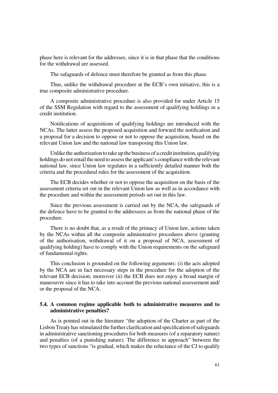phase here is relevant for the addressee, since it is in that phase that the conditions for the withdrawal are assessed.

The safaguards of defence must therefore be granted as from this phase.

Thus, unlike the withdrawal procedure at the ECB's own initiative, this is a true composite administrative procedure.

A composite administrative procedure is also provided for under Article 15 of the SSM Regulation with regard to the assessment of qualifying holdings in a credit institution.

Notifications of acquisitions of qualifying holdings are introduced with the NCAs. The latter assess the proposed acquisition and forward the notification and a proposal for a decision to oppose or not to oppose the acquisition, based on the relevant Union law and the national law transposing this Union law.

Unlike the authorisation to take up the business of a credit institution, qualifying holdings do not entail the need to assess the applicant's compliance with the relevant national law, since Union law regulates in a sufficiently detailed manner both the criteria and the procedural rules for the assessment of the acquisition.

The ECB decides whether or not to oppose the acquisition on the basis of the assessment criteria set out in the relevant Union law as well as in accordance with the procedure and within the assessment periods set out in this law.

Since the previous assessment is carried out by the NCA, the safeguards of the defence have to be granted to the addressees as from the national phase of the procedure.

There is no doubt that, as a result of the primacy of Union law, actions taken by the NCAs within all the composite adminstrative procedures above (granting of the authorisation, withdrawal of it on a proposal of NCA, assessment of qualifying holding) have to comply with the Union requirements on the safeguard of fundamental rights.

This conclusion is grounded on the following arguments: (i) the acts adopted by the NCA are in fact necessary steps in the procedure for the adoption of the relevant ECB decision; moreover (ii) the ECB does not enjoy a broad margin of maneouvre since it has to take into account the previous national assessement and/ or the proposal of the NCA.

### **5.4. A common regime applicable both to administrative measures and to administrative penalties?**

As is pointed out in the literature "the adoption of the Charter as part of the Lisbon Treaty has stimulated the further clarification and specification of safeguards in administrative sanctioning procedures for both measures (of a reparatory nature) and penalties (of a punishing nature). The difference in approach" between the two types of sanctions "is gradual, which makes the reluctance of the CJ to qualify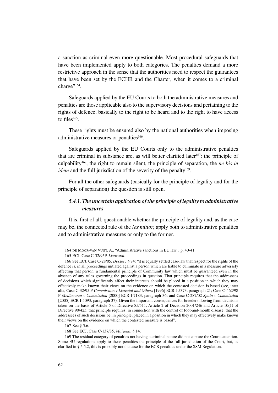a sanction as criminal even more questionable. Most procedural safeguards that have been implemented apply to both categories. The penalties demand a more restrictive approach in the sense that the authorities need to respect the guarantees that have been set by the ECHR and the Charter, when it comes to a criminal charge"<sup>164</sup>.

Safeguards applied by the EU Courts to both the administrative measures and penalties are those applicable also to the supervisory decisions and pertaining to the rights of defence, basically to the right to be heard and to the right to have access to files $165$ .

These rights must be ensured also by the national authorities when imposing administrative measures or penalties<sup>166</sup>.

Safeguards applied by the EU Courts only to the administrative penalties that are criminal in substance are, as will better clarified later<sup>167</sup>: the principle of culpability168, the right to remain silent, the principle of separation, the *ne bis in idem* and the full jurisdiction of the severity of the penalty<sup>169</sup>.

For all the other safeguards (basically for the principle of legality and for the principle of separation) the question is still open.

# *5.4.1. The uncertain application of the principle of legality to administrative measures*

It is, first of all, questionable whether the principle of legality and, as the case may be, the connected rule of the *lex mitior,* apply both to administrative penalties and to administrative measures or only to the former.

<sup>164</sup> de Moor-van Vugt, A., "Administrative sanctions in EU law", p. 40-41.

<sup>165</sup> ECJ, Case C-32/95P, *Listrestal*.

<sup>166</sup> See ECJ, Case C-28/05, *Docter*, § 74: "it is equally settled case-law that respect for the rights of the defence is, in all proceedings initiated against a person which are liable to culminate in a measure adversely affecting that person, a fundamental principle of Community law which must be guaranteed even in the absence of any rules governing the proceedings in question. That principle requires that the addressees of decisions which significantly affect their interests should be placed in a position in which they may effectively make known their views on the evidence on which the contested decision is based (see, inter alia, Case C-32/95 P *Commission v Lisrestal and Others* [1996] ECR I-5373, paragraph 21; Case C-462/98 P *Mediocurso v Commission* [2000] ECR I-7183, paragraph 36; and Case C-287/02 *Spain v Commission* [2005] ECR I-5093, paragraph 37). Given the important consequences for breeders flowing from decisions taken on the basis of Article 5 of Directive 85/511, Article 2 of Decision 2001/246 and Article 10(1) of Directive 90/425, that principle requires, in connection with the control of foot-and-mouth disease, that the addressees of such decisions be, in principle, placed in a position in which they may effectively make known their views on the evidence on which the contested measure is based".

<sup>167</sup> See § 5.6.

<sup>168</sup> See ECJ, Case C-137/85, *Maizena*, § 14.

<sup>169</sup> The residual category of penalties not having a criminal nature did not capture the Courts attention. Some EU regulations apply to these penalties the principle of the full jurisdiction of the Court, but, as clarified in § 5.5.2, this is probably not the case for the ECB penalties under the SSM Regulation.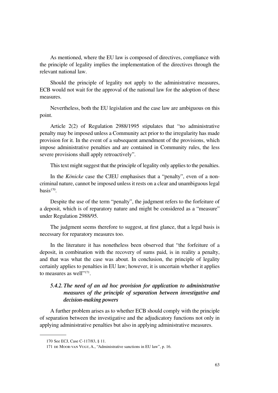As mentioned, where the EU law is composed of directives, compliance with the principle of legality implies the implementation of the directives through the relevant national law.

Should the principle of legality not apply to the administrative measures, ECB would not wait for the approval of the national law for the adoption of these measures.

Nevertheless, both the EU legislation and the case law are ambiguous on this point.

Article 2(2) of Regulation 2988/1995 stipulates that "no administrative penalty may be imposed unless a Community act prior to the irregularity has made provision for it. In the event of a subsequent amendment of the provisions, which impose administrative penalties and are contained in Community rules, the less severe provisions shall apply retroactively".

This text might suggest that the principle of legality only applies to the penalties.

In the *Könicke* case the CJEU emphasises that a "penalty", even of a noncriminal nature, cannot be imposed unless it rests on a clear and unambiguous legal basis170.

Despite the use of the term "penalty", the judgment refers to the forfeiture of a deposit, which is of reparatory nature and might be considered as a "measure" under Regulation 2988/95.

The judgment seems therefore to suggest, at first glance, that a legal basis is necessary for reparatory measures too.

In the literature it has nonetheless been observed that "the forfeiture of a deposit, in combination with the recovery of sums paid, is in reality a penalty, and that was what the case was about. In conclusion, the principle of legality certainly applies to penalties in EU law; however, it is uncertain whether it applies to measures as well $"171$ .

# *5.4.2. The need of an ad hoc provision for application to administrative measures of the principle of separation between investigative and decision-making powers*

A further problem arises as to whether ECB should comply with the principle of separation between the investigative and the adjudicatory functions not only in applying administrative penalties but also in applying administrative measures.

<sup>170</sup> See ECJ, Case C-117/83, § 11.

<sup>171</sup> de Moor-van Vugt, A., "Administrative sanctions in EU law", p. 16.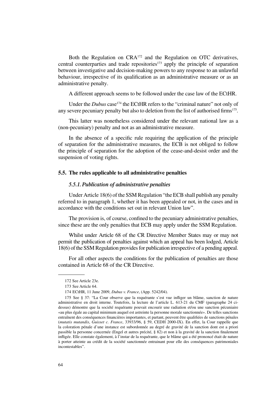Both the Regulation on CRA172 and the Regulation on OTC derivatives, central counterparties and trade repositories<sup>173</sup> apply the principle of separation between investigative and decision-making powers to any response to an unlawful behaviour, irrespective of its qualification as an administrative measure or as an administrative penalty.

A different approach seems to be followed under the case law of the ECtHR.

Under the *Dubus* case<sup>174</sup> the ECtHR refers to the "criminal nature" not only of any severe pecuniary penalty but also to deletion from the list of authorised firms<sup>175</sup>.

This latter was nonetheless considered under the relevant national law as a (non-pecuniary) penalty and not as an administrative measure.

In the absence of a specific rule requiring the application of the principle of separation for the administrative measures, the ECB is not obliged to follow the principle of separation for the adoption of the cease-and-desist order and the suspension of voting rights.

#### **5.5. The rules applicable to all administrative penalties**

#### *5.5.1. Publication of administrative penalties*

Under Article 18(6) of the SSM Regulation "the ECB shall publish any penalty referred to in paragraph 1, whether it has been appealed or not, in the cases and in accordance with the conditions set out in relevant Union law".

The provision is, of course, confined to the pecuniary administrative penalties, since these are the only penalties that ECB may apply under the SSM Regulation.

Whilst under Article 68 of the CR Directive Member States may or may not permit the publication of penalties against which an appeal has been lodged, Article 18(6) of the SSM Regulation provides for publication irrespective of a pending appeal.

For all other aspects the conditions for the publication of penalties are those contained in Article 68 of the CR Directive.

<sup>172</sup> See Article 23e.

<sup>173</sup> See Article 64.

<sup>174</sup> ECtHR, 11 June 2009, *Dubus v. France*, (App. 5242/04).

<sup>175</sup> See § 37: "La Cour observe que la requérante s'est vue infliger un blâme, sanction de nature administrative en droit interne. Toutefois, la lecture de l'article L. 613-21 du CMF (paragraphe 24 cidessus) démontre que la société requérante pouvait encourir une radiation et/ou une sanction pécuniaire «au plus égale au capital minimum auquel est astreinte la personne morale sanctionnée». De telles sanctions entraînent des conséquences financières importantes, et partant, peuvent être qualifiées de sanctions pénales (*mutatis mutandis*, *Guisset c. France*, 33933/96, § 59, CEDH 2000-IX). En effet, la Cour rappelle que la coloration pénale d'une instance est subordonnée au degré de gravité de la sanction dont est a priori passible la personne concernée (Engel et autres précité, § 82) et non à la gravité de la sanction finalement infligée. Elle constate également, à l'instar de la requérante, que le blâme qui a été prononcé était de nature à porter atteinte au crédit de la société sanctionnée entrainant pour elle des conséquences patrimoniales incontestables".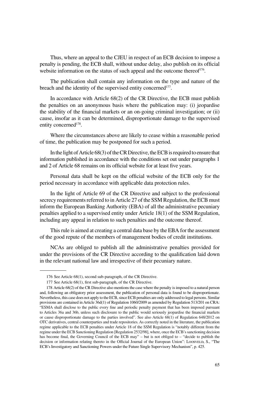Thus, where an appeal to the CJEU in respect of an ECB decision to impose a penalty is pending, the ECB shall, without undue delay, also publish on its official website information on the status of such appeal and the outcome thereof $176$ .

The publication shall contain any information on the type and nature of the breach and the identity of the supervised entity concerned<sup>177</sup>.

In accordance with Article 68(2) of the CR Directive, the ECB must publish the penalties on an anonymous basis where the publication may: (i) jeopardise the stability of the financial markets or an on-going criminal investigation; or (ii) cause, insofar as it can be determined, disproportionate damage to the supervised entity concerned<sup>178</sup>.

Where the circumstances above are likely to cease within a reasonable period of time, the publication may be postponed for such a period.

In the light of Article 68(3) of the CR Directive, the ECB is required to ensure that information published in accordance with the conditions set out under paragraphs 1 and 2 of Article 68 remains on its official website for at least five years.

Personal data shall be kept on the official website of the ECB only for the period necessary in accordance with applicable data protection rules.

In the light of Article 69 of the CR Directive and subject to the professional secrecy requirements referred to in Article 27 of the SSM Regulation, the ECB must inform the European Banking Authority (EBA) of all the administrative pecuniary penalties applied to a supervised entity under Article 18(1) of the SSM Regulation, including any appeal in relation to such penalties and the outcome thereof.

This rule is aimed at creating a central data base by the EBA for the assessment of the good repute of the members of management bodies of credit institutions.

NCAs are obliged to publish all the administrative penalties provided for under the provisions of the CR Directive according to the qualification laid down in the relevant national law and irrespective of their pecuniary nature.

<sup>176</sup> See Article 68(1), second sub-paragraph, of the CR Directive.

<sup>177</sup> See Article 68(1), first sub-paragraph, of the CR Directive.

<sup>178</sup> Article 68(2) of the CR Directive also mentions the case where the penalty is imposed to a natural person and, following an obligatory prior assessment, the publication of personal data is found to be disproportionate. Nevertheless, this case does not apply to the ECB, since ECB penalties are only addressed to legal persons. Similar provisions are contained in Article 36d(1) of Regulation 1060/2009 as amended by Regulation 513/201 on CRA: "ESMA shall disclose to the public every fine and periodic penalty payment that has been imposed pursuant to Articles 36a and 36b, unless such disclosure to the public would seriously jeopardise the financial markets or cause disproportionate damage to the parties involved". See also Article 68(1) of Regulation 648/2012 on OTC derivatives, central counterparties and trade repositories. As correctly noted in the literature, the publication regime applicable to the ECB penalties under Article 18 of the SSM Regulation is "notably different from the regime under the ECB Sanctioning Regulation [Regulation 2532/98], where, once the ECB's sanctioning decision has become final, the Governing Council of the ECB may" – but is not obliged to – "decide to publish the decision or information relating thereto in the Official Journal of the European Union": LOOSVELD, S., "The ECB's Investigatory and Sanctioning Powers under the Future Single Supervisory Mechanism", p. 425.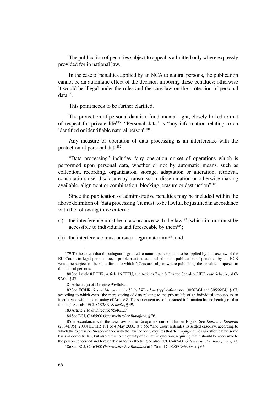The publication of penalties subject to appeal is admitted only where expressly provided for in national law.

In the case of penalties applied by an NCA to natural persons, the publication cannot be an automatic effect of the decision imposing these penalties; otherwise it would be illegal under the rules and the case law on the protection of personal  $data^{179}$ .

This point needs to be further clarified.

The protection of personal data is a fundamental right, closely linked to that of respect for private life180. "Personal data" is "any information relating to an identified or identifiable natural person"<sup>181</sup>.

Any measure or operation of data processing is an interference with the protection of personal data<sup>182</sup>.

"Data processing" includes "any operation or set of operations which is performed upon personal data, whether or not by automatic means, such as collection, recording, organization*,* storage, adaptation or alteration, retrieval, consultation, use, disclosure by transmission, dissemination or otherwise making available, alignment or combination, blocking, erasure or destruction"183.

Since the publication of administrative penalties may be included within the above definition of "data processing", it must, to be lawful, be justified in accordance with the following three criteria:

- (i) the interference must be in accordance with the law<sup>184</sup>, which in turn must be accessible to individuals and foreseeable by them<sup>185</sup>;
- (ii) the interference must pursue a legitimate aim $186$ ; and

184See ECJ, C-465/00 *Österreichischer Rundfunk*, § 76.

<sup>179</sup> To the extent that the safaguards granted to natural persons tend to be applied by the case law of the EU Courts to legal persons too, a problem arises as to whether the publication of penalties by the ECB would be subject to the same limits to which NCAs are subject where publishing the penalties imposed to the natural persons.

<sup>180</sup>See Article 8 ECHR, Article 16 TFEU, and Articles 7 and 8 Charter. See also CJEU, case *Schecke*, of C-92/09, § 47.

<sup>181</sup>Article 2(a) of Directive 95/46/EC.

<sup>182</sup>See ECtHR, *S. and Marper v. the United Kingdom* (applications nos. 30562/04 and 30566/04), § 67, according to which even "the mere storing of data relating to the private life of an individual amounts to an interference within the meaning of Article 8. The subsequent use of the stored information has no bearing on that finding". See also ECJ, C-92/09, *Schecke*, § 49.

<sup>183</sup>Article 2(b) of Directive 95/46/EC.

<sup>185</sup>In accordance with the case law of the European Court of Human Rights. See *Rotaru v. Romania* (28341/95) [2000] ECtHR 191 of 4 May 2000, at § 55: "The Court reiterates its settled case-law, according to which the expression 'in accordance with the law' not only requires that the impugned measure should have some basis in domestic law, but also refers to the quality of the law in question, requiring that it should be accessible to the person concerned and foreseeable as to its effects". See also ECJ, C-465/00 *Österreichischer Rundfunk*, § 77.

<sup>186</sup>See ECJ, C-465/00 *Österreichischer Rundfunk* at § 76 and C-92/09 *Schecke* at § 65.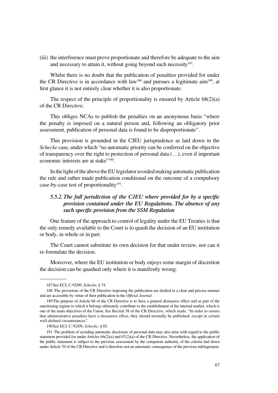(iii) the interference must prove proportionate and therefore be adequate to the aim and necessary to attain it, without going beyond such necessity<sup>187</sup>.

Whilst there is no doubt that the publication of penalties provided for under the CR Directive is in accordance with law<sup>188</sup> and pursues a legitimate aim<sup>189</sup>, at first glance it is not entirely clear whether it is also proportionate.

The respect of the principle of proportionality is ensured by Article  $68(2)(a)$ of the CR Directive.

This obliges NCAs to publish the penalties on an anonymous basis "where the penalty is imposed on a natural person and, following an obligatory prior assessment, publication of personal data is found to be disproportionate".

This provision is grounded in the CJEU jurisprudence as laid down in the *Schecke* case, under which "no automatic priority can be conferred on the objective of transparency over the right to protection of personal data (…), even if important economic interests are at stake"190.

In the light of the above the EU legislator avoided making automatic publication the rule and rather made publication conditional on the outcome of a compulsory case-by-case test of proportionality<sup>191</sup>.

# *5.5.2. The full jurisdiction of the CJEU where provided for by a specific provision contained under the EU Regulations. The absence of any such specific provision from the SSM Regulation*

One feature of the approach to control of legality under the EU Treaties is that the only remedy available to the Court is to quash the decision of an EU institution or body, in whole or in part.

The Court cannot substitute its own decision for that under review, nor can it re-formulate the decision.

Moreover, where the EU institution or body enjoys some margin of discretion the decision can be quashed only where it is manifestly wrong.

<sup>187</sup>See ECJ, C-92/09, *Schecke,* § 74.

<sup>188</sup> The provisions of the CR Directive imposing the publication are drafted in a clear and precise manner and are accessible by virtue of their publication in the *Official Journal*.

<sup>189</sup>The purpose of Article 68 of the CR Directive is to have a general dissuasive effect and as part of the sanctioning regime to which it belongs ultimately contribute to the establishment of the internal market, which is one of the main objectives of the Union. See Recital 38 of the CR Directive, which reads: "In order to ensure that administrative penalties have a dissuasive effect, they should normally be published, except in certain well-defined circumstances".

<sup>190</sup>See ECJ, C-92/09, *Schecke*, § 85.

<sup>191</sup> The problem of avoiding automatic disclosure of personal data may also arise with regard to the public statement provided for under Articles  $66(2)(a)$  and  $67(2)(a)$  of the CR Directive. Nevertheless, the application of the public statement is subject to the previous assessment by the competent authority of the criteria laid down under Article 70 of the CR Directive and is therefore not an automatic consequence of the previous infringement.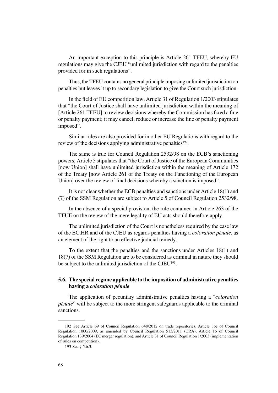An important exception to this principle is Article 261 TFEU, whereby EU regulations may give the CJEU "unlimited jurisdiction with regard to the penalties provided for in such regulations".

Thus, the TFEU contains no general principle imposing unlimited jurisdiction on penalties but leaves it up to secondary legislation to give the Court such jurisdiction.

In the field of EU competition law, Article 31 of Regulation 1/2003 stipulates that "the Court of Justice shall have unlimited jurisdiction within the meaning of [Article 261 TFEU] to review decisions whereby the Commission has fixed a fine or penalty payment; it may cancel, reduce or increase the fine or penalty payment imposed".

Similar rules are also provided for in other EU Regulations with regard to the review of the decisions applying administrative penalties<sup>192</sup>.

The same is true for Council Regulation 2532/98 on the ECB's sanctioning powers; Article 5 stipulates that "the Court of Justice of the European Communities [now Union] shall have unlimited jurisdiction within the meaning of Article 172 of the Treaty [now Article 261 of the Treaty on the Functioning of the European Union] over the review of final decisions whereby a sanction is imposed".

It is not clear whether the ECB penalties and sanctions under Article 18(1) and (7) of the SSM Regulation are subject to Article 5 of Council Regulation 2532/98.

In the absence of a special provision, the rule contained in Article 263 of the TFUE on the review of the mere legality of EU acts should therefore apply.

The unlimited jurisdiction of the Court is nonetheless required by the case law of the ECtHR and of the CJEU as regards penalties having a *coloration pénale*, as an element of the right to an effective judicial remedy.

To the extent that the penalties and the sanctions under Articles 18(1) and 18(7) of the SSM Regulation are to be considered as criminal in nature they should be subject to the unlimited jurisdiction of the CJEU<sup>193</sup>.

## **5.6. The special regime applicable to the imposition of administrative penalties having a** *coloration pénale*

The application of pecuniary administrative penalties having a "*coloration pénale*" will be subject to the more stringent safeguards applicable to the criminal sanctions.

<sup>192</sup> See Article 69 of Council Regulation 648/2012 on trade repositories, Article 36e of Council Regulation 1060/2009, as amended by Council Regulation 513/2011 (CRA), Article 16 of Council Regulation 139/2004 (EC merger regulation), and Article 31 of Council Regulation 1/2003 (implementation of rules on competition).

<sup>193</sup> See § 5.6.3.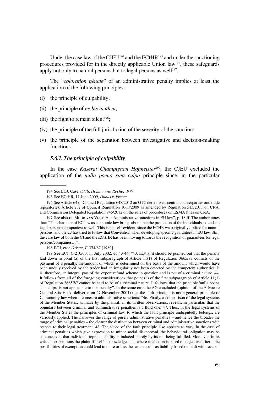Under the case law of the CJEU<sup>194</sup> and the ECtHR<sup>195</sup> and under the sanctioning procedures provided for in the directly applicable Union law196, these safeguards apply not only to natural persons but to legal persons as well $1^{197}$ .

The "*coloration pénale*" of an administrative penalty implies at least the application of the following principles:

(i) the principle of culpability;

(ii) the principle of *ne bis in idem*;

(iii) the right to remain silent<sup>198</sup>;

(iv) the principle of the full jurisdiction of the severity of the sanction;

(v) the principle of the separation between investigative and decision-making functions.

### *5.6.1. The principle of culpability*

In the case *Kaserai Champignon Hofmeister*199, the CJEU excluded the application of the *nulla poena sina culpa* principle since, in the particular

198 ECJ, case *Orkem*, C-374/87 [1989].

<sup>194</sup> See ECJ, Case 85/76, *Hofmann-la Roche*, 1979.

<sup>195</sup> See ECtHR, 11 June 2009, *Dubus v. France*.

<sup>196</sup> See Article 64 of Council Regulation 648/2012 on OTC derivatives, central counterparties and trade repositories, Article 23e of Council Regulation 1060/2009 as amended by Regulation 513/2011 on CRA, and Commission Delegated Regulation 946/2012 on the rules of procedures on ESMA fines on CRA.

<sup>197</sup> See also DE MOOR-VAN VUGT, A., "Administrative sanctions in EU law", p. 18 ff. The author notes that: "The character of EC law as economic law brings about that the protection of the individuals extends to legal persons (companies) as well. This is not self-evident, since the ECHR was originally drafted for natural persons, and the CJ has tried to follow that Convention when developing specific guarantees in EU law. Still, the case law of both the CJ and the ECrtHR has been moving towards the recognition of guarantees for legal persons/companies…".

<sup>199</sup> See ECJ, C-210/00, 11 July 2002, §§ 43-44: "43. Lastly, it should be pointed out that the penalty laid down in point (a) of the first subparagraph of Article 11(1) of Regulation 3665/87 consists of the payment of a penalty, the amount of which is determined on the basis of the amount which would have been unduly received by the trader had an irregularity not been detected by the competent authorities. It is, therefore, an integral part of the export refund scheme in question and is not of a criminal nature. 44. It follows from all of the foregoing considerations that point (a) of the first subparagraph of Article 11(1) of Regulation 3665/87 cannot be said to be of a criminal nature. It follows that the principle 'nulla poena sine culpa' is not applicable to this penalty". In the same case the AG concluded (opinion of the Advocate General Stix-Hackl delivered on 27 November 2001) that the fault principle is not a general principle of Community law when it comes to administrative sanctions: "46. Firstly, a comparison of the legal systems of the Member States, as made by the plaintiff in its written observations, reveals, in particular, that the boundary between criminal and administrative penalties is a fluid one. 47. Thus, in the legal systems of the Member States the principles of criminal law, to which the fault principle undisputedly belongs, are variously applied. The narrower the range of purely administrative penalties – and hence the broader the range of criminal penalties – the clearer the distinction between criminal and administrative sanctions with respect to their legal treatment. 48. The scope of the fault principle also appears to vary. In the case of criminal penalties which give expression to minor social disapproval, the behavioural obligation may be so conceived that individual reprehensibility is induced merely by its not being fulfilled. Moreover, in its written observations the plaintiff itself acknowledges that where a sanction is based on objective criteria the possibilities of exemption could lead to more or less the same results as liability based on fault with reversal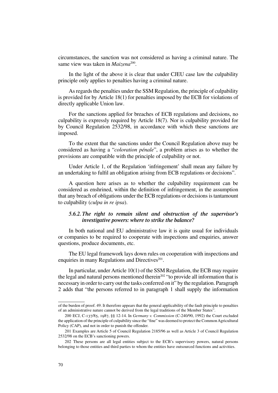circumstances, the sanction was not considered as having a criminal nature. The same view was taken in *Maizena*<sup>200</sup>.

In the light of the above it is clear that under CJEU case law the culpability principle only applies to penalties having a criminal nature.

As regards the penalties under the SSM Regulation, the principle of culpability is provided for by Article 18(1) for penalties imposed by the ECB for violations of directly applicable Union law.

For the sanctions applied for breaches of ECB regulations and decisions, no culpability is expressly required by Article 18(7). Nor is culpability provided for by Council Regulation 2532/98, in accordance with which these sanctions are imposed.

To the extent that the sanctions under the Council Regulation above may be considered as having a "*coloration pénale*", a problem arises as to whether the provisions are compatible with the principle of culpability or not.

Under Article 1, of the Regulation 'infringement' shall mean any failure by an undertaking to fulfil an obligation arising from ECB regulations or decisions".

A question here arises as to whether the culpability requirement can be considered as enshrined, within the definition of infringement, in the assumption that any breach of obligations under the ECB regulations or decisions is tantamount to culpability (*culpa in re ipsa*).

## *5.6.2. The right to remain silent and obstruction of the supervisor's investigative powers: where to strike the balance?*

In both national and EU administrative law it is quite usual for individuals or companies to be required to cooperate with inspections and enquiries, answer questions, produce documents, etc.

The EU legal framework lays down rules on cooperation with inspections and enquiries in many Regulations and Directives<sup>201</sup>.

In particular, under Article 10(1) of the SSM Regulation, the ECB may require the legal and natural persons mentioned therein<sup>202</sup> "to provide all information that is necessary in order to carry out the tasks conferred on it" by the regulation. Paragraph 2 adds that "the persons referred to in paragraph 1 shall supply the information

of the burden of proof. 49. It therefore appears that the general applicability of the fault principle to penalties of an administrative nature cannot be derived from the legal traditions of the Member States".

<sup>200</sup> ECJ, C-137/85, 1987, §§ 12-14. In *Germany v. Commission* (C-240/90, 1992) the Court excluded the application of the principle of culpability since the "fine" was deemed to protect the Common Agricultural Policy (CAP), and not in order to punish the offender.

<sup>201</sup> Examples are Article 5 of Council Regulation 2185/96 as well as Article 3 of Council Regulation 2532/98 on the ECB's sanctioning powers.

<sup>202</sup> These persons are all legal entities subject to the ECB's supervisory powers, natural persons belonging to those entities and third parties to whom the entities have outsourced functions and activities.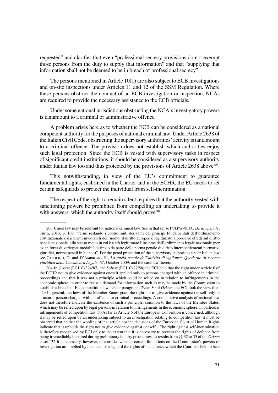requested" and clarifies that even "professional secrecy provisions do not exempt those persons from the duty to supply that information" and that "supplying that information shall not be deemed to be in breach of professional secrecy".

The persons mentioned in Article 10(1) are also subject to ECB investigations and on-site inspections under Articles 11 and 12 of the SSM Regulation. Where these persons obstruct the conduct of an ECB investigation or inspection, NCAs are required to provide the necessary assistance to the ECB officials.

Under some national jurisdictions obstructing the NCA's investigatory powers is tantamount to a criminal or administrative offence.

A problem arises here as to whether the ECB can be considered as a national competent authority for the purposes of national criminal law. Under Article 2638 of the Italian Civil Code, obstructing the supervisory authorities' activity is tantamount to a criminal offence. The provision does not establish which authorities enjoy such legal protection. Since the ECB is vested with supervisory tasks in respect of significant credit institutions, it should be considered as a supervisory authority under Italian law too and thus protected by the provisions of Article  $2638$  above<sup>203</sup>.

This notwithstanding, in view of the EU's commitment to guarantee fundamental rights, enshrined in the Charter and in the ECHR, the EU needs to set certain safeguards to protect the individual from self-incrimination.

The respect of the right to remain silent requires that the authority vested with sanctioning powers be prohibited from compelling an undertaking to provide it with answers, which the authority itself should prove<sup>204</sup>.

<sup>203</sup> Union law may be relevant for national criminal law. See in that sense Pulitanò, D., *Diritto penale*, Turin, 2013, p. 169: "fermi restando i controlimiti derivanti dai principi fondamentali dell'ordinamento costituzionale e dai diritti inviolabili dell'uomo, il diritto europeo è legittimato a produrre effetti sul diritto penale nazionale, allo stesso modo in cui è a ciò legittimato l'insieme dell'ordinmento legale nazionale (per es. in forza di variegate modalità di rinvio da parte della norma penale di diritto interno: elementi normativi giuridici, norme penali in bianco)". For the penal protection of the supervisory authorities under Italian law see Capolino, O. and D'Ambrosio, R., *La tutela penale dell'attività di vigilanza*, *Quaderno di ricerca giuridica della Consulenza Legale*, 67, October 2009, and the case law therein.

<sup>204</sup> In *Orkem* (ECJ, C-374/87) and *Solvay* (ECJ, C-27/88) the ECJ held that the right under Article 6 of the ECHR not to give evidence against oneself applied only to persons charged with an offence in criminal proceedings and that it was not a principle which could be relied on in relation to infringements in the economic sphere, in order to resist a demand for information such as may be made by the Commission to establish a breach of EU competition law. Under paragraphs 29 an 30 of *Orkem*, the ECJ took the view that: "29 In general, the laws of the Member States grant the right not to give evidence against oneself only to a natural person charged with an offence in criminal proceedings. A comparative analysis of national law does not therefore indicate the existence of such a principle, common to the laws of the Member States, which may be relied upon by legal persons in relation to infringements in the economic sphere, in particular infringements of competition law. 30 As far as Article 6 of the European Convention is concerned, although it may be relied upon by an undertaking subject to an investigation relating to competition law, it must be observed that neither the wording of that article nor the decisions of the European Court of Human Rights indicate that it upholds the right not to give evidence against oneself". The right against self-incrimination is therefore recognised by ECJ only to the extent that it is necessary to prevent the rights of defence from being irremediably impaired during preliminary inquiry procedures, as results from §§ 32 to 35 of the *Orkem* case: "32 It is necessary, however, to consider whether certain limitations on the Commission's powers of investigation are implied by the need to safeguard the rights of the defence which the Court has held to be a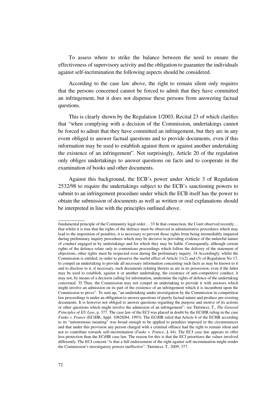To assess where to strike the balance between the need to ensure the effectiveness of supervisory activity and the obligation to guarantee the individuals against self-incrimination the following aspects should be considered.

According to the case law above, the right to remain silent only requires that the persons concerned cannot be forced to admit that they have committed an infringement, but it does not dispense these persons from answering factual questions.

This is clearly shown by the Regulation 1/2003, Recital 23 of which clarifies that "when complying with a decision of the Commission, undertakings cannot be forced to admit that they have committed an infringement, but they are in any event obliged to answer factual questions and to provide documents, even if this information may be used to establish against them or against another undertaking the existence of an infringement". Not surprisingly, Article 20 of the regulation only obliges undertakings to answer questions on facts and to cooperate in the examination of books and other documents.

Against this background, the ECB's power under Article 3 of Regulation 2532/98 to require the undertakings subject to the ECB's sanctioning powers to submit to an infringement procedure under which the ECB itself has the power to obtain the submission of documents as well as written or oral explanations should be interpreted in line with the principles outlined above.

fundamental principle of the Community legal order… 33 In that connection, the Court observed recently… that whilst it is true that the rights of the defence must be observed in administrative procedures which may lead to the imposition of penalties, it is necessary to prevent those rights from being irremediably impaired during preliminary inquiry procedures which may be decisive in providing evidence of the unlawful nature of conduct engaged in by undertakings and for which they may be liable. Consequently, although certain rights of the defence relate only to contentious proceedings which follow the delivery of the statement of objections, other rights must be respected even during the preliminary inquiry. 34 Accordingly, whilst the Commission is entitled, in order to preserve the useful effect of Article 11(2) and (5) of Regulation No 17, to compel an undertaking to provide all necessary information concerning such facts as may be known to it and to disclose to it, if necessary, such documents relating thereto as are in its possession, even if the latter may be used to establish, against it or another undertaking, the existence of anti-competitive conduct, it may not, by means of a decision calling for information, undermine the rights of defence of the undertaking concerned. 35 Thus, the Commission may not compel an undertaking to provide it with answers which might involve an admission on its part of the existence of an infringement which it is incumbent upon the Commission to prove". To sum up, "an undertaking under investigation by the Commission in competition law proceedings is under an obligation to answer questions of purely factual nature and produce pre-existing documents. It is however not obliged to answer questions regarding the purpose and motive of its actions or other questions which might involve the admission of an infringement": see TRIDIMAS, T., *The General Principles of EU Law*, p. 377. The case law of the ECJ was placed in doubt by the ECtHR ruling in the case *Funke v. France* (ECtHR, Appl. 10828/84, 1993). The ECtHR ruled that Article 6 of the ECHR according to its "autonomous meaning" was broad enough to be applied to penalties imposed in the circumstances and that under this provision any person charged with a criminal offence had the right to remain silent and not to contribute towards self-incrimination (*Funke v. France*, § 44). The ECJ case law appears to offer less protection than the ECtHR case law. The reason for this is that the ECJ prioritizes the values involved differently. The ECJ concern "is that a full endorsement of the right against self-incrimination might render the Commission's investigatory powers ineffective": TRIDIMAS, T., 2009, 377.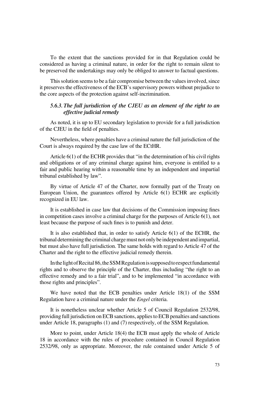To the extent that the sanctions provided for in that Regulation could be considered as having a criminal nature, in order for the right to remain silent to be preserved the undertakings may only be obliged to answer to factual questions.

This solution seems to be a fair compromise between the values involved, since it preserves the effectiveness of the ECB's supervisory powers without prejudice to the core aspects of the protection against self-incrimination.

# *5.6.3. The full jurisdiction of the CJEU as an element of the right to an effective judicial remedy*

As noted, it is up to EU secondary legislation to provide for a full jurisdiction of the CJEU in the field of penalties.

Nevertheless, where penalties have a criminal nature the full jurisdiction of the Court is always required by the case law of the ECtHR.

Article 6(1) of the ECHR provides that "in the determination of his civil rights and obligations or of any criminal charge against him, everyone is entitled to a fair and public hearing within a reasonable time by an independent and impartial tribunal established by law"*.* 

By virtue of Article 47 of the Charter, now formally part of the Treaty on European Union, the guarantees offered by Article 6(1) ECHR are explicitly recognized in EU law.

It is established in case law that decisions of the Commission imposing fines in competition cases involve a criminal charge for the purposes of Article 6(1), not least because the purpose of such fines is to punish and deter.

It is also established that, in order to satisfy Article 6(1) of the ECHR, the tribunal determining the criminal charge must not only be independent and impartial, but must also have full jurisdiction. The same holds with regard to Article 47 of the Charter and the right to the effective judicial remedy therein.

In the light of Recital 86, the SSM Regulation is supposed to respect fundamental rights and to observe the principle of the Charter, thus including "the right to an effective remedy and to a fair trial", and to be implemented "in accordance with those rights and principles".

We have noted that the ECB penalties under Article 18(1) of the SSM Regulation have a criminal nature under the *Engel* criteria.

It is nonetheless unclear whether Article 5 of Council Regulation 2532/98, providing full jurisdiction on ECB sanctions, applies to ECB penalties and sanctions under Article 18, paragraphs (1) and (7) respectively, of the SSM Regulation.

More to point, under Article 18(4) the ECB must apply the whole of Article 18 in accordance with the rules of procedure contained in Council Regulation 2532/98, only as appropriate. Moreover, the rule contained under Article 5 of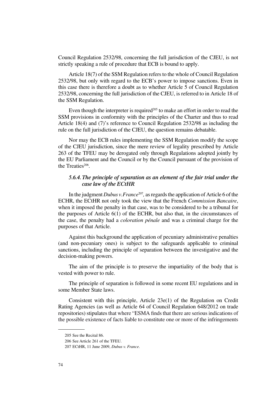Council Regulation 2532/98, concerning the full jurisdiction of the CJEU, is not strictly speaking a rule of procedure that ECB is bound to apply.

Article 18(7) of the SSM Regulation refers to the whole of Council Regulation 2532/98, but only with regard to the ECB's power to impose sanctions. Even in this case there is therefore a doubt as to whether Article 5 of Council Regulation 2532/98, concerning the full jurisdiction of the CJEU, is referred to in Article 18 of the SSM Regulation.

Even though the interpreter is required<sup> $205$ </sup> to make an effort in order to read the SSM provisions in conformity with the principles of the Charter and thus to read Article 18(4) and (7)'s reference to Council Regulation 2532/98 as including the rule on the full jurisdiction of the CJEU, the question remains debatable.

Nor may the ECB rules implementing the SSM Regulation modify the scope of the CJEU jurisdiction, since the mere review of legality prescribed by Article 263 of the TFEU may be derogated only through Regulations adopted jointly by the EU Parliament and the Council or by the Council pursuant of the provision of the Treaties $206$ .

### *5.6.4. The principle of separation as an element of the fair trial under the case law of the ECtHR*

In the judgment *Dubus v.France*<sup>207</sup>, as regards the application of Article 6 of the ECHR, the ECtHR not only took the view that the French *Commission Bancaire*, when it imposed the penalty in that case, was to be considered to be a tribunal for the purposes of Article 6(1) of the ECHR, but also that, in the circumstances of the case, the penalty had a *coloration pénale* and was a criminal charge for the purposes of that Article.

Against this background the application of pecuniary administrative penalties (and non-pecuniary ones) is subject to the safeguards applicable to criminal sanctions, including the principle of separation between the investigative and the decision-making powers.

The aim of the principle is to preserve the impartiality of the body that is vested with power to rule.

The principle of separation is followed in some recent EU regulations and in some Member State laws.

Consistent with this principle, Article 23e(1) of the Regulation on Credit Rating Agencies (as well as Article 64 of Council Regulation 648/2012 on trade repositories) stipulates that where "ESMA finds that there are serious indications of the possible existence of facts liable to constitute one or more of the infringements

<sup>205</sup> See the Recital 86.

<sup>206</sup> See Article 261 of the TFEU.

<sup>207</sup> ECtHR, 11 June 2009, *Dubus v. France*.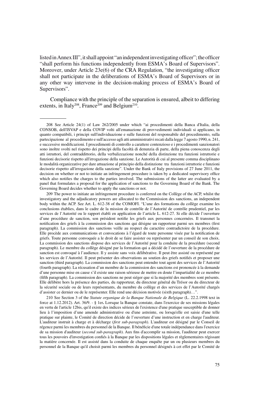listed in Annex III", it shall appoint "an independent investigating officer"; the officer "shall perform his functions independently from ESMA's Board of Supervisors". Moreover, under Article 23e(6) of the CRA Regulation, "the investigating officer shall not participate in the deliberations of ESMA's Board of Supervisors or in any other way intervene in the decision-making process of ESMA's Board of Supervisors".

Compliance with the principle of the separation is ensured, albeit to differing extents, in Italy<sup>208</sup>, France<sup>209</sup> and Belgium<sup>210</sup>.

210 See Section 3 of the *Statute organique de la Banque Nationale de Belgique* (L. 22.2.1998 text in force at 1.12.2012). Art. 36/9. *-* § 1er**.** Lorsque la Banque constate, dans l'exercice de ses missions légales en vertu de l'article 12bis, qu'il existe des indices sérieux de l'existence d'une pratique susceptible de donner lieu à l'imposition d'une amende administrative ou d'une astreinte, ou lorsqu'elle est saisie d'une telle pratique sur plainte, le Comité de direction décide de l'ouverture d'une instruction et en charge l'auditeur. L'auditeur instruit à charge et à décharge (*first sub-paragraph*). L'auditeur est désigné par le Conseil de régence parmi les membres du personnel de la Banque. Il bénéficie d'une totale indépendance dans l'exercice de sa mission d'auditeur (*second sub-paragraph*). Aux fins d'accomplir sa mission, l'auditeur peut exercer tous les pouvoirs d'investigation confiés à la Banque par les dispositions légales et règlementaires régissant la matière concernée. Il est assisté dans la conduite de chaque enquête par un ou plusieurs membres du personnel de la Banque qu'il choisit parmi les membres du personnel désignés à cet effet par le Comité de

<sup>208</sup> See Article 24(1) of Law 262/2005 under which "ai procedimenti della Banca d'Italia, della CONSOB, dell'ISVAP e della COVIP volti all'emanazione di provvedimenti individuali si applicano, in quanto compatibili, i principi sull'individuazione e sulle funzioni del responsabile del procedimento, sulla partecipazione al procedimento e sull'accesso agli atti amministrativi recati dalla legge 7 agosto 1990, n. 241, e successive modificazioni. I procedimenti di controllo a carattere contenzioso e i procedimenti sanzionatori sono inoltre svolti nel rispetto dei principi della facoltà di denunzia di parte, della piena conoscenza degli atti istruttori, del contraddittorio, della verbalizzazione nonché della distinzione tra funzioni istruttorie e funzioni decisorie rispetto all'irrogazione della sanzione. Le Autorità di cui al presente comma disciplinano le modalità organizzative per dare attuazione al principio della distinzione tra funzioni istruttorie e funzioni decisorie rispetto all'irrogazione della sanzione". Under the Bank of Italy provisions of 27 June 2011, the decision on whether or not to initiate an infringement procedure is taken by a dedicated supervisory office which also notifies the charges to the parties involved. The submissions of the latter are evaluated by a panel that formulates a proposal for the application of sanctions to the Governing Board of the Bank. The Governing Board decides whether to apply the sanctions or not.

<sup>209</sup> The power to initiate an infringement procedure is conferred on the Collège of the ACP, whilst the investigatory and the adjudicatory powers are allocated to the Commission des sanctions, an independent body within the ACP. See Art. L. 612-38 of the COMOFI. "L'une des formations du collège examine les conclusions établies, dans le cadre de la mission de contrôle de l'Autorité de contrôle prudentiel, par les services de l'Autorité ou le rapport établi en application de l'article L. 612-27. Si elle décide l'ouverture d'une procédure de sanction, son président notifie les griefs aux personnes concernées. Il transmet la notification des griefs à la commission des sanctions qui désigne un rapporteur parmi ses membres (first paragraph). La commission des sanctions veille au respect du caractère contradictoire de la procédure. Elle procède aux communications et convocations à l'égard de toute personne visée par la notification de griefs. Toute personne convoquée a le droit de se faire assister ou représenter par un conseil de son choix. La commission des sanctions dispose des services de l'Autorité pour la conduite de la procédure (second paragraph). Le membre du collège désigné par la formation qui a décidé de l'ouverture de la procédure de sanction est convoqué à l'audience. Il y assiste sans voix délibérative. Il peut être assisté ou représenté par les services de l'Autorité. Il peut présenter des observations au soutien des griefs notifiés et proposer une sanction (third paragraph). La commission des sanctions peut entendre tout agent des services de l'Autorité (fourth paragraph). La récusation d'un membre de la commission des sanctions est prononcée à la demande d'une personne mise en cause s'il existe une raison sérieuse de mettre en doute l'impartialité de ce membre (fifth paragraph). La commission des sanctions ne peut siéger que si la majorité des membres sont présents. Elle délibère hors la présence des parties, du rapporteur, du directeur général du Trésor ou du directeur de la sécurité sociale ou de leurs représentants, du membre du collège et des services de l'Autorité chargés d'assister ce dernier ou de le représenter. Elle rend une décision motivée (sixth paragraph)…".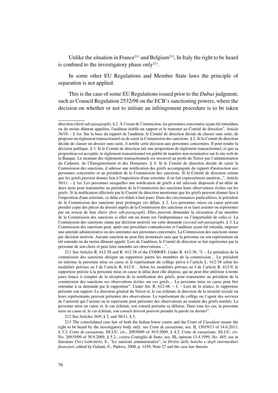Unlike the situation in France<sup>211</sup> and Belgium<sup>212</sup>, In Italy the right to be heard is confined to the investigatory phase only $2^{13}$ .

In some other EU Regulations and Member State laws the principle of separation is not applied.

This is the case of some EU Regulations issued prior to the *Dubus* judgment, such as Council Regulation 2532/98 on the ECB's sanctioning powers, where the decision on whether or not to initiate an infringement procedure is to be taken

212 See Articles 36/9, § 2, and 36/11, § 3.

213 The consolidated case law of both the Italian lower courts and the Court of Cassation ensure the right to be heard by the investigatory body only: see Corte di cassazione, sez. II, 15019/13 of 14.6.2013, § 3.2; Corte di cassazione, SS.UU. civ., 20939/09 of 30.9.2009, § 4.2; Corte di cassazione, SS.UU. civ. No. 20935/09 of 30.9.2009, § 5.2.; *contra* Consiglio di Stato, sez. III, opinion 13.4.1999, No. 485; see in literature Ceci Iapichino, S., "Le sanzioni amministrative", in *Diritto delle banche e degli intermediari finanziari*, edited by Galanti, E., Padova, 2008, p. 1439, Note 27 and the case law therein.

direction (*third sub-paragraph*). § 2. À l'issue de l'instruction, les personnes concernées ayant été entendues ou du moins dûment appelées, l'auditeur établit un rapport et le transmet au Comité de direction". Article 36/10. - § 1er. Sur la base du rapport de l'auditeur, le Comité de direction décide de classer sans suite, de proposer un règlement transactionnel ou de saisir la Commission des sanctions. § 2. Si le Comité de direction décide de classer un dossier sans suite, il notifie cette décision aux personnes concernées. Il peut rendre la décision publique. § 3. Si le Comité de direction fait une proposition de règlement transactionnel, et que sa proposition est acceptée, le règlement transactionnel est publié de manière non-nominative sur le site web de la Banque. Le montant des règlements transactionnels est recouvré au profit du Trésor par l'administration du Cadastre, de l'Enregistrement et des Domaines. § 4. Si le Comité de direction décide de saisir la Commission des sanctions, il adresse une notification des griefs accompagnée du rapport d'instruction aux personnes concernées et au président de la Commission des sanctions. Si le Comité de direction estime que les griefs peuvent donner lieu à l'imposition d'une astreinte, il en fait expressément mention...". Article 36/11. - § 1er. Les personnes auxquelles une notification de griefs a été adressée disposent d'un délai de deux mois pour transmettre au président de la Commission des sanctions leurs observations écrites sur les griefs. Si la notification effectuée par le Comité de direction mentionne que les griefs peuvent donner lieu à l'imposition d'une astreinte, ce délai est réduit à huit jours. Dans des circonstances particulières, le président de la Commission des sanctions peut prolonger ces délais. § 2. Les personnes mises en cause peuvent prendre copie des pièces du dossier auprès de la Commission des sanctions et se faire assister ou représenter par un avocat de leur choix (*first sub-paragraph*). Elles peuvent demander la récusation d'un membre de la Commission des sanctions si elles ont un doute sur l'indépendance ou l'impartialité de celui-ci. La Commission des sanctions statue par décision motivée sur cette demande (*second sub-paragraph*). § 3. La Commission des sanctions peut, après une procédure contradictoire et l'auditeur ayant été entendu, imposer une amende administrative ou des astreintes aux personnes concernées. La Commission des sanctions statue par décision motivée. Aucune sanction ne peut être prononcée sans que la personne ou son représentant ait été entendu ou du moins dûment appelé. Lors de l'audition, le Comité de direction se fait représenter par la personne de son choix et peut faire entendre ses observations…"..

<sup>211</sup> See Articles R. 612-38 and R. 612-38 of the COMOFI. Under R. 612-38, "I. – Le président de la commission des sanctions désigne un rapporteur parmi les membres de la commission… Le président en informe la personne mise en cause et le représentant du collège prévu à l'article L. 612-38 selon les modalités prévues au I de l'article R. 612-9… Selon les modalités prévues au I de l'article R. 612-9, le rapporteur précise à la personne mise en cause le délai dont elle dispose, qui ne peut être inférieur à trente jours francs à compter de la réception de la notification des griefs, pour transmettre au président de la commission des sanctions ses observations écrites sur ces griefs… La personne mise en cause peut être entendue à sa demande par le rapporteur". Under Art. R. 612-48. − I. – Lors de la séance, le rapporteur présente son rapport. Le directeur général du Trésor et, le cas échéant, le directeur de la sécurité sociale ou leurs représentants peuvent présenter des observations. Le représentant du collège ou l'agent des services de l'autorité qui l'assiste ou le représente peut présenter des observations au soutien des griefs notifiés. La personne mise en cause et, le cas échéant, son conseil présente sa défense. Dans tous les cas, la personne mise en cause et, le cas échéant, son conseil doivent pouvoir prendre la parole en dernier".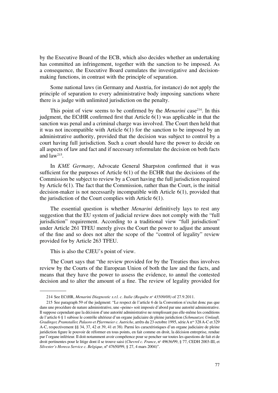by the Executive Board of the ECB, which also decides whether an undertaking has committed an infringement, together with the sanction to be imposed. As a consequence, the Executive Board cumulates the investigative and decisionmaking functions, in contrast with the principle of separation.

Some national laws (in Germany and Austria, for instance) do not apply the principle of separation to every administrative body imposing sanctions where there is a judge with unlimited jurisdiction on the penalty.

This point of view seems to be confirmed by the *Menarini* case<sup>214</sup>. In this judgment, the ECtHR confirmed first that Article 6(1) was applicable in that the sanction was penal and a criminal charge was involved. The Court then held that it was not incompatible with Article 6(1) for the sanction to be imposed by an administrative authority, provided that the decision was subject to control by a court having full jurisdiction. Such a court should have the power to decide on all aspects of law and fact and if necessary reformulate the decision on both facts and law215.

In *KME Germany*, Advocate General Sharpston confirmed that it was sufficient for the purposes of Article 6(1) of the ECHR that the decisions of the Commission be subject to review by a Court having the full jurisdiction required by Article 6(1). The fact that the Commission, rather than the Court, is the initial decision-maker is not necessarily incompatible with Article 6(1), provided that the jurisdiction of the Court complies with Article 6(1).

The essential question is whether *Menarini* definitively lays to rest any suggestion that the EU system of judicial review does not comply with the "full jurisdiction" requirement. According to a traditional view "full jurisdiction" under Article 261 TFEU merely gives the Court the power to adjust the amount of the fine and so does not alter the scope of the "control of legality" review provided for by Article 263 TFEU.

This is also the CJEU's point of view.

The Court says that "the review provided for by the Treaties thus involves review by the Courts of the European Union of both the law and the facts, and means that they have the power to assess the evidence, to annul the contested decision and to alter the amount of a fine. The review of legality provided for

<sup>214</sup> See ECtHR, *Menarini Diagnostic s.r.l. c. Italie (Requête no 43509/08)* of 27.9.2011.

<sup>215</sup> See paragraph 59 of the judgment: "Le respect de l'article 6 de la Convention n'exclut donc pas que dans une procédure de nature administrative, une «peine» soit imposée d'abord par une autorité administrative. Il suppose cependant que la décision d'une autorité administrative ne remplissant pas elle-même les conditions de l'article 6 § 1 subisse le contrôle ultérieur d'un organe judiciaire de pleine juridiction (*Schmautzer, Umlauft, Gradinger, Pramstaller, Palaoro et Pfarrmeier c. Autriche*, arrêts du 23 octobre 1995, série A nos 328 A-C et 329 A-C, respectivement §§ 34, 37, 42 et 39, 41 et 38). Parmi les caractéristiques d'un organe judiciaire de pleine juridiction figure le pouvoir de réformer en tous points, en fait comme en droit, la décision entreprise, rendue par l'organe inférieur. Il doit notamment avoir compétence pour se pencher sur toutes les questions de fait et de droit pertinentes pour le litige dont il se trouve saisi (*Chevrol c. France*, nº 49636/99, § 77, CEDH 2003-III, et *Silvester's Horeca Service c. Belgique*, nº 47650/99, § 27, 4 mars 2004)".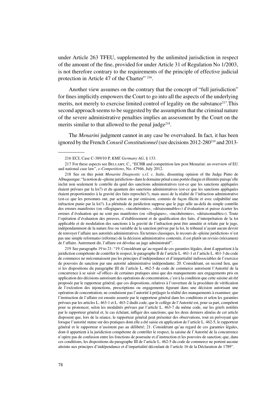under Article 263 TFEU, supplemented by the unlimited jurisdiction in respect of the amount of the fine, provided for under Article 31 of Regulation No 1/2003, is not therefore contrary to the requirements of the principle of effective judicial protection in Article 47 of the Charter" 216.

Another view assumes on the contrary that the concept of "full jurisdiction" for fines implicitly empowers the Court to go into all the aspects of the underlying merits, not merely to exercise limited control of legality on the substance<sup>217</sup>. This second approach seems to be suggested by the assumption that the criminal nature of the severe administrative penalties implies an assessment by the Court on the merits similar to that allowed to the penal judge<sup>218</sup>.

The *Menarini* judgment cannot in any case be overvalued. In fact, it has been ignored by the French *Conseil Constitutionnel* (see decisions 2012-280<sup>219</sup> and 2013-

219 See paragraphs 19 to 21: "19. Considérant qu'au regard de ces garanties légales, dont il appartient à la juridiction compétente de contrôler le respect, le paragraphe II de l'article L. 461-1 et l'article L. 461-3 du code de commerce ne méconnaissent pas les principes d'indépendance et d'impartialité indissociables de l'exercice de pouvoirs de sanction par une autorité administrative indépendante; 20. Considérant, en second lieu, que si les dispositions du paragraphe III de l'article L. 462-5 du code de commerce autorisent l'Autorité de la concurrence à se saisir «d'office» de certaines pratiques ainsi que des manquements aux engagements pris en application des décisions autorisant des opérations de concentration, c'est à la condition que cette saisine ait été proposée par le rapporteur général; que ces dispositions, relatives à l'ouverture de la procédure de vérification de l'exécution des injonctions, prescriptions ou engagements figurant dans une décision autorisant une opération de concentration, ne conduisent pas l'autorité à préjuger la réalité des manquements à examiner; que l'instruction de l'affaire est ensuite assurée par le rapporteur général dans les conditions et selon les garanties prévues par les articles L. 463-1 et L. 463-2 dudit code; que le collège de l'Autorité est, pour sa part, compétent pour se prononcer, selon les modalités prévues par l'article L. 463-7 du même code, sur les griefs notifiés par le rapporteur général et, le cas échéant, infliger des sanctions; que les deux derniers alinéas de cet article disposent que, lors de la séance, le rapporteur général peut présenter des observations, tout en prévoyant que lorsque l'autorité statue sur des pratiques dont elle a été saisie en application de l'article L. 462-5, le rapporteur général et le rapporteur n'assistent pas au délibéré; 21. Considérant qu'au regard de ces garanties légales, dont il appartient à la juridiction compétente de contrôler le respect, la saisine de l'Autorité de la concurrence n'opère pas de confusion entre les fonctions de poursuite et d'instruction et les pouvoirs de sanction; que, dans ces conditions, les dispositions du paragraphe III de l'article L. 462-5 du code de commerce ne portent aucune atteinte aux principes d'indépendance et d'impartialité découlant de l'article 16 de la Déclaration de 1789".

<sup>216</sup> ECJ, Case C-389/10 P, *KME Germany AG*, § 133.

<sup>217</sup> For these aspects see Bellamy, C., "ECHR and competition law post Menarini: an overview of EU and national case law", *e-Competitions*, No. 47946, July 2012.

<sup>218</sup> See on this point *Menarini Diagnostic s.r.l. c. Italie*, dissenting opinion of the Judge Pinto de Albuquerque: "la notion de «pleine juridiction» dans le domaine pénal a une portée élargie et illimitée puisqu'elle inclut non seulement le contrôle du quid des sanctions administratives (est-ce que les sanctions appliquées étaient prévues par la loi?) et du quantum des sanctions administratives (est-ce que les sanctions appliquées étaient proportionnées à la gravité des faits reprochés?), mais aussi de la réalité de l'infraction administrative (est-ce que les personnes ont, par action ou par omission, commis de façon illicite et avec culpabilité une infraction punie par la loi?). La plénitude de juridiction suppose que le juge aille au-delà du simple contrôle des erreurs manifestes (ou «illogiques», «incohérentes», «déraisonnables») d'évaluation et puisse écarter les erreurs d'évaluation qui ne sont pas manifestes (ou «illogiques», «incohérentes», «déraisonnables»). Toute l'opération d'évaluation des preuves, d'établissement et de qualification des faits, d'interprétation de la loi applicable et de modulation des sanctions à la gravité de l'infraction peut être annulée et refaite par le juge, indépendamment de la nature fixe ou variable de la sanction prévue par la loi, le tribunal n'ayant aucun devoir de renvoyer l'affaire aux autorités administratives. En termes classiques, le recours de «pleine juridiction» n'est pas une simple reformatio (réforme) de la décision administrative contestée, il est plutôt un revisio (réexamen) de l'affaire. Autrement dit, l'affaire est dévolue au juge administratif".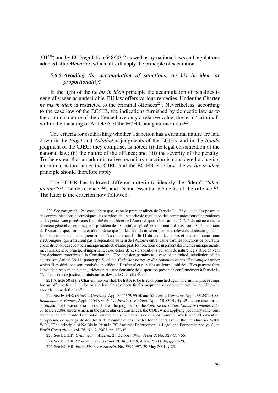331220) and by EU Regulation 648/2012 as well as by national laws and regulations adopted after *Menarini*, which all still apply the principle of separation.

## *5.6.5.Avoiding the accumulation of sanctions: ne bis in idem or proportionality?*

In the light of the *ne bis in idem* principle the accumulation of penalties is generally seen as undesirable. EU law offers various remedies. Under the Charter *ne bis in idem* is restricted to the criminal offences<sup>221</sup>. Nevertheless, according to the case law of the ECtHR, the indications furnished by domestic law as to the criminal nature of the offence have only a relative value, the term "criminal" within the meaning of Article 6 of the ECHR being autonomous<sup>222</sup>.

The criteria for establishing whether a sanction has a criminal nature are laid down in the *Engel* and *Zolothukin* judgments of the ECtHR and in the *Bonda* judgment of the CJEU; they comprise, as noted: (i) the legal classification of the national law; (ii) the nature of the offence; and (iii) the severity of the penalty. To the extent that an administrative pecuniary sanction is considered as having a criminal nature under the CJEU and the ECtHR case law, the *ne bis in idem* principle should therefore apply.

The ECtHR has followed different criteria to identify the "idem": "*idem factum*"<sup>223</sup>, "same offence"<sup>224</sup>, and "same essential elements of the offence<sup>"225</sup>. The latter is the criterion now followed.

<sup>220</sup> See paragraph 12: "considérant que, selon le premier alinéa de l'article L. 132 du code des postes et des communications électroniques, les services de l'Autorité de régulation des communications électroniques et des postes sont placés sous l'autorité du président de l'Autorité; que, selon l'article D. 292 du même code, le directeur général est nommé par le président de l'Autorité, est placé sous son autorité et assiste aux délibérations de l'Autorité; que, par suite et alors même que la décision de mise en demeure relève du directeur général, les dispositions des douze premiers alinéas de l'article L. 36-11 du code des postes et des communications électroniques, qui n'assurent pas la séparation au sein de l'Autorité entre, d'une part, les fonctions de poursuite et d'instruction des éventuels manquements et, d'autre part, les fonctions de jugement des mêmes manquements, méconnaissent le principe d'impartialité; que celles de ces dispositions qui sont de nature législative doivent être déclarées contraires à la Constitution". The decision pertains to a case of unlimited jurisdiction of the courts: see Article 36-11, paragraph 5, of the *Code des postes et des communications électroniques* under which "Les décisions sont motivées, notifiées à l'intéressé et publiées au Journal officiel. Elles peuvent faire l'objet d'un recours de pleine juridiction et d'une demande de suspension présentée conformément à l'article L. 521-1 du code de justice administrative, devant le Conseil d'État".

<sup>221</sup> Article 50 of the Charter: "no one shall be liable to be tried or punished again in criminal proceedings for an offence for which he or she has already been finally acquitted or convicted within the Union in accordance with the law".

<sup>222</sup> See ECtHR, *Ozturk v. Germany*, App. 8544/79, §§ 50 and 52; *Lutz v. Germany*, Appl. 9912/82, § 55; *Bendenoun v. France*, Appl. 11547/86, § 47; *Jussila v. Finland*, App. 73053/01, §§ 29 ff.; see also for an application of these criteria in French law, the judgment of the *Cour de cassation, Chambre commerciale*, 31 March 2004, under which, in the particular circumstances, the COB, when applying pecuniary sanctions, decided "du bien fondé d'accusation en matière pénale au sens des dispositions de l'article 6 de la Convention européenne de sauvegarde des droits de l'homme et des libertés fondamentales"; in the literature see Wils, W.P.J, "The principle of Ne Bis in Idem in EC Antitrust Enforcement: a Legal and Economic Analysis", in *World Competition*, vol. 26, No. 2, 2003, pp. 133 ff..

<sup>223</sup> See ECtHR, *Gradinger v. Austria,* 23 October 1995, Series A No. 328-C, § 55.

<sup>224</sup> See ECtHR, *Oliveira v. Switzerland*, 30 July 1998, A.No. 25711/94, §§ 25-29.

<sup>225</sup> See ECtHR, *Franz Fischer v. Austria*, No. 37950/97, 29 May 2001, § 29.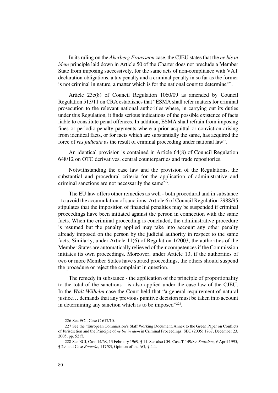In its ruling on the *Akerberg Franssnon* case, the CJEU states that the *ne bis in idem* principle laid down in Article 50 of the Charter does not preclude a Member State from imposing successively, for the same acts of non-compliance with VAT declaration obligations, a tax penalty and a criminal penalty in so far as the former is not criminal in nature, a matter which is for the national court to determine<sup>226</sup>.

Article 23e(8) of Council Regulation 1060/09 as amended by Council Regulation 513/11 on CRA establishes that "ESMA shall refer matters for criminal prosecution to the relevant national authorities where, in carrying out its duties under this Regulation, it finds serious indications of the possible existence of facts liable to constitute penal offences. In addition, ESMA shall refrain from imposing fines or periodic penalty payments where a prior acquittal or conviction arising from identical facts, or for facts which are substantially the same, has acquired the force of *res judicata* as the result of criminal proceeding under national law".

An identical provision is contained in Article 64(8) of Council Regulation 648/12 on OTC derivatives, central counterparties and trade repositories.

Notwithstanding the case law and the provision of the Regulations, the substantial and procedural criteria for the application of administrative and criminal sanctions are not necessarily the same<sup>227</sup>.

The EU law offers other remedies as well - both procedural and in substance - to avoid the accumulation of sanctions. Article 6 of Council Regulation 2988/95 stipulates that the imposition of financial penalties may be suspended if criminal proceedings have been initiated against the person in connection with the same facts. When the criminal proceeding is concluded, the administrative procedure is resumed but the penalty applied may take into account any other penalty already imposed on the person by the judicial authority in respect to the same facts. Similarly, under Article 11(6) of Regulation 1/2003, the authorities of the Member States are automatically relieved of their competences if the Commission initiates its own proceedings. Moreover, under Article 13, if the authorities of two or more Member States have started proceedings, the others should suspend the procedure or reject the complaint in question.

The remedy in substance - the application of the principle of proportionality to the total of the sanctions - is also applied under the case law of the CJEU. In the *Walt Wilhelm* case the Court held that "a general requirement of natural justice… demands that any previous punitive decision must be taken into account in determining any sanction which is to be imposed"<sup>228</sup>.

<sup>226</sup> See ECJ, Case C-617/10.

<sup>227</sup> See the "European Commission's Staff Working Document, Annex to the Green Paper on Conflicts of Jurisdiction and the Principle of *ne bis in idem* in Criminal Proceedings, SEC (2005) 1767, December 23, 2005, pp. 52 ff.

<sup>228</sup> See ECJ, Case 14/68, 13 February 1969, § 11. See also CFI, Case T-149/89, *Sotralenz*, 6 April 1995, § 29, and Case *Konecke*, 117/83, Opinion of the AG, § 4.4.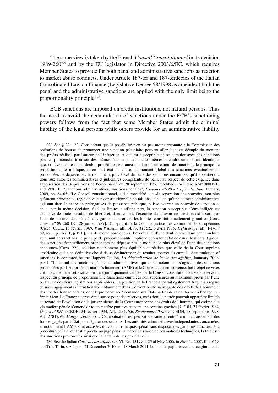The same view is taken by the French *Conseil Constitutionnel* in its decision 1989-260229 and by the EU legislator in Directive 2003/6/EC, which requires Member States to provide for both penal and administrative sanctions as reaction to market abuse conducts. Under Article 187-ter and 187-terdecies of the Italian Consolidated Law on Finance (Legislative Decree 58/1998 as amended) both the penal and the administrative sanctions are applied with the only limit being the proportionality principle<sup>230</sup>.

ECB sanctions are imposed on credit institutions, not natural persons. Thus the need to avoid the accumulation of sanctions under the ECB's sanctioning powers follows from the fact that some Member States admit the criminal liability of the legal persons while others provide for an administrative liability

230 See the Italian *Corte di cassazione*, sez. VI, No. 15199 of 25 of May 2006, in *Foro it*., 2007, II, p. 629, and Trib. Turin, sez. I pen., 21 December 2010 and 18 March 2011, both on http:/pluris-cedam.utetgiuridica.it.

<sup>229</sup> See § 22: "22. Considérant que la possibilité n'en est pas moins reconnue à la Commission des opérations de bourse de prononcer une sanction pécuniaire pouvant aller jusqu'au décuple du montant des profits réalisés par l'auteur de l'infraction et qui est susceptible de se cumuler avec des sanctions pénales prononcées à raison des mêmes faits et pouvant elles-mêmes atteindre un montant identique; que, si l'éventualité d'une double procédure peut ainsi conduire à un cumul de sanctions, le principe de proportionnalité implique, qu'en tout état de cause, le montant global des sanctions éventuellement prononcées ne dépasse pas le montant le plus élevé de l'une des sanctions encourues; qu'il appartiendra donc aux autorités administratives et judiciaires compétentes de veiller au respect de cette exigence dans l'application des dispositions de l'ordonnance du 28 septembre 1967 modifiée». See also ROSENFELD E. and Veil. J., *"*Sanctions administratives, sanctions pénales", *Pouvoirs n°128* - *La pénalisation*, January, 2009, pp. 64-65: "Le Conseil constitutionnel, s'il a considéré que «la séparation des pouvoirs, non plus qu'aucun principe ou règle de valeur constitutionnelle ne fait obstacle à ce qu'une autorité administrative, agissant dans le cadre de prérogatives de puissance publique, puisse exercer un pouvoir de sanction », en a, par la même décision, fixé les limites : «d'une part, la sanction susceptible d'être infligée est exclusive de toute privation de liberté et, d'autre part, l'exercice du pouvoir de sanction est assorti par la loi de mesures destinées à sauvegarder les droits et les libertés constitutionnellement garantis» [Cons. const., nº 89-260 DC, 28 juillet 1989]. S'inspirant de la Cour de justice des communautés européennes (Cjce) [CJCE, 13 février 1969, *Walt Wilhelm*, aff. 14/68; *TPICE*, 6 avril 1995, *Tréfileurope*, aff. T-141 / 89, *Rec*., p. II-791, § 191.], il a de même posé que «si l'éventualité d'une double procédure peut conduire au cumul de sanctions, le principe de proportionnalité implique qu'en tout état de cause le montant global des sanctions éventuellement prononcées ne dépasse pas le montant le plus élevé de l'une des sanctions encourues»[Cons. 22.], solution notablement plus équitable et réaliste que celle de la Cour suprême américaine qui a en définitive choisi de se désintéresser du résultat concret du cumul". Accumulation of sanctions is contested by the Rapport Coulon, *La dépénalisation de la vie des affaires*, Jaunuary 2008, p. 61: "Le cumul des sanctions pénales et administratives, qui existe notamment s'agissant des sanctions prononcées par l'Autorité des marchés financiers (AMF) et le Conseil de la concurrence, fait l'objet de vives critiques, même si cette situation a été juridiquement validée par le Conseil constitutionnel, sous réserve du respect du principe de proportionnalité (sanctions cumulées non supérieures au maximum prévu par l'une ou l'autre des deux législations applicables). La position de la France apparaît également fragile au regard de nos engagements internationaux, notamment de la Convention de sauvegarde des droits de l'homme et des libertés fondamentales, dont le protocole no 7 demande aux États parties de se conformer à l'adage *non bis in idem*. La France a certes émis sur ce point des réserves, mais dont la portée pourrait apparaître limitée au regard de l'évolution de la jurisprudence de la Cour européenne des droits de l'homme, qui estime que «la matière pénale s'entend de toute matière punitive et ayant une certaine gravité» [CEDH, 21 février 1984, *Özturk c/ RFA* ; CEDH, 24 février 1994, Aff. 12547/86, *Bendenoun c/France*; CEDH, 23 septembre 1998, Aff. 27812/95, *Malige c/France]*… Cette situation est peu satisfaisante et entraîne un accroissement des frais engagés par l'État pour réguler ces secteurs. Les autorités administratives indépendantes concernées, et notamment l'AMF, sont accusées d'avoir un rôle quasi-pénal sans disposer des garanties attachées à la procédure pénale, et il est reproché au juge pénal la méconnaissance de ces matières techniques, la faiblesse des sanctions prononcées ainsi que la lenteur de ses procédures".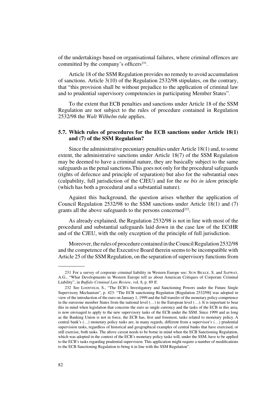of the undertakings based on organisational failures, where criminal offences are committed by the company's officers<sup>231</sup>.

Article 18 of the SSM Regulation provides no remedy to avoid accumulation of sanctions. Article 3(10) of the Regulation 2532/98 stipulates, on the contrary, that "this provision shall be without prejudice to the application of criminal law and to prudential supervisory competencies in participating Member States".

To the extent that ECB penalties and sanctions under Article 18 of the SSM Regulation are not subject to the rules of procedure contained in Regulation 2532/98 the *Walt Wilhelm* rule applies.

#### **5.7. Which rules of procedures for the ECB sanctions under Article 18(1) and (7) of the SSM Regulation?**

Since the administrative pecuniary penalties under Article 18(1) and, to some extent, the administrative sanctions under Article 18(7) of the SSM Regulation may be deemed to have a criminal nature, they are basically subject to the same safeguards as the penal sanctions.This goes not only for the procedural safeguards (rights of defecnce and principle of separation) but also for the substantial ones (culpability, full jurisdiction of the CJEU) and for the *ne bis in idem* principle (which has both a procedural and a substantial nature).

Against this background, the question arises whether the application of Council Regulation 2532/98 to the SSM sanctions under Article 18(1) and (7) grants all the above safeguards to the persons concerned<sup>232</sup>.

As already explained, the Regulation 2532/98 is not in line with most of the procedural and substantial safeguards laid down in the case law of the ECtHR and of the CJEU, with the only exception of the principle of full jurisdiction.

Moreover, the rules of procedure contained in the Council Regulation 2532/98 and the competence of the Executive Board therein seems to be incompatible with Article 25 of the SSM Regulation, on the separation of supervisory functions from

<sup>231</sup> For a survey of corporate criminal liability in Western Europe see: Sun Beale, S. and Safwat, A.G., "What Developments in Western Europe tell us about American Critiques of Corporate Criminal Liability", in *Buffalo Criminal Law Review*, vol. 8, p. 89 ff.

<sup>232</sup> See Loosveld, S., "The ECB's Investigatory and Sanctioning Powers under the Future Single Supervisory Mechanism", p. 423: "The ECB sanctioning Regulation [Regulation 2532/98] was adopted in view of the introduction of the euro on January 1, 1999 and the full transfer of the monetary policy competence in the eurozone member States from the national level (…) to the European level (…). It is important to bear this in mind when legislation that concerns the euro as single currency and the tasks of the ECB in this area, is now envisaged to apply to the new supervisory tasks of the ECB under the SSM. Since 1999 and as long as the Banking Union is not in force, the ECB has, first and foremost, tasks related to monetary policy. A central bank's (…) monetary policy tasks are, in many regards, different from a supervisor's (…) prudential supervision tasks, regardless of historical and geographical examples of central banks that have exercised, or still exercise, both tasks. The above caveat needs to be borne in mind when the ECB Sanctioning Regulation, which was adopted in the context of the ECB's monetary policy tasks will, under the SSM, have to be applied to the ECB's tasks regarding prudential supervision. This application might require a number of modifications to the ECB Sanctioning Regulation to bring it in line with the SSM Regulation".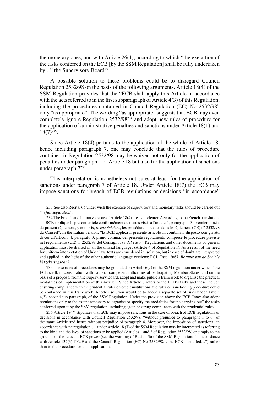the monetary ones, and with Article 26(1), according to which "the execution of the tasks conferred on the ECB [by the SSM Regulation] shall be fully undertaken by..." the Supervisory Board<sup>233</sup>.

A possible solution to these problems could be to disregard Council Regulation 2532/98 on the basis of the following arguments. Article 18(4) of the SSM Regulation provides that the "ECB shall apply this Article in accordance with the acts referred to in the first subparagraph of Article 4(3) of this Regulation, including the procedures contained in Council Regulation (EC) No 2532/98" only "as appropriate". The wording "as appropriate" suggests that ECB may even completely ignore Regulation 2532/98234 and adopt new rules of procedure for the application of administrative penalties and sanctions under Article 18(1) and  $18(7)^{235}$ .

Since Article 18(4) pertains to the application of the whole of Article 18, hence including paragraph 7, one may conclude that the rules of procedure contained in Regulation 2532/98 may be waived not only for the application of penalties under paragraph 1 of Article 18 but also for the application of sanctions under paragraph 7236.

This interpretation is nonetheless not sure, at least for the application of sanctions under paragraph 7 of Article 18. Under Article 18(7) the ECB may impose sanctions for breach of ECB regulations or decisions "in accordance"

235 These rules of procedures may be grounded on Article 6(7) of the SSM regulation under which "the ECB shall, in consultation with national competent authorities of participating Member States, and on the basis of a proposal from the Supervisory Board, adopt and make public a framework to organise the practical modalities of implementation of this Article". Since Article 6 refers to the ECB's tasks and these include ensuring compliance with the prudential rules on credit institutions, the rules on sanctioning procedure could be contained in this framework. Another solution would be to adopt a separate set of rules under Article 4(3), second sub-paragraph, of the SSM Regulation. Under the provision above the ECB "may also adopt regulations only to the extent necessary to organise or specify the modalities for the carrying out" the tasks conferred upon it by the SSM regulation, including again ensuring compliance with the prudential rules.

236 Article 18(7) stipulates that ECB may impose sanctions in the case of breach of ECB regulations or decisions in accordance with Council Regulation 2532/98, "without prejudice to paragraphs 1 to 6" of the same Article and hence without prejudice of paragraph 4. Moreover, the imposition of sanctions "in accordance with the regulation…" under Article 18 (7) of the SSM Regulation may be interpreted as referring to the kind and the level of sanctions to be applied (Articles 1 and 2 of Regulation 2532/98) or simply to the grounds of the relevant ECB power (see the wording of Recital 36 of the SSM Regulation: "in accordance with Article 132(3) TFUE and the Council Regulation (EC) No 2532/98... the ECB is entitled...") rather than to the procedure for their application.

<sup>233</sup> See also Recital 65 under wich the exercise of supervisory and monetary tasks should be carried out "*in full separation*".

<sup>234</sup> The French and Italian versions of Article 18(4) are even clearer. According to the French translation, "la BCE applique le présent article conformément aux actes visés à l'article 4, paragraphe 3, premier alinéa, du présent règlement, y compris, *le cas échéant*, les procédures prévues dans le règlement (CE) nº 2532/98 du Conseil". In the Italian version: "la BCE applica il presente articolo in combinato disposto con gli atti di cui all'articolo 4, paragrafo 3, primo comma, del presente regolamento comprese le procedure previste nel regolamento (CE) n. 2532/98 del Consiglio, *se del caso*". Regulations and other documents of general application must be drafted in all the official languages (Article 4 of Regulation 1). As a result of the need for uniform interpretation of Union law, texts are considered in isolation, but in case of doubt are interpreted and applied in the light of the other authentic language versions: ECJ, Case 19/67, *Bestuur van de Sociale Verzekeringsbank*.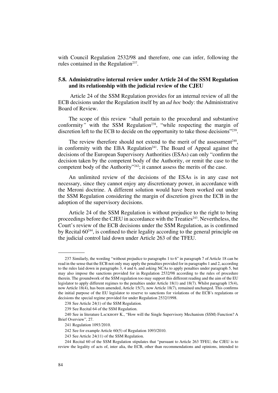with Council Regulation 2532/98 and therefore, one can infer, following the rules contained in the Regulation<sup>237</sup>.

### **5.8. Administrative internal review under Article 24 of the SSM Regulation and its relationship with the judicial review of the CJEU**

Article 24 of the SSM Regulation provides for an internal review of all the ECB decisions under the Regulation itself by an *ad hoc* body: the Administrative Board of Review.

The scope of this review *"*shall pertain to the procedural and substantive conformity" with the SSM Regulation<sup>238</sup>, "while respecting the margin of discretion left to the ECB to decide on the opportunity to take those decisions"<sup>239</sup>.

The review therefore should not extend to the merit of the assessment<sup>240</sup>, in conformity with the EBA Regulation<sup>241</sup>. The Board of Appeal against the decisions of the European Supervisory Authorities (ESAs) can only "confirm the decision taken by the competent body of the Authority, or remit the case to the competent body of the Authority"242; it cannot assess the merits of the case.

An unlimited review of the decisions of the ESAs is in any case not necessary, since they cannot enjoy any discretionary power, in accordance with the Meroni doctrine. A different solution would have been worked out under the SSM Regulation considering the margin of discretion given the ECB in the adoption of the supervisory decisions.

Article 24 of the SSM Regulation is without prejudice to the right to bring proceedings before the CJEU in accordance with the Treaties<sup>243</sup>. Nevertheless, the Court's review of the ECB decisions under the SSM Regulation, as is confirmed by Recital 60244, is confined to their legality according to the general principle on the judicial control laid down under Article 263 of the TFEU.

<sup>237</sup> Similarly, the wording "without prejudice to paragraphs 1 to 6" in paragraph 7 of Article 18 can be read in the sense that the ECB not only may apply the penalties provided for in paragraphs 1 and 2, according to the rules laid down in paragraphs 3, 4 and 6, and asking NCAs to apply penalties under paragraph 5, but may also impose the sanctions provided for in Regulation 2532/98 according to the rules of procedure therein. The groundwork of the SSM regulation too may support this different reading and the aim of the EU legislator to apply different regimes to the penalties under Article 18(1) and 18(7). Whilst paragraph 15(4), now Article 18(4), has been amended, Article 15(7), now Article 18(7), remained unchanged. This confirms the initial purpose of the EU legislator to reserve to sanctions for violations of the ECB's regulations or decisions the special regime provided for under Regulation 2532/1998.

<sup>238</sup> See Article 24(1) of the SSM Regulation.

<sup>239</sup> See Recital 64 of the SSM Regulation.

<sup>240</sup> See in literature Lackhoff K., "How will the Single Supervisory Mechanism (SSM) Function? A Brief Overview", 27.

<sup>241</sup> Regulation 1093/2010.

<sup>242</sup> See for example Article 60(5) of Regulation 1093/2010.

<sup>243</sup> See Article 24(11) of the SSM Regulation.

<sup>244</sup> Recital 60 of the SSM Regulation stipulates that "pursuant to Article 263 TFEU, the CJEU is to review the legality of acts of, inter alia, the ECB, other than recommendations and opinions, intended to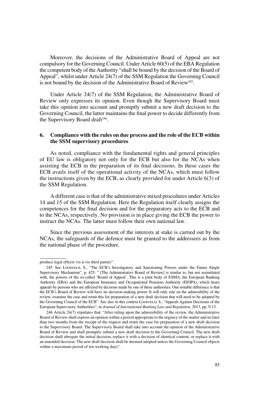Moreover, the decisions of the Administrative Board of Appeal are not compulsory for the Governing Council. Under Article 60(5) of the EBA Regulation the competent body of the Authority "shall be bound by the decision of the Board of Appeal", whilst under Article 24(7) of the SSM Regulation the Governing Council is not bound by the decision of the Administrative Board of Review<sup>245</sup>.

Under Article 24(7) of the SSM Regulation, the Administrative Board of Review only expresses its opinion. Even though the Supervisory Board must take this opinion into account and promptly submit a new draft decision to the Governing Council, the latter maintains the final power to decide differently from the Supervisory Board draft $246$ .

### **6. Compliance with the rules on due process and the role of the ECB within the SSM supervisory procedures**

As noted, compliance with the fundamental rights and general principles of EU law is obligatory not only for the ECB but also for the NCAs when assisting the ECB in the preparation of its final decisions. In these cases the ECB avails itself of the operational activity of the NCAs, which must follow the instructions given by the ECB, as clearly provided for under Article 6(3) of the SSM Regulation.

A different case is that of the administrative mixed procedures under Articles 14 and 15 of the SSM Regulation. Here the Regulation itself clearly assigns the competences for the final decision and for the preparatory acts to the ECB and to the NCAs, respectively. No provision is in place giving the ECB the power to instruct the NCAs. The latter must follow their own national law.

Since the previous assessment of the interests at stake is carried out by the NCAs, the safeguards of the defence must be granted to the addressees as from the national phase of the procedure.

produce legal effects vis-à-vis third parties".

<sup>245</sup> See LOOSVELD, S., "The ECB's Investigatory and Sanctioning Powers under the Future Single Supervisory Mechanism", p. 425: " [The Administrative Board of Review] is similar to, but not assimilated with, the powers of the so-called 'Board of Appeal'. This is a joint body of ESMA, the European Banking Authority (EBA) and the European Insurance and Occupational Pensions Authority (EIOPA), which hears appeals by persons who are affected by decsions made by one of these authorities. One notable difference is that the ECB's Board of Review will have no decision-making power. It will only rule on the admissibility of the review, examine the case and remit this for preparation of a new draft decision that will need to be adopted by the Governing Council of the ECB". See also in this context LOOSVELD, S., "Appeals Against Decisions of the European Supervisory Authorities", in *Journal of International Banking Law and Regulation*, 2013, pp. 9-13.

<sup>246</sup> Article 24(7) stipulates that: "After ruling upon the admissibility of the review, the Administrative Board of Review shall express an opinion within a period appropriate to the urgency of the matter and no later than two months from the receipt of the request and remit the case for preparation of a new draft decision to the Supervisory Board. The Supervisory Board shall take into account the opinion of the Administrative Board of Review and shall promptly submit a new draft decision to the Governing Council. The new draft decision shall abrogate the initial decision, replace it with a decision of identical content, or replace it with an amended decision. The new draft decision shall be deemed adopted unless the Governing Council objects within a maximum period of ten working days".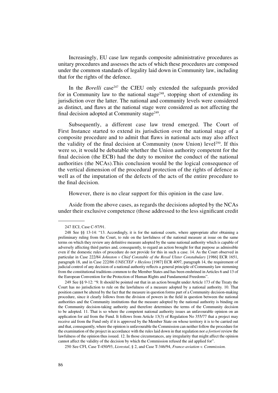Increasingly, EU case law regards composite administrative procedures as unitary procedures and assesses the acts of which these procedures are composed under the common standards of legality laid down in Community law, including that for the rights of the defence.

In the *Borelli* case<sup>247</sup> the CJEU only extended the safeguards provided for in Community law to the national stage<sup>248</sup>, stopping short of extending its jurisdiction over the latter. The national and community levels were considered as distinct, and flaws at the national stage were considered as not affecting the final decision adopted at Community stage $249$ .

Subsequently, a different case law trend emerged. The Court of First Instance started to extend its jurisdiction over the national stage of a composite procedure and to admit that flaws in national acts may also affect the validity of the final decision at Community (now Union) level<sup>250</sup>. If this were so, it would be debatable whether the Union authority competent for the final decision (the ECB) had the duty to monitor the conduct of the national authorities (the NCAs).This conclusion would be the logical consequence of the vertical dimension of the procedural protection of the rights of defence as well as of the imputation of the defects of the acts of the entire procedure to the final decision.

However, there is no clear support for this opinion in the case law.

Aside from the above cases, as regards the decisions adopted by the NCAs under their exclusive competence (those addressed to the less significant credit

249 See §§ 9-12: "9. It should be pointed out that in an action brought under Article 173 of the Treaty the Court has no jurisdiction to rule on the lawfulness of a measure adopted by a national authority. 10. That position cannot be altered by the fact that the measure in question forms part of a Community decision-making procedure, since it clearly follows from the division of powers in the field in question between the national authorities and the Community institutions that the measure adopted by the national authority is binding on the Community decision-taking authority and therefore determines the terms of the Community decision to be adopted. 11. That is so where the competent national authority issues an unfavourable opinion on an application for aid from the Fund. It follows from Article 13(3) of Regulation No 355/77 that a project may receive aid from the Fund only if it is approved by the Member State on whose territory it is to be carried out and that, consequently, where the opinion is unfavourable the Commission can neither follow the procedure for the examination of the project in accordance with the rules laid down in that regulation nor *a fortiori* review the lawfulness of the opinion thus issued. 12. In those circumstances, any irregularity that might affect the opinion cannot affect the validity of the decision by which the Commission refused the aid applied for".

250 See CFI, Case T-450/93, *Lisrestal*, § 2, and Case T-346/94, *France-aviation v. Commission.*

<sup>247</sup> ECJ, Case C-97/91.

<sup>248</sup> See §§ 13-14: "13. Accordingly, it is for the national courts, where appropriate after obtaining a preliminary ruling from the Court, to rule on the lawfulness of the national measure at issue on the same terms on which they review any definitive measure adopted by the same national authority which is capable of adversely affecting third parties and, consequently, to regard an action brought for that purpose as admissible even if the domestic rules of procedure do not provide for this in such a case. 14. As the Court observed in particular in Case 222/84 *Johnston v Chief Constable of the Royal Ulster Constabulary* [1986] ECR 1651, paragraph 18, and in Case 222/86 *UNECTEF v Heylens* [1987] ECR 4097, paragraph 14, the requirement of judicial control of any decision of a national authority reflects a general principle of Community law stemming from the constitutional traditions common to the Member States and has been enshrined in Articles 6 and 13 of the European Convention for the Protection of Human Rights and Fundamental Freedoms".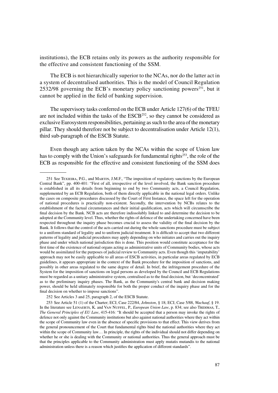institutions), the ECB retains only its powers as the authority responsible for the effective and consistent functioning of the SSM.

The ECB is not hierarchically superior to the NCAs, nor do the latter act in a system of decentralised authorities. This is the model of Council Regulation  $2532/98$  governing the ECB's monetary policy sanctioning powers<sup>251</sup>, but it cannot be applied in the field of banking supervision.

The supervisory tasks conferred on the ECB under Article 127(6) of the TFEU are not included within the tasks of the ESCB<sup>252</sup>, so they cannot be considered as exclusive Eurosystem responsibilities, pertaining as such to the area of the monetary pillar. They should therefore not be subject to decentralisation under Article 12(1), third sub-paragraph of the ESCB Statute.

Even though any action taken by the NCAs within the scope of Union law has to comply with the Union's safeguards for fundamental rights<sup> $253$ </sup>, the role of the ECB as responsible for the effective and consistent functioning of the SSM does

<sup>251</sup> See Texieira, P.G., and Martin, J.M.F., "The imposition of regulatory sanctions by the European Central Bank", pp. 400-401: "First of all, irrespective of the level involved, the Bank sanction procedure is established in all its details from beginning to end by two Community acts, a Council Regulation, supplemented by an ECB Regulation, both of them directly applicable in the national legal orders. Unlike the cases on composite procedures discussed by the Court of First Instance, the space left for the operation of national procedures is practically non-existent. Secondly, the intervention by NCBs relates to the establishment of the factual circumstances and their initial qualification, acts which will circumscribe the final decision by the Bank. NCB acts are therefore indissolubly linked to and determine the decision to be adopted at the Community level. Thus, whether the rights of defence of the undertaking concerned have been respected throughout the inquiry phase becomes crucial to assess the validity of the final decision by the Bank. It follows that the control of the acts carried out during the whole sanctions procedure must be subject to a uniform standard of legality and to uniform judicial treatment. It is difficult to accept that two different patterns of legality and judicial procedures may apply depending on who initiates and carries out the inquiry phase and under which national jurisdiction this is done. This position would constitute acceptance for the first time of the existence of national organs acting as administrative units of Community bodies, whose acts would be assimilated for the purposes of judicial review to Community acts. Even though this 'imputability' approach may not be easily applicable to all areas of ESCB activities, in particular areas regulated by ECB guidelines, it appears appropriate in the context of the Bank procedure for the imposition of sanctions, and possibly in other areas regulated to the same degree of detail. In brief, the infringement procedure of the System for the imposition of sanctions on legal persons as developed by the Council and ECB Regulations must be regarded as a unitary administrative system, centralised as to the final decision, but 'deconcentrated' as to the preliminary inquiry phases. The Bank, as the Community's central bank and decision making power, should be held ultimately responsible for both the proper conduct of the inquiry phase and for the final decision on whether to impose sanctions".

<sup>252</sup> See Articles 3 and 25, paragraph 2, of the ESCB Statute.

<sup>253</sup> See Article 51 (1) of the Charter; ECJ, Case 222/84, *Johnston*, § 18; ECJ, Case 5/88, *Wachauf*, § 19. In the literature see LENAERTS, K. and VAN NUFFEL, P., *European Union Law*, p. 834; see also TRIDIMAS, T., *The General Principles of EU Law*, 415-416: "It should be accepted that a person may invoke the rights of defence not only against the Community institutions but also against national authorities where they act within the scope of Community law even in the absence of specific provisions to that effect. This view derives from the general pronouncement of the Court that fundamental rights bind the national authorities where they act within the scope of Community law... In principle, the rights of the individual should not differ depending on whether he or she is dealing with the Community or national authorities. Thus the general approach must be that the principles applicable to the Community administration must apply mutatis mutandis to the national administration unless there is a reason which justifies the application of different standards".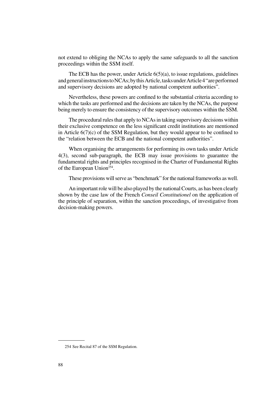not extend to obliging the NCAs to apply the same safeguards to all the sanction proceedings within the SSM itself.

The ECB has the power, under Article  $6(5)(a)$ , to issue regulations, guidelines and general instructions to NCAs; by this Article, tasks under Article 4 "are performed and supervisory decisions are adopted by national competent authorities".

Nevertheless, these powers are confined to the substantial criteria according to which the tasks are performed and the decisions are taken by the NCAs, the purpose being merely to ensure the consistency of the supervisory outcomes within the SSM.

The procedural rules that apply to NCAs in taking supervisory decisions within their exclusive competence on the less significant credit institutions are mentioned in Article 6(7)(c) of the SSM Regulation, but they would appear to be confined to the "relation between the ECB and the national competent authorities".

When organising the arrangements for performing its own tasks under Article 4(3), second sub-paragraph, the ECB may issue provisions to guarantee the fundamental rights and principles recognised in the Charter of Fundamental Rights of the European Union<sup>254</sup>.

These provisions will serve as "benchmark" for the national frameworks as well.

An important role will be also played by the national Courts, as has been clearly shown by the case law of the French *Conseil Constitutionel* on the application of the principle of separation, within the sanction proceedings, of investigative from decision-making powers.

<sup>254</sup> See Recital 87 of the SSM Regulation.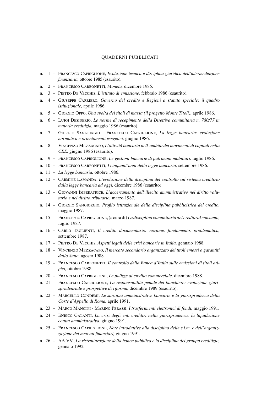#### QUADERNI PUBBLICATI

- n. 1 Francesco Capriglione, *Evoluzione tecnica e disciplina giuridica dell'intermediazione finanziaria,* ottobre 1985 (esaurito).
- n. 2 Francesco Carbonetti, *Moneta,* dicembre 1985.
- n. 3 Pietro De Vecchis, *L'istituto di emissione,* febbraio 1986 (esaurito).
- n. 4 Giuseppe Carriero, *Governo del credito e Regioni a statuto speciale: il quadro istituzionale,* aprile 1986.
- n. 5 Giorgio Oppo, *Una svolta dei titoli di massa (il progetto Monte Titoli),* aprile 1986.
- n. 6 Luigi Desiperio, *Le norme di recepimento della Direttiva comunitaria n. 780/77 in materia creditizia,* maggio 1986 (esaurito).
- n. 7 Giorgio Sangiorgio Francesco Capriglione, *La legge bancaria: evoluzione normativa e orientamenti esegetici,* giugno 1986.
- n. 8 Vincenzo Mezzacapo, *L'attività bancaria nell'ambito dei movimenti di capitali nella CEE,* giugno 1986 (esaurito).
- n. 9 Francesco Capriglione, *Le gestioni bancarie di patrimoni mobiliari,* luglio 1986.
- n. 10 FRANCESCO CARBONETTI, *I cinquant'anni della legge bancaria*, settembre 1986.
- n. 11 *La legge bancaria,* ottobre 1986.
- n. 12 Carmine Lamanda, *L'evoluzione della disciplina del controllo sul sistema creditizio dalla legge bancaria ad oggi,* dicembre 1986 (esaurito).
- n. 13 Giovanni Imperatrice*, L'accertamento dell'illecito amministrativo nel diritto valutario e nel diritto tributario,* marzo 1987.
- n. 14 Giorgio Sangiorgio, *Profilo istituzionale della disciplina pubblicistica del credito,*  maggio 1987.
- n. 15 Francesco Capriglione, (a cura di) *La disciplina comunitaria del credito al consumo,*  luglio 1987.
- n. 16 Carlo Taglienti, *Il credito documentario: nozione, fondamento, problematica,* settembre 1987.
- n. 17 Pietro De Vecchis, *Aspetti legali delle crisi bancarie in Italia,* gennaio 1988.
- n. 18 Vincenzo Mezzacapo, *Il mercato secondario organizzato dei titoli emessi o garantiti dallo Stato,* agosto 1988.
- n. 19 FRANCESCO CARBONETTI, *Il controllo della Banca d'Italia sulle emissioni di titoli atipici,* ottobre 1988.
- n. 20 Francesco Capriglione, *Le polizze di credito commerciale,* dicembre 1988.
- n. 21 Francesco Capriglione, *La responsabilità penale del banchiere: evoluzione giurisprudenziale e prospettive di riforma,* dicembre 1989 (esaurito).
- n. 22 MARCELLO CONDEMI, *Le sanzioni amministrative bancarie e la giurisprudenza della Corte d'Appello di Roma,* aprile 1991.
- n. 23 Marco Mancini Marino Perassi, *I trasferimenti elettronici di fondi,* maggio 1991.
- n. 24 Enrico Galanti, *La crisi degli enti creditizi nella giurisprudenza: la liquidazione coatta amministrativa*, giugno 1991.
- n. 25 Francesco Capriglione, *Note introduttive alla disciplina delle s.i.m. e dell'organizzazione dei mercati finanziari,* giugno 1991.
- n. 26 AA.VV., *La ristrutturazione della banca pubblica e la disciplina del gruppo creditizio,*  gennaio 1992*.*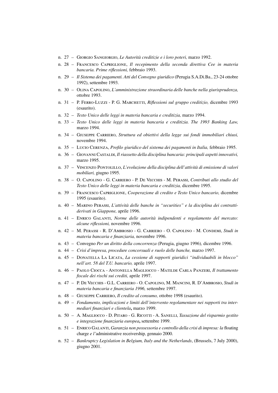- n. 27 *–* Giorgio Sangiorgio, *Le Autorità creditizie e i loro poteri,* marzo 1992.
- n. 28 Francesco Capriglione, *Il recepimento della seconda direttiva Cee in materia bancaria. Prime riflessioni,* febbraio 1993.
- n. 29 *Il Sistema dei pagamenti. Atti del Convegno giuridico* (Perugia S.A.Di.Ba., 23-24 ottobre 1992), settembre 1993.
- n. 30 Olina Capolino, *L'amministrazione straordinaria delle banche nella giurisprudenza,*  ottobre 1993.
- n. 31 P. Ferro-Luzzi P. G. Marchetti, *Riflessioni sul gruppo creditizio,* dicembre 1993 (esaurito).
- n. 32 *Testo Unico delle leggi in materia bancaria e creditizia,* marzo 1994.
- n. 33 *Testo Unico delle leggi in materia bancaria e creditizia. The 1993 Banking Law,* marzo 1994.
- n. 34 Giuseppe Carriero, *Struttura ed obiettivi della legge sui fondi immobiliari chiusi,*  novembre 1994.
- n. 35 Lucio Cerenza, *Profilo giuridico del sistema dei pagamenti in Italia,* febbraio 1995.
- n. 36 Giovanni Castaldi, *Il riassetto della disciplina bancaria: principali aspetti innovativi,*  marzo 1995.
- n. 37 Vincenzo Pontolillo, *L'evoluzione della disciplina dell'attività di emissione di valori mobiliari,* giugno 1995.
- n. 38 O. Capolino G. Carriero P. De Vecchis M. Perassi, *Contributi allo studio del Testo Unico delle leggi in materia bancaria e creditizia,* dicembre 1995.
- n. 39 Francesco Capriglione, *Cooperazione di credito e Testo Unico bancario,* dicembre 1995 (esaurito).
- n. 40 Marino Perassi, *L'attività delle banche in "securities" e la disciplina dei contrattiderivati in Giappone,* aprile 1996.
- n. 41 Enrico Galanti, *Norme delle autorità indipendenti e regolamento del mercato: alcune riflessioni,* novembre 1996.
- n. 42 M. Perassi R. D'Ambrosio G. Carriero O. Capolino M. Condemi, *Studi in materia bancaria e finanziaria,* novembre 1996.
- n. 43 Convegno *Per un diritto della concorrenza* (Perugia, giugno 1996)*,* dicembre 1996.
- n. 44 *Crisi d'impresa, procedure concorsuali e ruolo delle banche,* marzo 1997.
- n. 45 Donatella La Licata, *La cessione di rapporti giuridici "individuabili in blocco" nell'art. 58 del T.U. bancario,* aprile 1997.
- n. 46 Paolo Ciocca Antonella Magliocco Matilde Carla Panzeri, *Il trattamento fiscale dei rischi sui crediti,* aprile 1997.
- n. 47 P. De Vecchis G.L. Carriero O. Capolino, M. Mancini, R. D'Ambrosio, *Studi in materia bancaria e finanziaria 1996,* settembre 1997.
- n. 48 Giuseppe Carriero, *Il credito al consumo,* ottobre 1998 (esaurito).
- n. 49 *Fondamento, implicazioni e limiti dell'intervento regolamentare nei rapporti tra intermediari finanziari e clientela***,** marzo 1999.
- n. 50 A. Magliocco D. Pitaro G. Ricotti A. Sanelli, *Tassazione del risparmio gestito e integrazione finanziaria europea***,** settembre 1999.
- n. 51 Enrico Galanti, *Garanzia non possessoria e controllo della crisi di impresa: la* floating charge *e l'*administrative receivership*,* gennaio 2000.
- n. 52 *Bankruptcy Legislation in Belgium, Italy and the Netherlands*, (Brussels, 7 July 2000), giugno 2001.